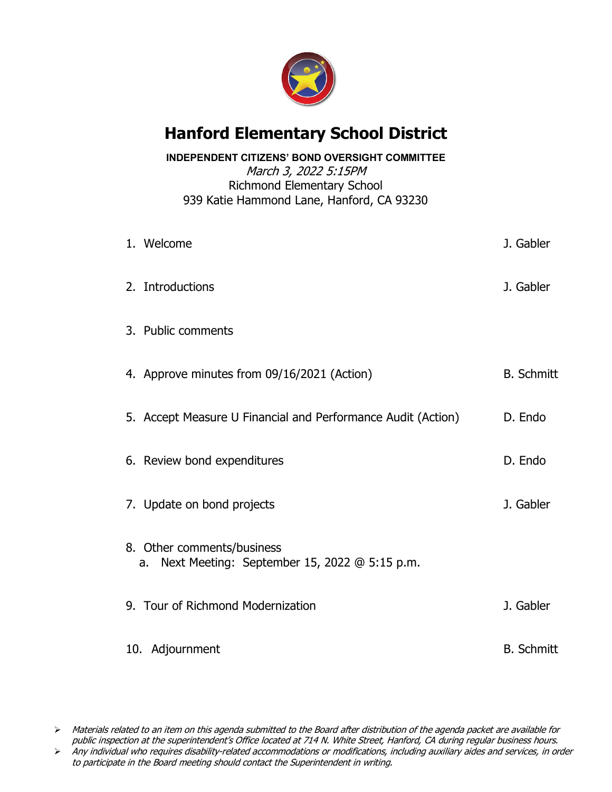

### **Hanford Elementary School District**

**INDEPENDENT CITIZENS' BOND OVERSIGHT COMMITTEE** March 3, 2022 5:15PM Richmond Elementary School 939 Katie Hammond Lane, Hanford, CA 93230

| 1. Welcome                                                                       | J. Gabler         |
|----------------------------------------------------------------------------------|-------------------|
| 2. Introductions                                                                 | J. Gabler         |
| 3. Public comments                                                               |                   |
| 4. Approve minutes from 09/16/2021 (Action)                                      | <b>B.</b> Schmitt |
| 5. Accept Measure U Financial and Performance Audit (Action)                     | D. Endo           |
| 6. Review bond expenditures                                                      | D. Endo           |
| 7. Update on bond projects                                                       | J. Gabler         |
| 8. Other comments/business<br>Next Meeting: September 15, 2022 @ 5:15 p.m.<br>a. |                   |
| 9. Tour of Richmond Modernization                                                | J. Gabler         |
| 10. Adjournment                                                                  | <b>B.</b> Schmitt |

> Materials related to an item on this agenda submitted to the Board after distribution of the agenda packet are available for public inspection at the superintendent's Office located at 714 N. White Street, Hanford, CA during regular business hours.

Any individual who requires disability-related accommodations or modifications, including auxiliary aides and services, in order to participate in the Board meeting should contact the Superintendent in writing.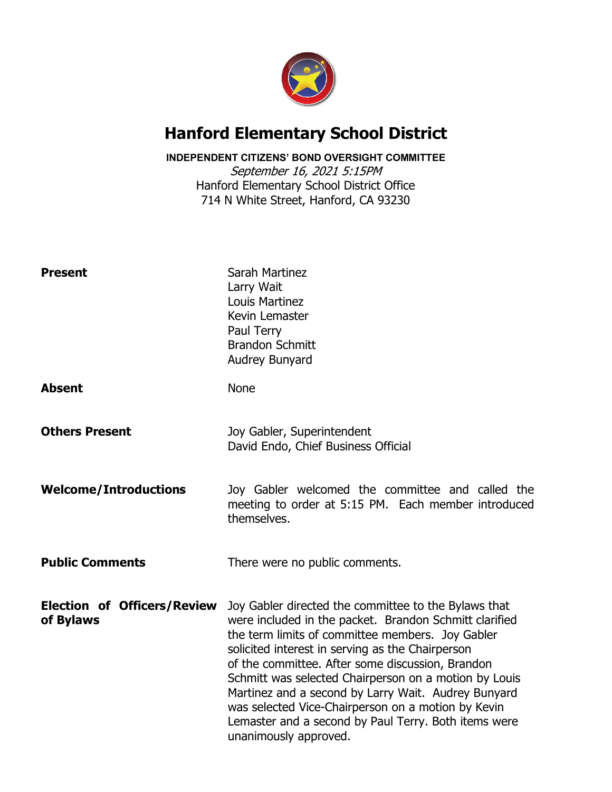

### **Hanford Elementary School District**

### **INDEPENDENT CITIZENS' BOND OVERSIGHT COMMITTEE**

September 16, 2021 5:15PM Hanford Elementary School District Office 714 N White Street, Hanford, CA 93230

| <b>Present</b>                                  | Sarah Martinez<br>Larry Wait<br><b>Louis Martinez</b><br>Kevin Lemaster<br>Paul Terry<br><b>Brandon Schmitt</b><br>Audrey Bunyard                                                                                                                                                                                                                                                                                                                                                                                                 |
|-------------------------------------------------|-----------------------------------------------------------------------------------------------------------------------------------------------------------------------------------------------------------------------------------------------------------------------------------------------------------------------------------------------------------------------------------------------------------------------------------------------------------------------------------------------------------------------------------|
| <b>Absent</b>                                   | <b>None</b>                                                                                                                                                                                                                                                                                                                                                                                                                                                                                                                       |
| <b>Others Present</b>                           | Joy Gabler, Superintendent<br>David Endo, Chief Business Official                                                                                                                                                                                                                                                                                                                                                                                                                                                                 |
| <b>Welcome/Introductions</b>                    | Joy Gabler welcomed the committee and called the<br>meeting to order at 5:15 PM. Each member introduced<br>themselves.                                                                                                                                                                                                                                                                                                                                                                                                            |
| <b>Public Comments</b>                          | There were no public comments.                                                                                                                                                                                                                                                                                                                                                                                                                                                                                                    |
| <b>Election of Officers/Review</b><br>of Bylaws | Joy Gabler directed the committee to the Bylaws that<br>were included in the packet. Brandon Schmitt clarified<br>the term limits of committee members. Joy Gabler<br>solicited interest in serving as the Chairperson<br>of the committee. After some discussion, Brandon<br>Schmitt was selected Chairperson on a motion by Louis<br>Martinez and a second by Larry Wait. Audrey Bunyard<br>was selected Vice-Chairperson on a motion by Kevin<br>Lemaster and a second by Paul Terry. Both items were<br>unanimously approved. |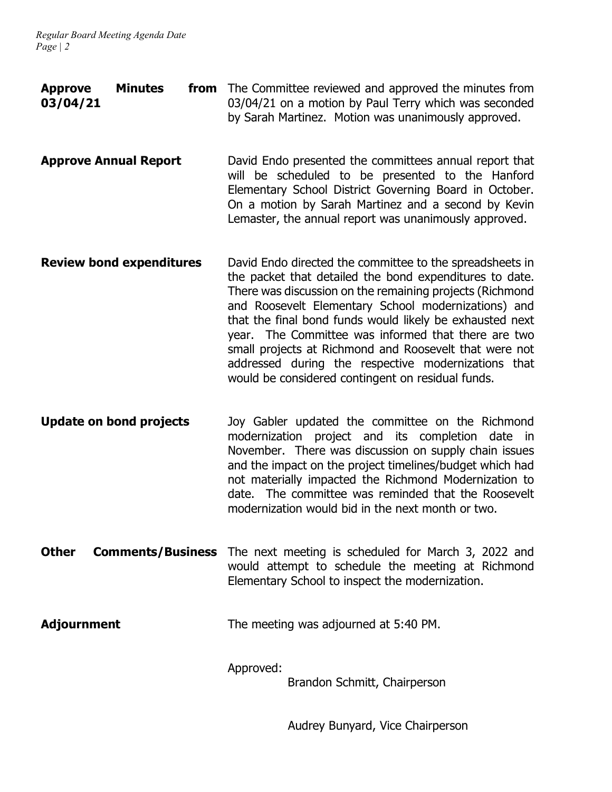| <b>Minutes</b><br><b>Approve</b><br>from<br>03/04/21 | The Committee reviewed and approved the minutes from<br>03/04/21 on a motion by Paul Terry which was seconded<br>by Sarah Martinez. Motion was unanimously approved.                                                                                                                                                                                                                                                                                                                                                            |
|------------------------------------------------------|---------------------------------------------------------------------------------------------------------------------------------------------------------------------------------------------------------------------------------------------------------------------------------------------------------------------------------------------------------------------------------------------------------------------------------------------------------------------------------------------------------------------------------|
| <b>Approve Annual Report</b>                         | David Endo presented the committees annual report that<br>will be scheduled to be presented to the Hanford<br>Elementary School District Governing Board in October.<br>On a motion by Sarah Martinez and a second by Kevin<br>Lemaster, the annual report was unanimously approved.                                                                                                                                                                                                                                            |
| <b>Review bond expenditures</b>                      | David Endo directed the committee to the spreadsheets in<br>the packet that detailed the bond expenditures to date.<br>There was discussion on the remaining projects (Richmond<br>and Roosevelt Elementary School modernizations) and<br>that the final bond funds would likely be exhausted next<br>year. The Committee was informed that there are two<br>small projects at Richmond and Roosevelt that were not<br>addressed during the respective modernizations that<br>would be considered contingent on residual funds. |
| <b>Update on bond projects</b>                       | Joy Gabler updated the committee on the Richmond<br>modernization project and its completion date<br>in.<br>November. There was discussion on supply chain issues<br>and the impact on the project timelines/budget which had<br>not materially impacted the Richmond Modernization to<br>date. The committee was reminded that the Roosevelt<br>modernization would bid in the next month or two.                                                                                                                              |
| <b>Other</b>                                         | <b>Comments/Business</b> The next meeting is scheduled for March 3, 2022 and<br>would attempt to schedule the meeting at Richmond<br>Elementary School to inspect the modernization.                                                                                                                                                                                                                                                                                                                                            |
| <b>Adjournment</b>                                   | The meeting was adjourned at 5:40 PM.                                                                                                                                                                                                                                                                                                                                                                                                                                                                                           |
|                                                      | Approved:<br>Brandon Schmitt, Chairperson                                                                                                                                                                                                                                                                                                                                                                                                                                                                                       |

Audrey Bunyard, Vice Chairperson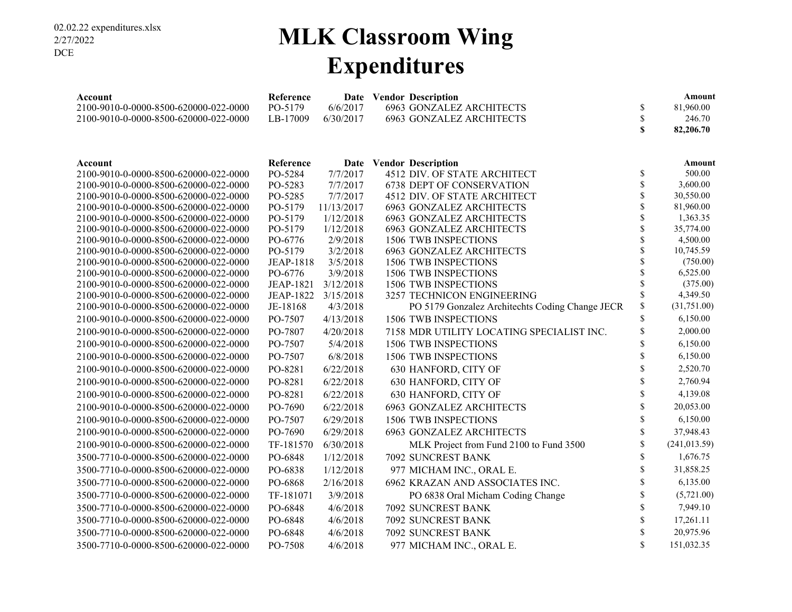# **MLK Classroom Wing Expenditures**

| Account                                                                        | Reference          |                      | Date Vendor Description                                         |                    | Amount             |
|--------------------------------------------------------------------------------|--------------------|----------------------|-----------------------------------------------------------------|--------------------|--------------------|
| 2100-9010-0-0000-8500-620000-022-0000                                          | PO-5179            | 6/6/2017             | <b>6963 GONZALEZ ARCHITECTS</b>                                 | \$                 | 81,960.00          |
| 2100-9010-0-0000-8500-620000-022-0000                                          | LB-17009           | 6/30/2017            | <b>6963 GONZALEZ ARCHITECTS</b>                                 | \$                 | 246.70             |
|                                                                                |                    |                      |                                                                 | \$                 | 82,206.70          |
|                                                                                |                    |                      |                                                                 |                    |                    |
| Account                                                                        | Reference          |                      | Date Vendor Description                                         |                    | Amount             |
| 2100-9010-0-0000-8500-620000-022-0000                                          | PO-5284            | 7/7/2017             | 4512 DIV. OF STATE ARCHITECT                                    | \$<br>\$           | 500.00<br>3,600.00 |
| 2100-9010-0-0000-8500-620000-022-0000                                          | PO-5283<br>PO-5285 | 7/7/2017<br>7/7/2017 | <b>6738 DEPT OF CONSERVATION</b>                                | \$                 | 30,550.00          |
| 2100-9010-0-0000-8500-620000-022-0000<br>2100-9010-0-0000-8500-620000-022-0000 | PO-5179            | 11/13/2017           | 4512 DIV. OF STATE ARCHITECT<br><b>6963 GONZALEZ ARCHITECTS</b> | \$                 | 81,960.00          |
| 2100-9010-0-0000-8500-620000-022-0000                                          | PO-5179            | 1/12/2018            | 6963 GONZALEZ ARCHITECTS                                        | \$                 | 1,363.35           |
| 2100-9010-0-0000-8500-620000-022-0000                                          | PO-5179            | 1/12/2018            | 6963 GONZALEZ ARCHITECTS                                        | \$                 | 35,774.00          |
| 2100-9010-0-0000-8500-620000-022-0000                                          | PO-6776            | 2/9/2018             | 1506 TWB INSPECTIONS                                            | \$                 | 4,500.00           |
| 2100-9010-0-0000-8500-620000-022-0000                                          | PO-5179            | 3/2/2018             | 6963 GONZALEZ ARCHITECTS                                        | \$                 | 10,745.59          |
| 2100-9010-0-0000-8500-620000-022-0000                                          | <b>JEAP-1818</b>   | 3/5/2018             | 1506 TWB INSPECTIONS                                            | \$                 | (750.00)           |
| 2100-9010-0-0000-8500-620000-022-0000                                          | PO-6776            | 3/9/2018             | 1506 TWB INSPECTIONS                                            | $\mathbf{\hat{S}}$ | 6,525.00           |
| 2100-9010-0-0000-8500-620000-022-0000                                          | <b>JEAP-1821</b>   | 3/12/2018            | 1506 TWB INSPECTIONS                                            | \$                 | (375.00)           |
| 2100-9010-0-0000-8500-620000-022-0000                                          | <b>JEAP-1822</b>   | 3/15/2018            | 3257 TECHNICON ENGINEERING                                      | \$                 | 4,349.50           |
| 2100-9010-0-0000-8500-620000-022-0000                                          | JE-18168           | 4/3/2018             | PO 5179 Gonzalez Architechts Coding Change JECR                 | \$                 | (31,751.00)        |
| 2100-9010-0-0000-8500-620000-022-0000                                          | PO-7507            | 4/13/2018            | 1506 TWB INSPECTIONS                                            | \$                 | 6,150.00           |
| 2100-9010-0-0000-8500-620000-022-0000                                          | PO-7807            | 4/20/2018            | 7158 MDR UTILITY LOCATING SPECIALIST INC.                       | \$                 | 2,000.00           |
| 2100-9010-0-0000-8500-620000-022-0000                                          | PO-7507            | 5/4/2018             | 1506 TWB INSPECTIONS                                            | \$                 | 6,150.00           |
| 2100-9010-0-0000-8500-620000-022-0000                                          | PO-7507            | 6/8/2018             | 1506 TWB INSPECTIONS                                            | \$                 | 6,150.00           |
| 2100-9010-0-0000-8500-620000-022-0000                                          | PO-8281            | 6/22/2018            | 630 HANFORD, CITY OF                                            | \$                 | 2,520.70           |
| 2100-9010-0-0000-8500-620000-022-0000                                          | PO-8281            | 6/22/2018            | 630 HANFORD, CITY OF                                            | \$                 | 2,760.94           |
| 2100-9010-0-0000-8500-620000-022-0000                                          | PO-8281            | 6/22/2018            | 630 HANFORD, CITY OF                                            | \$                 | 4,139.08           |
| 2100-9010-0-0000-8500-620000-022-0000                                          | PO-7690            | 6/22/2018            | <b>6963 GONZALEZ ARCHITECTS</b>                                 | \$                 | 20,053.00          |
| 2100-9010-0-0000-8500-620000-022-0000                                          | PO-7507            | 6/29/2018            | 1506 TWB INSPECTIONS                                            | \$                 | 6,150.00           |
| 2100-9010-0-0000-8500-620000-022-0000                                          | PO-7690            | 6/29/2018            | <b>6963 GONZALEZ ARCHITECTS</b>                                 | \$                 | 37,948.43          |
|                                                                                | TF-181570          | 6/30/2018            |                                                                 | \$                 | (241, 013.59)      |
| 2100-9010-0-0000-8500-620000-022-0000                                          |                    |                      | MLK Project from Fund 2100 to Fund 3500                         |                    |                    |
| 3500-7710-0-0000-8500-620000-022-0000                                          | PO-6848            | 1/12/2018            | 7092 SUNCREST BANK                                              | $\mathbf S$        | 1,676.75           |
| 3500-7710-0-0000-8500-620000-022-0000                                          | PO-6838            | 1/12/2018            | 977 MICHAM INC., ORAL E.                                        | \$                 | 31,858.25          |
| 3500-7710-0-0000-8500-620000-022-0000                                          | PO-6868            | 2/16/2018            | 6962 KRAZAN AND ASSOCIATES INC.                                 | \$                 | 6,135.00           |
| 3500-7710-0-0000-8500-620000-022-0000                                          | TF-181071          | 3/9/2018             | PO 6838 Oral Micham Coding Change                               | \$                 | (5,721.00)         |
| 3500-7710-0-0000-8500-620000-022-0000                                          | PO-6848            | 4/6/2018             | 7092 SUNCREST BANK                                              | \$                 | 7,949.10           |
| 3500-7710-0-0000-8500-620000-022-0000                                          | PO-6848            | 4/6/2018             | 7092 SUNCREST BANK                                              | \$                 | 17,261.11          |
| 3500-7710-0-0000-8500-620000-022-0000                                          | PO-6848            | 4/6/2018             | 7092 SUNCREST BANK                                              | \$                 | 20,975.96          |
| 3500-7710-0-0000-8500-620000-022-0000                                          | PO-7508            | 4/6/2018             | 977 MICHAM INC., ORAL E.                                        | \$                 | 151,032.35         |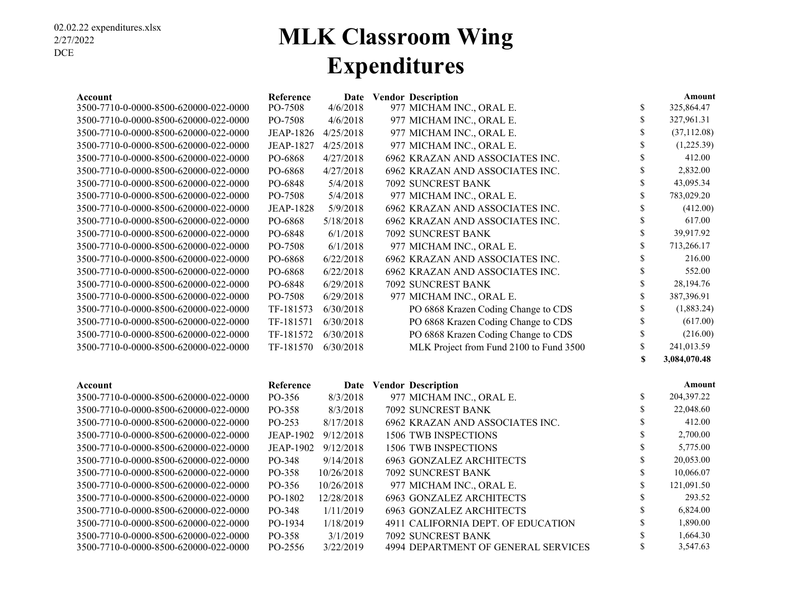# **MLK Classroom Wing Expenditures**

| Account                               | Reference        |            | Date Vendor Description                 | Amount             |
|---------------------------------------|------------------|------------|-----------------------------------------|--------------------|
| 3500-7710-0-0000-8500-620000-022-0000 | PO-7508          | 4/6/2018   | 977 MICHAM INC., ORAL E.                | \$<br>325,864.47   |
| 3500-7710-0-0000-8500-620000-022-0000 | PO-7508          | 4/6/2018   | 977 MICHAM INC., ORAL E.                | \$<br>327,961.31   |
| 3500-7710-0-0000-8500-620000-022-0000 | <b>JEAP-1826</b> | 4/25/2018  | 977 MICHAM INC., ORAL E.                | \$<br>(37, 112.08) |
| 3500-7710-0-0000-8500-620000-022-0000 | <b>JEAP-1827</b> | 4/25/2018  | 977 MICHAM INC., ORAL E.                | \$<br>(1,225.39)   |
| 3500-7710-0-0000-8500-620000-022-0000 | PO-6868          | 4/27/2018  | 6962 KRAZAN AND ASSOCIATES INC.         | \$<br>412.00       |
| 3500-7710-0-0000-8500-620000-022-0000 | PO-6868          | 4/27/2018  | 6962 KRAZAN AND ASSOCIATES INC.         | \$<br>2,832.00     |
| 3500-7710-0-0000-8500-620000-022-0000 | PO-6848          | 5/4/2018   | 7092 SUNCREST BANK                      | \$<br>43,095.34    |
| 3500-7710-0-0000-8500-620000-022-0000 | PO-7508          | 5/4/2018   | 977 MICHAM INC., ORAL E.                | \$<br>783,029.20   |
| 3500-7710-0-0000-8500-620000-022-0000 | <b>JEAP-1828</b> | 5/9/2018   | 6962 KRAZAN AND ASSOCIATES INC.         | \$<br>(412.00)     |
| 3500-7710-0-0000-8500-620000-022-0000 | PO-6868          | 5/18/2018  | 6962 KRAZAN AND ASSOCIATES INC.         | \$<br>617.00       |
| 3500-7710-0-0000-8500-620000-022-0000 | PO-6848          | 6/1/2018   | 7092 SUNCREST BANK                      | \$<br>39,917.92    |
| 3500-7710-0-0000-8500-620000-022-0000 | PO-7508          | 6/1/2018   | 977 MICHAM INC., ORAL E.                | \$<br>713,266.17   |
| 3500-7710-0-0000-8500-620000-022-0000 | PO-6868          | 6/22/2018  | 6962 KRAZAN AND ASSOCIATES INC.         | \$<br>216.00       |
| 3500-7710-0-0000-8500-620000-022-0000 | PO-6868          | 6/22/2018  | 6962 KRAZAN AND ASSOCIATES INC.         | \$<br>552.00       |
| 3500-7710-0-0000-8500-620000-022-0000 | PO-6848          | 6/29/2018  | 7092 SUNCREST BANK                      | \$<br>28,194.76    |
| 3500-7710-0-0000-8500-620000-022-0000 | PO-7508          | 6/29/2018  | 977 MICHAM INC., ORAL E.                | \$<br>387,396.91   |
| 3500-7710-0-0000-8500-620000-022-0000 | TF-181573        | 6/30/2018  | PO 6868 Krazen Coding Change to CDS     | \$<br>(1,883.24)   |
| 3500-7710-0-0000-8500-620000-022-0000 | TF-181571        | 6/30/2018  | PO 6868 Krazen Coding Change to CDS     | \$<br>(617.00)     |
| 3500-7710-0-0000-8500-620000-022-0000 | TF-181572        | 6/30/2018  | PO 6868 Krazen Coding Change to CDS     | \$<br>(216.00)     |
| 3500-7710-0-0000-8500-620000-022-0000 | TF-181570        | 6/30/2018  | MLK Project from Fund 2100 to Fund 3500 | \$<br>241,013.59   |
|                                       |                  |            |                                         | \$<br>3,084,070.48 |
| Account                               | Reference        | Date       | <b>Vendor Description</b>               | Amount             |
| 3500-7710-0-0000-8500-620000-022-0000 | PO-356           | 8/3/2018   | 977 MICHAM INC., ORAL E.                | \$<br>204,397.22   |
| 3500-7710-0-0000-8500-620000-022-0000 | PO-358           | 8/3/2018   | 7092 SUNCREST BANK                      | \$<br>22,048.60    |
| 3500-7710-0-0000-8500-620000-022-0000 | PO-253           | 8/17/2018  | 6962 KRAZAN AND ASSOCIATES INC.         | \$<br>412.00       |
| 3500-7710-0-0000-8500-620000-022-0000 | <b>JEAP-1902</b> | 9/12/2018  | 1506 TWB INSPECTIONS                    | \$<br>2,700.00     |
| 3500-7710-0-0000-8500-620000-022-0000 | <b>JEAP-1902</b> | 9/12/2018  | 1506 TWB INSPECTIONS                    | \$<br>5,775.00     |
| 3500-7710-0-0000-8500-620000-022-0000 | PO-348           | 9/14/2018  | <b>6963 GONZALEZ ARCHITECTS</b>         | \$<br>20,053.00    |
| 3500-7710-0-0000-8500-620000-022-0000 | PO-358           | 10/26/2018 | 7092 SUNCREST BANK                      | \$<br>10,066.07    |
| 3500-7710-0-0000-8500-620000-022-0000 | PO-356           | 10/26/2018 | 977 MICHAM INC., ORAL E.                | \$<br>121,091.50   |
| 3500-7710-0-0000-8500-620000-022-0000 | PO-1802          | 12/28/2018 | <b>6963 GONZALEZ ARCHITECTS</b>         | \$<br>293.52       |
| 3500-7710-0-0000-8500-620000-022-0000 | PO-348           | 1/11/2019  | <b>6963 GONZALEZ ARCHITECTS</b>         | \$<br>6,824.00     |
| 3500-7710-0-0000-8500-620000-022-0000 | PO-1934          | 1/18/2019  | 4911 CALIFORNIA DEPT. OF EDUCATION      | \$<br>1,890.00     |
| 3500-7710-0-0000-8500-620000-022-0000 | PO-358           | 3/1/2019   | 7092 SUNCREST BANK                      | \$<br>1,664.30     |
| 3500-7710-0-0000-8500-620000-022-0000 | PO-2556          | 3/22/2019  | 4994 DEPARTMENT OF GENERAL SERVICES     | \$<br>3,547.63     |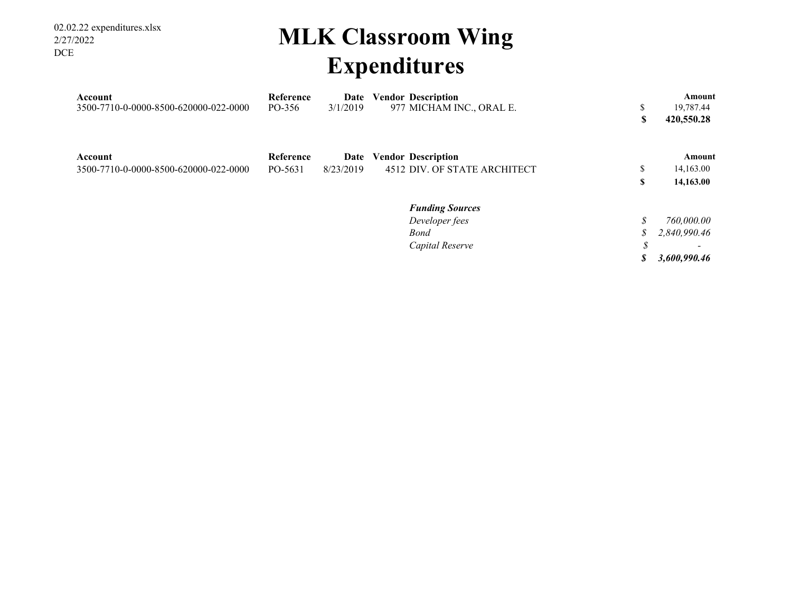02.02.22 expenditures.xlsx 2/27/2022 DCE

# **MLK Classroom Wing Expenditures**

| Account<br>3500-7710-0-0000-8500-620000-022-0000 | Reference<br>PO-356 | Date<br>3/1/2019 | <b>Vendor Description</b><br>977 MICHAM INC., ORAL E. | \$ | Amount<br>19,787.44      |
|--------------------------------------------------|---------------------|------------------|-------------------------------------------------------|----|--------------------------|
|                                                  |                     |                  |                                                       | \$ | 420,550.28               |
| Account                                          | Reference           | Date             | <b>Vendor Description</b>                             |    | <b>Amount</b>            |
| 3500-7710-0-0000-8500-620000-022-0000            | PO-5631             | 8/23/2019        | 4512 DIV. OF STATE ARCHITECT                          | \$ | 14,163.00                |
|                                                  |                     |                  |                                                       | S  | 14,163.00                |
|                                                  |                     |                  | <b>Funding Sources</b>                                |    |                          |
|                                                  |                     |                  | Developer fees                                        | S  | 760,000,00               |
|                                                  |                     |                  | <b>Bond</b>                                           | \$ | 2,840,990.46             |
|                                                  |                     |                  | Capital Reserve                                       | S  | $\overline{\phantom{a}}$ |
|                                                  |                     |                  |                                                       |    | 3,600,990.46             |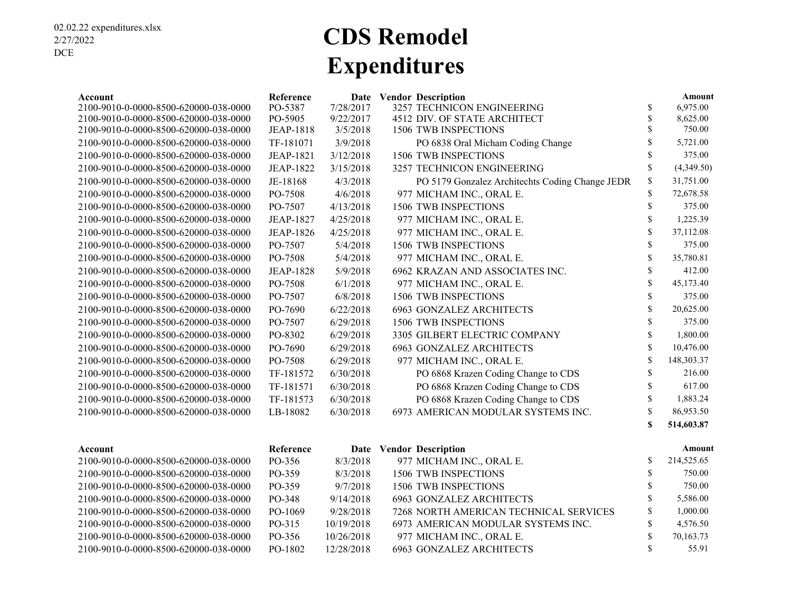# **CDS Remodel Expenditures**

| Account                               | Reference        |            | Date Vendor Description                         |    | Amount     |
|---------------------------------------|------------------|------------|-------------------------------------------------|----|------------|
| 2100-9010-0-0000-8500-620000-038-0000 | PO-5387          | 7/28/2017  | 3257 TECHNICON ENGINEERING                      | \$ | 6,975.00   |
| 2100-9010-0-0000-8500-620000-038-0000 | PO-5905          | 9/22/2017  | 4512 DIV. OF STATE ARCHITECT                    | \$ | 8,625.00   |
| 2100-9010-0-0000-8500-620000-038-0000 | <b>JEAP-1818</b> | 3/5/2018   | 1506 TWB INSPECTIONS                            | \$ | 750.00     |
| 2100-9010-0-0000-8500-620000-038-0000 | TF-181071        | 3/9/2018   | PO 6838 Oral Micham Coding Change               | \$ | 5,721.00   |
| 2100-9010-0-0000-8500-620000-038-0000 | <b>JEAP-1821</b> | 3/12/2018  | 1506 TWB INSPECTIONS                            | \$ | 375.00     |
| 2100-9010-0-0000-8500-620000-038-0000 | <b>JEAP-1822</b> | 3/15/2018  | 3257 TECHNICON ENGINEERING                      | \$ | (4,349.50) |
| 2100-9010-0-0000-8500-620000-038-0000 | JE-18168         | 4/3/2018   | PO 5179 Gonzalez Architechts Coding Change JEDR | \$ | 31,751.00  |
| 2100-9010-0-0000-8500-620000-038-0000 | PO-7508          | 4/6/2018   | 977 MICHAM INC., ORAL E.                        | \$ | 72,678.58  |
| 2100-9010-0-0000-8500-620000-038-0000 | PO-7507          | 4/13/2018  | 1506 TWB INSPECTIONS                            | \$ | 375.00     |
| 2100-9010-0-0000-8500-620000-038-0000 | <b>JEAP-1827</b> | 4/25/2018  | 977 MICHAM INC., ORAL E.                        | \$ | 1,225.39   |
| 2100-9010-0-0000-8500-620000-038-0000 | <b>JEAP-1826</b> | 4/25/2018  | 977 MICHAM INC., ORAL E.                        | \$ | 37,112.08  |
| 2100-9010-0-0000-8500-620000-038-0000 | PO-7507          | 5/4/2018   | 1506 TWB INSPECTIONS                            | \$ | 375.00     |
| 2100-9010-0-0000-8500-620000-038-0000 | PO-7508          | 5/4/2018   | 977 MICHAM INC., ORAL E.                        | \$ | 35,780.81  |
| 2100-9010-0-0000-8500-620000-038-0000 | <b>JEAP-1828</b> | 5/9/2018   | 6962 KRAZAN AND ASSOCIATES INC.                 | \$ | 412.00     |
| 2100-9010-0-0000-8500-620000-038-0000 | PO-7508          | 6/1/2018   | 977 MICHAM INC., ORAL E.                        | \$ | 45,173.40  |
| 2100-9010-0-0000-8500-620000-038-0000 | PO-7507          | 6/8/2018   | 1506 TWB INSPECTIONS                            | \$ | 375.00     |
| 2100-9010-0-0000-8500-620000-038-0000 | PO-7690          | 6/22/2018  | <b>6963 GONZALEZ ARCHITECTS</b>                 | \$ | 20,625.00  |
| 2100-9010-0-0000-8500-620000-038-0000 | PO-7507          | 6/29/2018  | 1506 TWB INSPECTIONS                            | \$ | 375.00     |
| 2100-9010-0-0000-8500-620000-038-0000 | PO-8302          | 6/29/2018  | 3305 GILBERT ELECTRIC COMPANY                   | \$ | 1,800.00   |
| 2100-9010-0-0000-8500-620000-038-0000 | PO-7690          | 6/29/2018  | <b>6963 GONZALEZ ARCHITECTS</b>                 | \$ | 10,476.00  |
| 2100-9010-0-0000-8500-620000-038-0000 | PO-7508          | 6/29/2018  | 977 MICHAM INC., ORAL E.                        | \$ | 148,303.37 |
| 2100-9010-0-0000-8500-620000-038-0000 | TF-181572        | 6/30/2018  | PO 6868 Krazen Coding Change to CDS             | \$ | 216.00     |
| 2100-9010-0-0000-8500-620000-038-0000 | TF-181571        | 6/30/2018  | PO 6868 Krazen Coding Change to CDS             | \$ | 617.00     |
| 2100-9010-0-0000-8500-620000-038-0000 | TF-181573        | 6/30/2018  | PO 6868 Krazen Coding Change to CDS             | \$ | 1,883.24   |
| 2100-9010-0-0000-8500-620000-038-0000 | LB-18082         | 6/30/2018  | 6973 AMERICAN MODULAR SYSTEMS INC.              | \$ | 86,953.50  |
|                                       |                  |            |                                                 | S  | 514,603.87 |
| Account                               | Reference        |            | Date Vendor Description                         |    | Amount     |
| 2100-9010-0-0000-8500-620000-038-0000 | PO-356           | 8/3/2018   | 977 MICHAM INC., ORAL E.                        | \$ | 214,525.65 |
| 2100-9010-0-0000-8500-620000-038-0000 | PO-359           | 8/3/2018   | 1506 TWB INSPECTIONS                            | \$ | 750.00     |
| 2100-9010-0-0000-8500-620000-038-0000 | PO-359           | 9/7/2018   | 1506 TWB INSPECTIONS                            | \$ | 750.00     |
| 2100-9010-0-0000-8500-620000-038-0000 | PO-348           | 9/14/2018  | <b>6963 GONZALEZ ARCHITECTS</b>                 | \$ | 5,586.00   |
| 2100-9010-0-0000-8500-620000-038-0000 | PO-1069          | 9/28/2018  | 7268 NORTH AMERICAN TECHNICAL SERVICES          | \$ | 1,000.00   |
| 2100-9010-0-0000-8500-620000-038-0000 | PO-315           | 10/19/2018 | 6973 AMERICAN MODULAR SYSTEMS INC.              | \$ | 4,576.50   |
| 2100-9010-0-0000-8500-620000-038-0000 | PO-356           | 10/26/2018 | 977 MICHAM INC., ORAL E.                        | \$ | 70,163.73  |
| 2100-9010-0-0000-8500-620000-038-0000 | PO-1802          | 12/28/2018 | <b>6963 GONZALEZ ARCHITECTS</b>                 | \$ | 55.91      |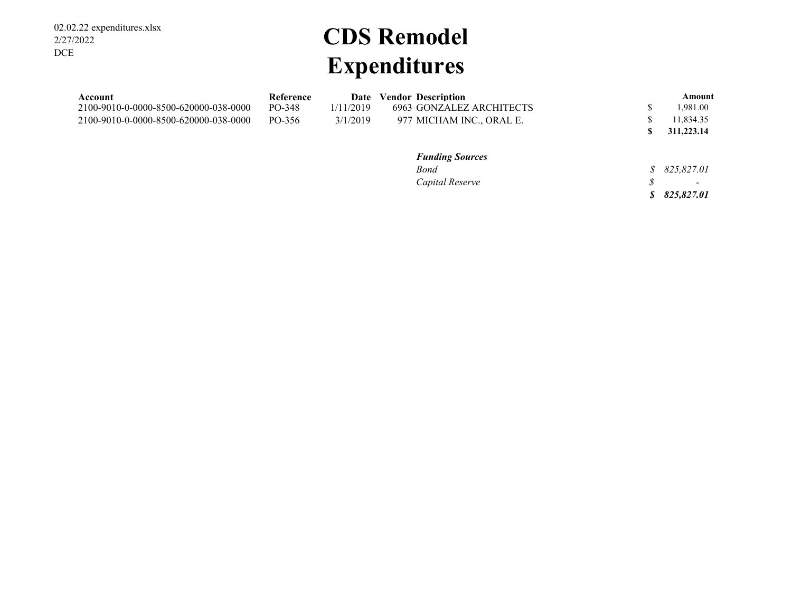02.02.22 expenditures.xlsx 2/27/2022 DCE

# **CDS Remodel Expenditures**

| Account                               | Reference | Date      | <b>Vendor Description</b>       |    | Amount                   |
|---------------------------------------|-----------|-----------|---------------------------------|----|--------------------------|
| 2100-9010-0-0000-8500-620000-038-0000 | PO-348    | 1/11/2019 | <b>6963 GONZALEZ ARCHITECTS</b> |    | 1,981.00                 |
| 2100-9010-0-0000-8500-620000-038-0000 | PO-356    | 3/1/2019  | 977 MICHAM INC., ORAL E.        |    | 11,834.35                |
|                                       |           |           |                                 |    | 311,223.14               |
|                                       |           |           |                                 |    |                          |
|                                       |           |           | <b>Funding Sources</b>          |    |                          |
|                                       |           |           | <b>Bond</b>                     | S. | 825.827.01               |
|                                       |           |           | Capital Reserve                 |    | $\overline{\phantom{0}}$ |
|                                       |           |           |                                 |    | 825,827.01               |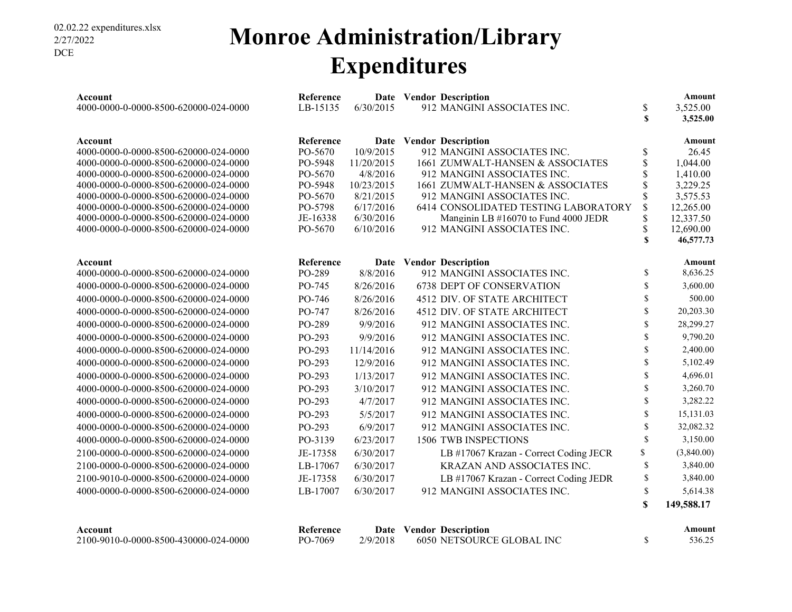### **Monroe Administration/Library Expenditures**

| Account<br>4000-0000-0-0000-8500-620000-024-0000 | Reference<br>LB-15135 | 6/30/2015  | Date Vendor Description<br>912 MANGINI ASSOCIATES INC. | \$                 | Amount<br>3,525.00     |
|--------------------------------------------------|-----------------------|------------|--------------------------------------------------------|--------------------|------------------------|
|                                                  |                       |            |                                                        | $\mathbf{s}$       | 3,525.00               |
| Account                                          | Reference             | Date       | <b>Vendor Description</b>                              |                    | Amount                 |
| 4000-0000-0-0000-8500-620000-024-0000            | PO-5670               | 10/9/2015  | 912 MANGINI ASSOCIATES INC.                            | \$                 | 26.45                  |
| 4000-0000-0-0000-8500-620000-024-0000            | PO-5948               | 11/20/2015 | 1661 ZUMWALT-HANSEN & ASSOCIATES                       | \$                 | 1,044.00               |
| 4000-0000-0-0000-8500-620000-024-0000            | PO-5670               | 4/8/2016   | 912 MANGINI ASSOCIATES INC.                            | \$                 | 1,410.00               |
| 4000-0000-0-0000-8500-620000-024-0000            | PO-5948               | 10/23/2015 | 1661 ZUMWALT-HANSEN & ASSOCIATES                       | \$                 | 3,229.25               |
| 4000-0000-0-0000-8500-620000-024-0000            | PO-5670               | 8/21/2015  | 912 MANGINI ASSOCIATES INC.                            | \$                 | 3,575.53               |
| 4000-0000-0-0000-8500-620000-024-0000            | PO-5798               | 6/17/2016  | 6414 CONSOLIDATED TESTING LABORATORY                   | \$                 | 12,265.00              |
| 4000-0000-0-0000-8500-620000-024-0000            | JE-16338              | 6/30/2016  | Manginin LB #16070 to Fund 4000 JEDR                   | \$                 | 12,337.50              |
| 4000-0000-0-0000-8500-620000-024-0000            | PO-5670               | 6/10/2016  | 912 MANGINI ASSOCIATES INC.                            | \$<br>$\mathbf{s}$ | 12,690.00<br>46,577.73 |
| Account                                          | Reference             |            | Date Vendor Description                                |                    | Amount                 |
| 4000-0000-0-0000-8500-620000-024-0000            | PO-289                | 8/8/2016   | 912 MANGINI ASSOCIATES INC.                            | \$                 | 8,636.25               |
| 4000-0000-0-0000-8500-620000-024-0000            | PO-745                | 8/26/2016  | <b>6738 DEPT OF CONSERVATION</b>                       | \$                 | 3,600.00               |
| 4000-0000-0-0000-8500-620000-024-0000            | PO-746                | 8/26/2016  | 4512 DIV. OF STATE ARCHITECT                           | \$                 | 500.00                 |
| 4000-0000-0-0000-8500-620000-024-0000            | PO-747                | 8/26/2016  | 4512 DIV. OF STATE ARCHITECT                           | \$                 | 20,203.30              |
| 4000-0000-0-0000-8500-620000-024-0000            | PO-289                | 9/9/2016   | 912 MANGINI ASSOCIATES INC.                            | \$                 | 28,299.27              |
| 4000-0000-0-0000-8500-620000-024-0000            | PO-293                | 9/9/2016   | 912 MANGINI ASSOCIATES INC.                            | \$                 | 9,790.20               |
| 4000-0000-0-0000-8500-620000-024-0000            | PO-293                | 11/14/2016 | 912 MANGINI ASSOCIATES INC.                            | \$                 | 2,400.00               |
| 4000-0000-0-0000-8500-620000-024-0000            | PO-293                | 12/9/2016  | 912 MANGINI ASSOCIATES INC.                            | \$                 | 5,102.49               |
| 4000-0000-0-0000-8500-620000-024-0000            | PO-293                | 1/13/2017  | 912 MANGINI ASSOCIATES INC.                            | \$                 | 4,696.01               |
| 4000-0000-0-0000-8500-620000-024-0000            | PO-293                | 3/10/2017  | 912 MANGINI ASSOCIATES INC.                            | \$                 | 3,260.70               |
| 4000-0000-0-0000-8500-620000-024-0000            | PO-293                | 4/7/2017   | 912 MANGINI ASSOCIATES INC.                            | \$                 | 3,282.22               |
| 4000-0000-0-0000-8500-620000-024-0000            | PO-293                | 5/5/2017   | 912 MANGINI ASSOCIATES INC.                            | \$                 | 15,131.03              |
| 4000-0000-0-0000-8500-620000-024-0000            | PO-293                | 6/9/2017   | 912 MANGINI ASSOCIATES INC.                            | \$                 | 32,082.32              |
| 4000-0000-0-0000-8500-620000-024-0000            | PO-3139               | 6/23/2017  | 1506 TWB INSPECTIONS                                   | \$                 | 3,150.00               |
| 2100-0000-0-0000-8500-620000-024-0000            | JE-17358              | 6/30/2017  | LB #17067 Krazan - Correct Coding JECR                 | \$                 | (3,840.00)             |
| 2100-0000-0-0000-8500-620000-024-0000            | LB-17067              | 6/30/2017  | KRAZAN AND ASSOCIATES INC.                             | \$                 | 3,840.00               |
| 2100-9010-0-0000-8500-620000-024-0000            | JE-17358              | 6/30/2017  | LB #17067 Krazan - Correct Coding JEDR                 | $\mathbb{S}$       | 3,840.00               |
| 4000-0000-0-0000-8500-620000-024-0000            | LB-17007              | 6/30/2017  | 912 MANGINI ASSOCIATES INC.                            | \$                 | 5,614.38               |
|                                                  |                       |            |                                                        | \$                 | 149,588.17             |
| Account                                          | Reference             |            | Date Vendor Description                                |                    | Amount                 |

2100-9010-0-0000-8500-430000-024-0000 PO-7069 2/9/2018 6050 NETSOURCE GLOBAL INC \$ 536.25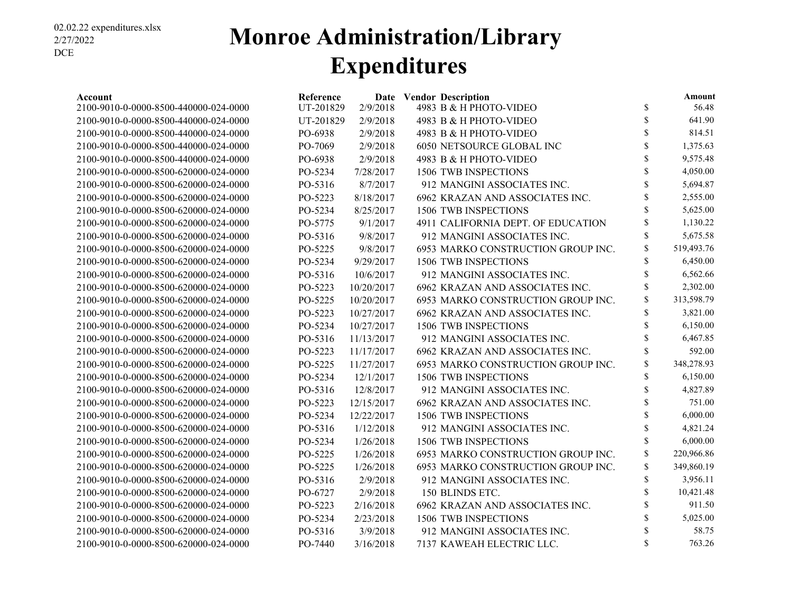# **Monroe Administration/Library Expenditures**

| Account                               | Reference |            | Date Vendor Description            |     | Amount     |
|---------------------------------------|-----------|------------|------------------------------------|-----|------------|
| 2100-9010-0-0000-8500-440000-024-0000 | UT-201829 | 2/9/2018   | 4983 B & H PHOTO-VIDEO             | \$  | 56.48      |
| 2100-9010-0-0000-8500-440000-024-0000 | UT-201829 | 2/9/2018   | 4983 B & H PHOTO-VIDEO             | \$  | 641.90     |
| 2100-9010-0-0000-8500-440000-024-0000 | PO-6938   | 2/9/2018   | 4983 B & H PHOTO-VIDEO             | \$  | 814.51     |
| 2100-9010-0-0000-8500-440000-024-0000 | PO-7069   | 2/9/2018   | 6050 NETSOURCE GLOBAL INC          | \$  | 1,375.63   |
| 2100-9010-0-0000-8500-440000-024-0000 | PO-6938   | 2/9/2018   | 4983 B & H PHOTO-VIDEO             | \$  | 9,575.48   |
| 2100-9010-0-0000-8500-620000-024-0000 | PO-5234   | 7/28/2017  | 1506 TWB INSPECTIONS               | \$  | 4,050.00   |
| 2100-9010-0-0000-8500-620000-024-0000 | PO-5316   | 8/7/2017   | 912 MANGINI ASSOCIATES INC.        | \$  | 5,694.87   |
| 2100-9010-0-0000-8500-620000-024-0000 | PO-5223   | 8/18/2017  | 6962 KRAZAN AND ASSOCIATES INC.    | \$  | 2,555.00   |
| 2100-9010-0-0000-8500-620000-024-0000 | PO-5234   | 8/25/2017  | 1506 TWB INSPECTIONS               | \$  | 5,625.00   |
| 2100-9010-0-0000-8500-620000-024-0000 | PO-5775   | 9/1/2017   | 4911 CALIFORNIA DEPT. OF EDUCATION | \$  | 1,130.22   |
| 2100-9010-0-0000-8500-620000-024-0000 | PO-5316   | 9/8/2017   | 912 MANGINI ASSOCIATES INC.        | \$  | 5,675.58   |
| 2100-9010-0-0000-8500-620000-024-0000 | PO-5225   | 9/8/2017   | 6953 MARKO CONSTRUCTION GROUP INC. | \$  | 519,493.76 |
| 2100-9010-0-0000-8500-620000-024-0000 | PO-5234   | 9/29/2017  | 1506 TWB INSPECTIONS               | \$  | 6,450.00   |
| 2100-9010-0-0000-8500-620000-024-0000 | PO-5316   | 10/6/2017  | 912 MANGINI ASSOCIATES INC.        | \$  | 6,562.66   |
| 2100-9010-0-0000-8500-620000-024-0000 | PO-5223   | 10/20/2017 | 6962 KRAZAN AND ASSOCIATES INC.    | \$  | 2,302.00   |
| 2100-9010-0-0000-8500-620000-024-0000 | PO-5225   | 10/20/2017 | 6953 MARKO CONSTRUCTION GROUP INC. | \$  | 313,598.79 |
| 2100-9010-0-0000-8500-620000-024-0000 | PO-5223   | 10/27/2017 | 6962 KRAZAN AND ASSOCIATES INC.    | S   | 3,821.00   |
| 2100-9010-0-0000-8500-620000-024-0000 | PO-5234   | 10/27/2017 | 1506 TWB INSPECTIONS               | S   | 6,150.00   |
| 2100-9010-0-0000-8500-620000-024-0000 | PO-5316   | 11/13/2017 | 912 MANGINI ASSOCIATES INC.        | S   | 6,467.85   |
| 2100-9010-0-0000-8500-620000-024-0000 | PO-5223   | 11/17/2017 | 6962 KRAZAN AND ASSOCIATES INC.    |     | 592.00     |
| 2100-9010-0-0000-8500-620000-024-0000 | PO-5225   | 11/27/2017 | 6953 MARKO CONSTRUCTION GROUP INC. | \$  | 348,278.93 |
| 2100-9010-0-0000-8500-620000-024-0000 | PO-5234   | 12/1/2017  | 1506 TWB INSPECTIONS               | \$. | 6,150.00   |
| 2100-9010-0-0000-8500-620000-024-0000 | PO-5316   | 12/8/2017  | 912 MANGINI ASSOCIATES INC.        |     | 4,827.89   |
| 2100-9010-0-0000-8500-620000-024-0000 | PO-5223   | 12/15/2017 | 6962 KRAZAN AND ASSOCIATES INC.    |     | 751.00     |
| 2100-9010-0-0000-8500-620000-024-0000 | PO-5234   | 12/22/2017 | 1506 TWB INSPECTIONS               | \$  | 6,000.00   |
| 2100-9010-0-0000-8500-620000-024-0000 | PO-5316   | 1/12/2018  | 912 MANGINI ASSOCIATES INC.        | \$  | 4,821.24   |
| 2100-9010-0-0000-8500-620000-024-0000 | PO-5234   | 1/26/2018  | 1506 TWB INSPECTIONS               | \$  | 6,000.00   |
| 2100-9010-0-0000-8500-620000-024-0000 | PO-5225   | 1/26/2018  | 6953 MARKO CONSTRUCTION GROUP INC. | \$  | 220,966.86 |
| 2100-9010-0-0000-8500-620000-024-0000 | PO-5225   | 1/26/2018  | 6953 MARKO CONSTRUCTION GROUP INC. | \$  | 349,860.19 |
| 2100-9010-0-0000-8500-620000-024-0000 | PO-5316   | 2/9/2018   | 912 MANGINI ASSOCIATES INC.        | \$  | 3,956.11   |
| 2100-9010-0-0000-8500-620000-024-0000 | PO-6727   | 2/9/2018   | 150 BLINDS ETC.                    | \$  | 10,421.48  |
| 2100-9010-0-0000-8500-620000-024-0000 | PO-5223   | 2/16/2018  | 6962 KRAZAN AND ASSOCIATES INC.    |     | 911.50     |
| 2100-9010-0-0000-8500-620000-024-0000 | PO-5234   | 2/23/2018  | 1506 TWB INSPECTIONS               |     | 5,025.00   |
| 2100-9010-0-0000-8500-620000-024-0000 | PO-5316   | 3/9/2018   | 912 MANGINI ASSOCIATES INC.        |     | 58.75      |
| 2100-9010-0-0000-8500-620000-024-0000 | PO-7440   | 3/16/2018  | 7137 KAWEAH ELECTRIC LLC.          | \$  | 763.26     |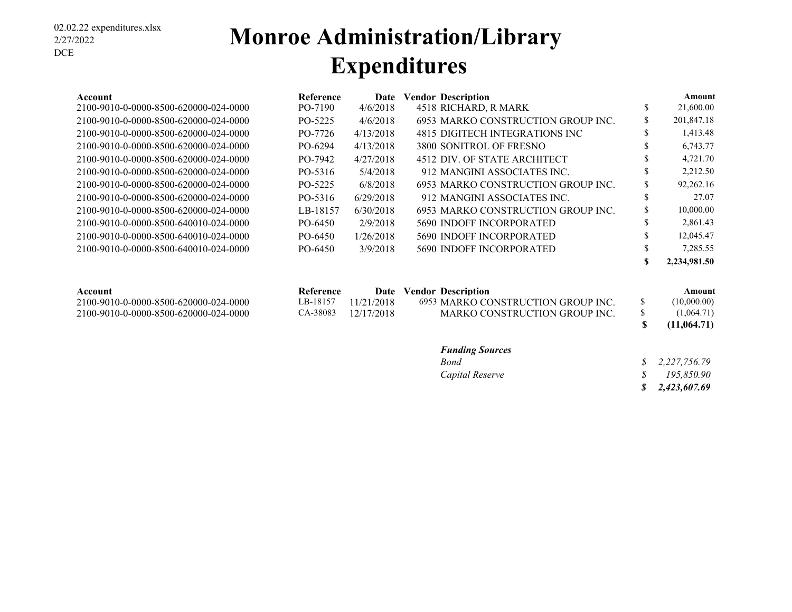#### 02.02.22 expenditures.xlsx 2/27/2022 DCE

# **Monroe Administration/Library Expenditures**

| Account                               | <b>Reference</b> | Date       | <b>Vendor Description</b>          |    | Amount       |
|---------------------------------------|------------------|------------|------------------------------------|----|--------------|
| 2100-9010-0-0000-8500-620000-024-0000 | PO-7190          | 4/6/2018   | 4518 RICHARD, R MARK               | \$ | 21,600.00    |
| 2100-9010-0-0000-8500-620000-024-0000 | PO-5225          | 4/6/2018   | 6953 MARKO CONSTRUCTION GROUP INC. | \$ | 201,847.18   |
| 2100-9010-0-0000-8500-620000-024-0000 | PO-7726          | 4/13/2018  | 4815 DIGITECH INTEGRATIONS INC     | \$ | 1,413.48     |
| 2100-9010-0-0000-8500-620000-024-0000 | PO-6294          | 4/13/2018  | 3800 SONITROL OF FRESNO            | ъ  | 6,743.77     |
| 2100-9010-0-0000-8500-620000-024-0000 | PO-7942          | 4/27/2018  | 4512 DIV. OF STATE ARCHITECT       | \$ | 4,721.70     |
| 2100-9010-0-0000-8500-620000-024-0000 | PO-5316          | 5/4/2018   | 912 MANGINI ASSOCIATES INC.        | \$ | 2,212.50     |
| 2100-9010-0-0000-8500-620000-024-0000 | PO-5225          | 6/8/2018   | 6953 MARKO CONSTRUCTION GROUP INC. | \$ | 92,262.16    |
| 2100-9010-0-0000-8500-620000-024-0000 | PO-5316          | 6/29/2018  | 912 MANGINI ASSOCIATES INC.        | \$ | 27.07        |
| 2100-9010-0-0000-8500-620000-024-0000 | LB-18157         | 6/30/2018  | 6953 MARKO CONSTRUCTION GROUP INC. | \$ | 10,000.00    |
| 2100-9010-0-0000-8500-640010-024-0000 | PO-6450          | 2/9/2018   | <b>5690 INDOFF INCORPORATED</b>    | \$ | 2,861.43     |
| 2100-9010-0-0000-8500-640010-024-0000 | PO-6450          | 1/26/2018  | 5690 INDOFF INCORPORATED           | \$ | 12,045.47    |
| 2100-9010-0-0000-8500-640010-024-0000 | PO-6450          | 3/9/2018   | <b>5690 INDOFF INCORPORATED</b>    | S  | 7,285.55     |
|                                       |                  |            |                                    | S  | 2,234,981.50 |
| Account                               | <b>Reference</b> | Date       | <b>Vendor Description</b>          |    | Amount       |
| 2100-9010-0-0000-8500-620000-024-0000 | LB-18157         | 11/21/2018 | 6953 MARKO CONSTRUCTION GROUP INC. | \$ | (10,000.00)  |
| 2100-9010-0-0000-8500-620000-024-0000 | CA-38083         | 12/17/2018 | MARKO CONSTRUCTION GROUP INC.      | \$ | (1,064.71)   |
|                                       |                  |            |                                    | S  | (11,064.71)  |

### *Funding Sources*

|                 | $\frac{$}{2,423,607.69}$       |
|-----------------|--------------------------------|
| Capital Reserve | $\frac{195,850.90}{500}$       |
| Bond            | $\frac{1}{2}$ , 2, 227, 756.79 |
|                 |                                |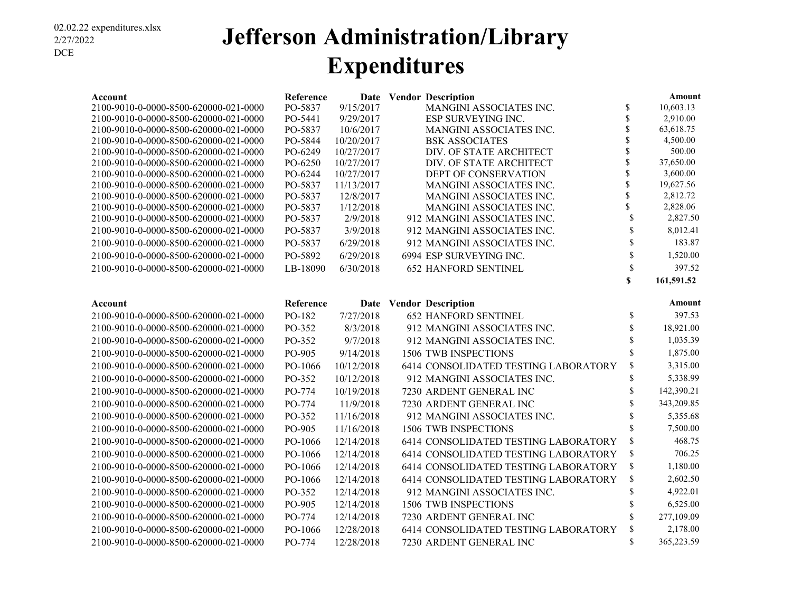# **Jefferson Administration/Library Expenditures**

| Account                                                                        | Reference          |                          | Date Vendor Description                            |              | Amount                |
|--------------------------------------------------------------------------------|--------------------|--------------------------|----------------------------------------------------|--------------|-----------------------|
| 2100-9010-0-0000-8500-620000-021-0000                                          | PO-5837            | 9/15/2017                | MANGINI ASSOCIATES INC.                            | \$           | 10,603.13             |
| 2100-9010-0-0000-8500-620000-021-0000                                          | PO-5441            | 9/29/2017                | ESP SURVEYING INC.                                 | \$           | 2,910.00              |
| 2100-9010-0-0000-8500-620000-021-0000                                          | PO-5837            | 10/6/2017                | MANGINI ASSOCIATES INC.                            | \$           | 63,618.75             |
| 2100-9010-0-0000-8500-620000-021-0000                                          | PO-5844            | 10/20/2017               | <b>BSK ASSOCIATES</b>                              | \$           | 4,500.00              |
| 2100-9010-0-0000-8500-620000-021-0000                                          | PO-6249            | 10/27/2017               | DIV. OF STATE ARCHITECT                            | \$           | 500.00                |
| 2100-9010-0-0000-8500-620000-021-0000                                          | PO-6250            | 10/27/2017               | DIV. OF STATE ARCHITECT                            | \$           | 37,650.00             |
| 2100-9010-0-0000-8500-620000-021-0000<br>2100-9010-0-0000-8500-620000-021-0000 | PO-6244<br>PO-5837 | 10/27/2017<br>11/13/2017 | DEPT OF CONSERVATION                               | \$<br>\$     | 3,600.00<br>19,627.56 |
| 2100-9010-0-0000-8500-620000-021-0000                                          | PO-5837            | 12/8/2017                | MANGINI ASSOCIATES INC.<br>MANGINI ASSOCIATES INC. | \$           | 2,812.72              |
| 2100-9010-0-0000-8500-620000-021-0000                                          | PO-5837            | 1/12/2018                | MANGINI ASSOCIATES INC.                            | \$           | 2,828.06              |
| 2100-9010-0-0000-8500-620000-021-0000                                          | PO-5837            | 2/9/2018                 | 912 MANGINI ASSOCIATES INC.                        | \$           | 2,827.50              |
| 2100-9010-0-0000-8500-620000-021-0000                                          | PO-5837            | 3/9/2018                 | 912 MANGINI ASSOCIATES INC.                        | \$           | 8,012.41              |
| 2100-9010-0-0000-8500-620000-021-0000                                          | PO-5837            | 6/29/2018                | 912 MANGINI ASSOCIATES INC.                        | \$           | 183.87                |
| 2100-9010-0-0000-8500-620000-021-0000                                          | PO-5892            | 6/29/2018                | 6994 ESP SURVEYING INC.                            | $\mathbb S$  | 1,520.00              |
| 2100-9010-0-0000-8500-620000-021-0000                                          | LB-18090           | 6/30/2018                | <b>652 HANFORD SENTINEL</b>                        | $\mathbb S$  | 397.52                |
|                                                                                |                    |                          |                                                    | \$           | 161,591.52            |
| Account                                                                        | Reference          |                          | Date Vendor Description                            |              | Amount                |
| 2100-9010-0-0000-8500-620000-021-0000                                          | PO-182             | 7/27/2018                | <b>652 HANFORD SENTINEL</b>                        | \$           | 397.53                |
| 2100-9010-0-0000-8500-620000-021-0000                                          | PO-352             | 8/3/2018                 | 912 MANGINI ASSOCIATES INC.                        | \$           | 18,921.00             |
| 2100-9010-0-0000-8500-620000-021-0000                                          | PO-352             | 9/7/2018                 | 912 MANGINI ASSOCIATES INC.                        | \$           | 1,035.39              |
| 2100-9010-0-0000-8500-620000-021-0000                                          | PO-905             | 9/14/2018                | 1506 TWB INSPECTIONS                               | \$           | 1,875.00              |
| 2100-9010-0-0000-8500-620000-021-0000                                          | PO-1066            | 10/12/2018               | 6414 CONSOLIDATED TESTING LABORATORY               | \$           | 3,315.00              |
| 2100-9010-0-0000-8500-620000-021-0000                                          | PO-352             | 10/12/2018               | 912 MANGINI ASSOCIATES INC.                        | \$           | 5,338.99              |
| 2100-9010-0-0000-8500-620000-021-0000                                          | PO-774             | 10/19/2018               | 7230 ARDENT GENERAL INC                            | \$           | 142,390.21            |
| 2100-9010-0-0000-8500-620000-021-0000                                          | PO-774             | 11/9/2018                | 7230 ARDENT GENERAL INC                            | \$           | 343,209.85            |
| 2100-9010-0-0000-8500-620000-021-0000                                          | PO-352             | 11/16/2018               | 912 MANGINI ASSOCIATES INC.                        | \$           | 5,355.68              |
| 2100-9010-0-0000-8500-620000-021-0000                                          | PO-905             | 11/16/2018               | 1506 TWB INSPECTIONS                               | \$           | 7,500.00              |
| 2100-9010-0-0000-8500-620000-021-0000                                          | PO-1066            | 12/14/2018               | 6414 CONSOLIDATED TESTING LABORATORY               | \$           | 468.75                |
| 2100-9010-0-0000-8500-620000-021-0000                                          | PO-1066            | 12/14/2018               | 6414 CONSOLIDATED TESTING LABORATORY               | $\mathbb{S}$ | 706.25                |
| 2100-9010-0-0000-8500-620000-021-0000                                          | PO-1066            | 12/14/2018               | 6414 CONSOLIDATED TESTING LABORATORY               | $\mathbb{S}$ | 1,180.00              |
| 2100-9010-0-0000-8500-620000-021-0000                                          | PO-1066            | 12/14/2018               | 6414 CONSOLIDATED TESTING LABORATORY               | $\mathbb{S}$ | 2,602.50              |
| 2100-9010-0-0000-8500-620000-021-0000                                          | PO-352             | 12/14/2018               | 912 MANGINI ASSOCIATES INC.                        | \$           | 4,922.01              |
| 2100-9010-0-0000-8500-620000-021-0000                                          | PO-905             | 12/14/2018               | 1506 TWB INSPECTIONS                               | \$           | 6,525.00              |
| 2100-9010-0-0000-8500-620000-021-0000                                          | PO-774             | 12/14/2018               | 7230 ARDENT GENERAL INC                            | \$           | 277,109.09            |
| 2100-9010-0-0000-8500-620000-021-0000                                          | PO-1066            | 12/28/2018               | 6414 CONSOLIDATED TESTING LABORATORY               | \$           | 2,178.00              |
| 2100-9010-0-0000-8500-620000-021-0000                                          | PO-774             | 12/28/2018               | 7230 ARDENT GENERAL INC                            | \$           | 365,223.59            |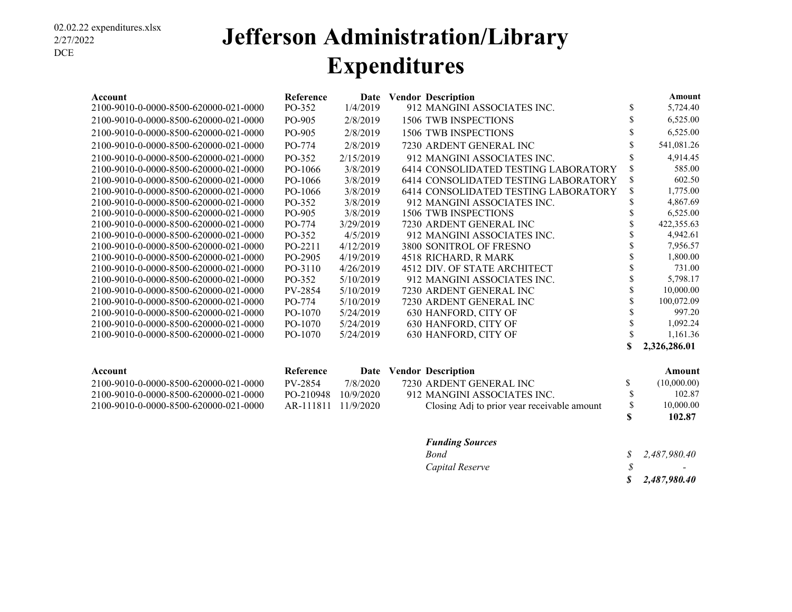# **Jefferson Administration/Library Expenditures**

| Account                               | <b>Reference</b> | Date      | <b>Vendor Description</b>            |    | <b>Amount</b> |
|---------------------------------------|------------------|-----------|--------------------------------------|----|---------------|
| 2100-9010-0-0000-8500-620000-021-0000 | PO-352           | 1/4/2019  | 912 MANGINI ASSOCIATES INC.          | \$ | 5,724.40      |
| 2100-9010-0-0000-8500-620000-021-0000 | PO-905           | 2/8/2019  | 1506 TWB INSPECTIONS                 | \$ | 6,525.00      |
| 2100-9010-0-0000-8500-620000-021-0000 | PO-905           | 2/8/2019  | 1506 TWB INSPECTIONS                 | \$ | 6,525.00      |
| 2100-9010-0-0000-8500-620000-021-0000 | PO-774           | 2/8/2019  | 7230 ARDENT GENERAL INC              | \$ | 541,081.26    |
| 2100-9010-0-0000-8500-620000-021-0000 | PO-352           | 2/15/2019 | 912 MANGINI ASSOCIATES INC.          | \$ | 4,914.45      |
| 2100-9010-0-0000-8500-620000-021-0000 | PO-1066          | 3/8/2019  | 6414 CONSOLIDATED TESTING LABORATORY | \$ | 585.00        |
| 2100-9010-0-0000-8500-620000-021-0000 | PO-1066          | 3/8/2019  | 6414 CONSOLIDATED TESTING LABORATORY | \$ | 602.50        |
| 2100-9010-0-0000-8500-620000-021-0000 | PO-1066          | 3/8/2019  | 6414 CONSOLIDATED TESTING LABORATORY | \$ | 1,775.00      |
| 2100-9010-0-0000-8500-620000-021-0000 | PO-352           | 3/8/2019  | 912 MANGINI ASSOCIATES INC.          | \$ | 4,867.69      |
| 2100-9010-0-0000-8500-620000-021-0000 | PO-905           | 3/8/2019  | 1506 TWB INSPECTIONS                 |    | 6,525.00      |
| 2100-9010-0-0000-8500-620000-021-0000 | PO-774           | 3/29/2019 | 7230 ARDENT GENERAL INC              |    | 422,355.63    |
| 2100-9010-0-0000-8500-620000-021-0000 | PO-352           | 4/5/2019  | 912 MANGINI ASSOCIATES INC.          |    | 4,942.61      |
| 2100-9010-0-0000-8500-620000-021-0000 | PO-2211          | 4/12/2019 | 3800 SONITROL OF FRESNO              |    | 7,956.57      |
| 2100-9010-0-0000-8500-620000-021-0000 | PO-2905          | 4/19/2019 | 4518 RICHARD, R MARK                 | S  | 1,800.00      |
| 2100-9010-0-0000-8500-620000-021-0000 | PO-3110          | 4/26/2019 | 4512 DIV. OF STATE ARCHITECT         |    | 731.00        |
| 2100-9010-0-0000-8500-620000-021-0000 | PO-352           | 5/10/2019 | 912 MANGINI ASSOCIATES INC.          |    | 5,798.17      |
| 2100-9010-0-0000-8500-620000-021-0000 | <b>PV-2854</b>   | 5/10/2019 | 7230 ARDENT GENERAL INC              |    | 10,000.00     |
| 2100-9010-0-0000-8500-620000-021-0000 | PO-774           | 5/10/2019 | 7230 ARDENT GENERAL INC              |    | 100,072.09    |
| 2100-9010-0-0000-8500-620000-021-0000 | PO-1070          | 5/24/2019 | 630 HANFORD, CITY OF                 |    | 997.20        |
| 2100-9010-0-0000-8500-620000-021-0000 | PO-1070          | 5/24/2019 | 630 HANFORD, CITY OF                 |    | 1,092.24      |
| 2100-9010-0-0000-8500-620000-021-0000 | PO-1070          | 5/24/2019 | 630 HANFORD, CITY OF                 |    | 1,161.36      |
|                                       |                  |           |                                      |    | 2,326,286.01  |
| Account                               | Reference        |           | Date Vendor Description              |    | Amount        |
| 2100.0010.0.0000.9500.620000.021.0000 | NTQCA            | 7/0/2020  | 7330 A BINEMER CEMERAL INC.          |    | (10.000.00)   |

| Account                                | Reference | Date      | <b>Vendor Description</b>                   | Amount      |
|----------------------------------------|-----------|-----------|---------------------------------------------|-------------|
| 2100-9010-0-0000-8500-620000-021-0000- | PV-2854   | 7/8/2020  | 7230 ARDENT GENERAL INC                     | (10,000.00) |
| 2100-9010-0-0000-8500-620000-021-0000- | PO-210948 | 10/9/2020 | 912 MANGINI ASSOCIATES INC.                 | 102.87      |
| 2100-9010-0-0000-8500-620000-021-0000- | AR-111811 | 11/9/2020 | Closing Adi to prior year receivable amount | 10,000.00   |
|                                        |           |           |                                             | 102.87      |

#### *Funding Sources*

|                 | \$2,487,980.40               |
|-----------------|------------------------------|
| Capital Reserve | <b>Contract Contract</b>     |
| Bond            | $\frac{1}{2}$ , 2,487,980.40 |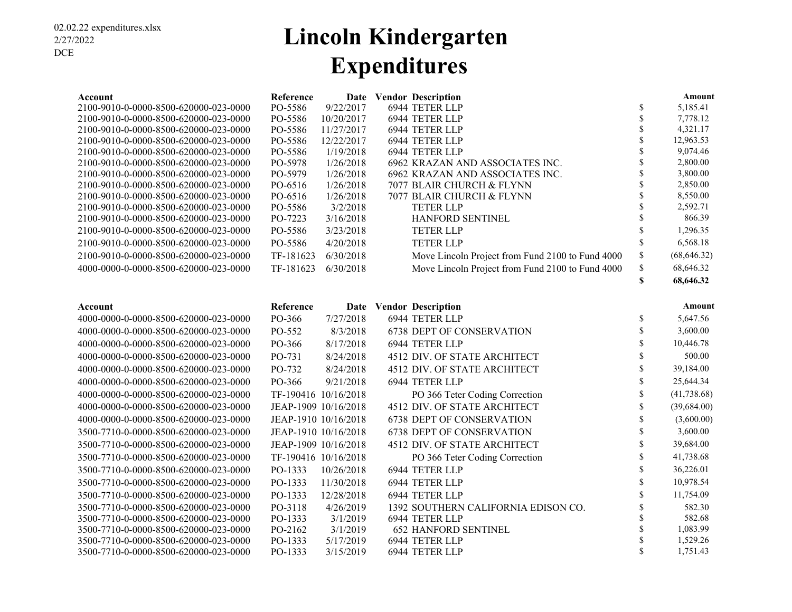# **Lincoln Kindergarten Expenditures**

| Account                                                                        | Reference          |                          | Date Vendor Description                          |             | Amount               |
|--------------------------------------------------------------------------------|--------------------|--------------------------|--------------------------------------------------|-------------|----------------------|
| 2100-9010-0-0000-8500-620000-023-0000                                          | PO-5586            | 9/22/2017                | 6944 TETER LLP                                   | \$          | 5,185.41             |
| 2100-9010-0-0000-8500-620000-023-0000                                          | PO-5586<br>PO-5586 | 10/20/2017               | 6944 TETER LLP                                   | \$<br>\$    | 7,778.12<br>4,321.17 |
| 2100-9010-0-0000-8500-620000-023-0000<br>2100-9010-0-0000-8500-620000-023-0000 | PO-5586            | 11/27/2017<br>12/22/2017 | 6944 TETER LLP<br>6944 TETER LLP                 | \$          | 12,963.53            |
| 2100-9010-0-0000-8500-620000-023-0000                                          | PO-5586            | 1/19/2018                | 6944 TETER LLP                                   | \$          | 9,074.46             |
| 2100-9010-0-0000-8500-620000-023-0000                                          | PO-5978            | 1/26/2018                | 6962 KRAZAN AND ASSOCIATES INC.                  | \$          | 2,800.00             |
| 2100-9010-0-0000-8500-620000-023-0000                                          | PO-5979            | 1/26/2018                | 6962 KRAZAN AND ASSOCIATES INC.                  | \$          | 3,800.00             |
| 2100-9010-0-0000-8500-620000-023-0000                                          | PO-6516            | 1/26/2018                | 7077 BLAIR CHURCH & FLYNN                        | \$          | 2,850.00             |
| 2100-9010-0-0000-8500-620000-023-0000                                          | PO-6516            | 1/26/2018                | 7077 BLAIR CHURCH & FLYNN                        | \$          | 8,550.00             |
| 2100-9010-0-0000-8500-620000-023-0000                                          | PO-5586            | 3/2/2018                 | <b>TETER LLP</b>                                 | \$          | 2,592.71             |
| 2100-9010-0-0000-8500-620000-023-0000                                          | PO-7223            | 3/16/2018                | HANFORD SENTINEL                                 | \$          | 866.39               |
| 2100-9010-0-0000-8500-620000-023-0000                                          | PO-5586            | 3/23/2018                | <b>TETER LLP</b>                                 | \$          | 1,296.35             |
| 2100-9010-0-0000-8500-620000-023-0000                                          | PO-5586            | 4/20/2018                | <b>TETER LLP</b>                                 | \$          | 6,568.18             |
| 2100-9010-0-0000-8500-620000-023-0000                                          | TF-181623          | 6/30/2018                | Move Lincoln Project from Fund 2100 to Fund 4000 | \$          | (68, 646.32)         |
| 4000-0000-0-0000-8500-620000-023-0000                                          | TF-181623          | 6/30/2018                | Move Lincoln Project from Fund 2100 to Fund 4000 | \$          | 68,646.32            |
|                                                                                |                    |                          |                                                  | \$          | 68,646.32            |
| Account                                                                        | Reference          |                          | Date Vendor Description                          |             | Amount               |
| 4000-0000-0-0000-8500-620000-023-0000                                          | PO-366             | 7/27/2018                | 6944 TETER LLP                                   | \$          | 5,647.56             |
| 4000-0000-0-0000-8500-620000-023-0000                                          | PO-552             | 8/3/2018                 | 6738 DEPT OF CONSERVATION                        | \$          | 3,600.00             |
| 4000-0000-0-0000-8500-620000-023-0000                                          | PO-366             | 8/17/2018                | 6944 TETER LLP                                   | \$          | 10,446.78            |
| 4000-0000-0-0000-8500-620000-023-0000                                          | PO-731             | 8/24/2018                | 4512 DIV. OF STATE ARCHITECT                     | \$          | 500.00               |
| 4000-0000-0-0000-8500-620000-023-0000                                          | PO-732             | 8/24/2018                | 4512 DIV. OF STATE ARCHITECT                     | \$          | 39,184.00            |
| 4000-0000-0-0000-8500-620000-023-0000                                          | PO-366             | 9/21/2018                | 6944 TETER LLP                                   | \$          | 25,644.34            |
| 4000-0000-0-0000-8500-620000-023-0000                                          |                    | TF-190416 10/16/2018     | PO 366 Teter Coding Correction                   | \$          | (41, 738.68)         |
| 4000-0000-0-0000-8500-620000-023-0000                                          |                    | JEAP-1909 10/16/2018     | 4512 DIV. OF STATE ARCHITECT                     | \$          | (39, 684.00)         |
| 4000-0000-0-0000-8500-620000-023-0000                                          |                    | JEAP-1910 10/16/2018     | <b>6738 DEPT OF CONSERVATION</b>                 | \$          | (3,600.00)           |
| 3500-7710-0-0000-8500-620000-023-0000                                          |                    | JEAP-1910 10/16/2018     | <b>6738 DEPT OF CONSERVATION</b>                 | \$          | 3,600.00             |
| 3500-7710-0-0000-8500-620000-023-0000                                          |                    | JEAP-1909 10/16/2018     | 4512 DIV. OF STATE ARCHITECT                     | \$          | 39,684.00            |
| 3500-7710-0-0000-8500-620000-023-0000                                          |                    | TF-190416 10/16/2018     | PO 366 Teter Coding Correction                   | \$          | 41,738.68            |
| 3500-7710-0-0000-8500-620000-023-0000                                          | PO-1333            | 10/26/2018               | 6944 TETER LLP                                   | \$          | 36,226.01            |
| 3500-7710-0-0000-8500-620000-023-0000                                          | PO-1333            | 11/30/2018               | 6944 TETER LLP                                   | \$          | 10,978.54            |
| 3500-7710-0-0000-8500-620000-023-0000                                          | PO-1333            | 12/28/2018               | 6944 TETER LLP                                   | \$          | 11,754.09            |
| 3500-7710-0-0000-8500-620000-023-0000                                          | PO-3118            | 4/26/2019                | 1392 SOUTHERN CALIFORNIA EDISON CO.              | \$          | 582.30               |
| 3500-7710-0-0000-8500-620000-023-0000                                          | PO-1333            | 3/1/2019                 | 6944 TETER LLP                                   | \$          | 582.68               |
| 3500-7710-0-0000-8500-620000-023-0000                                          | PO-2162            | 3/1/2019                 | <b>652 HANFORD SENTINEL</b>                      | \$          | 1,083.99             |
| 3500-7710-0-0000-8500-620000-023-0000                                          | PO-1333            | 5/17/2019                | 6944 TETER LLP                                   | \$          | 1,529.26             |
| 3500-7710-0-0000-8500-620000-023-0000                                          | PO-1333            | 3/15/2019                | 6944 TETER LLP                                   | $\mathbf S$ | 1,751.43             |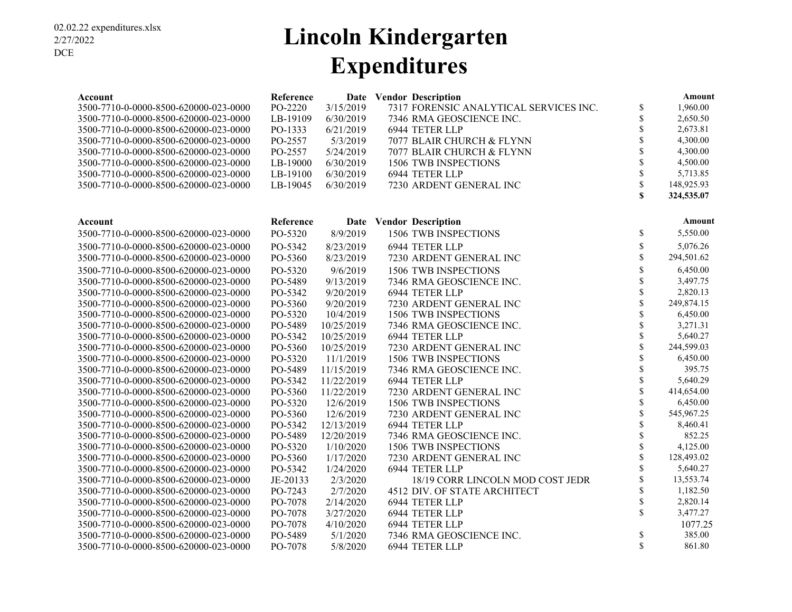# **Lincoln Kindergarten Expenditures**

| Account                               | Reference |            | Date Vendor Description                |             | Amount     |
|---------------------------------------|-----------|------------|----------------------------------------|-------------|------------|
| 3500-7710-0-0000-8500-620000-023-0000 | PO-2220   | 3/15/2019  | 7317 FORENSIC ANALYTICAL SERVICES INC. | \$          | 1,960.00   |
| 3500-7710-0-0000-8500-620000-023-0000 | LB-19109  | 6/30/2019  | 7346 RMA GEOSCIENCE INC.               | \$          | 2,650.50   |
| 3500-7710-0-0000-8500-620000-023-0000 | PO-1333   | 6/21/2019  | 6944 TETER LLP                         | \$          | 2,673.81   |
| 3500-7710-0-0000-8500-620000-023-0000 | PO-2557   | 5/3/2019   | 7077 BLAIR CHURCH & FLYNN              | \$          | 4,300.00   |
| 3500-7710-0-0000-8500-620000-023-0000 | PO-2557   | 5/24/2019  | 7077 BLAIR CHURCH & FLYNN              | \$          | 4,300.00   |
| 3500-7710-0-0000-8500-620000-023-0000 | LB-19000  | 6/30/2019  | 1506 TWB INSPECTIONS                   | \$          | 4,500.00   |
| 3500-7710-0-0000-8500-620000-023-0000 | LB-19100  | 6/30/2019  | 6944 TETER LLP                         | \$          | 5,713.85   |
| 3500-7710-0-0000-8500-620000-023-0000 | LB-19045  | 6/30/2019  | 7230 ARDENT GENERAL INC                | \$          | 148,925.93 |
|                                       |           |            |                                        | \$          | 324,535.07 |
|                                       |           |            |                                        |             |            |
| Account                               | Reference |            | Date Vendor Description                |             | Amount     |
| 3500-7710-0-0000-8500-620000-023-0000 | PO-5320   | 8/9/2019   | 1506 TWB INSPECTIONS                   | \$          | 5,550.00   |
| 3500-7710-0-0000-8500-620000-023-0000 | PO-5342   | 8/23/2019  | 6944 TETER LLP                         | \$          | 5,076.26   |
| 3500-7710-0-0000-8500-620000-023-0000 | PO-5360   | 8/23/2019  | 7230 ARDENT GENERAL INC                | \$          | 294,501.62 |
| 3500-7710-0-0000-8500-620000-023-0000 | PO-5320   | 9/6/2019   | 1506 TWB INSPECTIONS                   | \$          | 6,450.00   |
| 3500-7710-0-0000-8500-620000-023-0000 | PO-5489   | 9/13/2019  | 7346 RMA GEOSCIENCE INC.               | \$          | 3,497.75   |
| 3500-7710-0-0000-8500-620000-023-0000 | PO-5342   | 9/20/2019  | 6944 TETER LLP                         | \$          | 2,820.13   |
| 3500-7710-0-0000-8500-620000-023-0000 | PO-5360   | 9/20/2019  | 7230 ARDENT GENERAL INC                | \$          | 249,874.15 |
| 3500-7710-0-0000-8500-620000-023-0000 | PO-5320   | 10/4/2019  | 1506 TWB INSPECTIONS                   | \$          | 6,450.00   |
| 3500-7710-0-0000-8500-620000-023-0000 | PO-5489   | 10/25/2019 | 7346 RMA GEOSCIENCE INC.               | $\mathbb S$ | 3,271.31   |
| 3500-7710-0-0000-8500-620000-023-0000 | PO-5342   | 10/25/2019 | 6944 TETER LLP                         | $\mathbb S$ | 5,640.27   |
| 3500-7710-0-0000-8500-620000-023-0000 | PO-5360   | 10/25/2019 | 7230 ARDENT GENERAL INC                | \$          | 244,599.03 |
| 3500-7710-0-0000-8500-620000-023-0000 | PO-5320   | 11/1/2019  | <b>1506 TWB INSPECTIONS</b>            | \$          | 6,450.00   |
| 3500-7710-0-0000-8500-620000-023-0000 | PO-5489   | 11/15/2019 | 7346 RMA GEOSCIENCE INC.               | \$          | 395.75     |
| 3500-7710-0-0000-8500-620000-023-0000 | PO-5342   | 11/22/2019 | 6944 TETER LLP                         | \$          | 5,640.29   |
| 3500-7710-0-0000-8500-620000-023-0000 | PO-5360   | 11/22/2019 | 7230 ARDENT GENERAL INC                | \$          | 414,654.00 |
| 3500-7710-0-0000-8500-620000-023-0000 | PO-5320   | 12/6/2019  | 1506 TWB INSPECTIONS                   | \$          | 6,450.00   |
| 3500-7710-0-0000-8500-620000-023-0000 | PO-5360   | 12/6/2019  | 7230 ARDENT GENERAL INC                | \$          | 545,967.25 |
| 3500-7710-0-0000-8500-620000-023-0000 | PO-5342   | 12/13/2019 | 6944 TETER LLP                         | \$          | 8,460.41   |
| 3500-7710-0-0000-8500-620000-023-0000 | PO-5489   | 12/20/2019 | 7346 RMA GEOSCIENCE INC.               | $\mathbb S$ | 852.25     |
| 3500-7710-0-0000-8500-620000-023-0000 | PO-5320   | 1/10/2020  | 1506 TWB INSPECTIONS                   | \$          | 4,125.00   |
| 3500-7710-0-0000-8500-620000-023-0000 | PO-5360   | 1/17/2020  | 7230 ARDENT GENERAL INC                | \$          | 128,493.02 |
| 3500-7710-0-0000-8500-620000-023-0000 | PO-5342   | 1/24/2020  | 6944 TETER LLP                         | \$          | 5,640.27   |
| 3500-7710-0-0000-8500-620000-023-0000 | JE-20133  | 2/3/2020   | 18/19 CORR LINCOLN MOD COST JEDR       | \$          | 13,553.74  |
| 3500-7710-0-0000-8500-620000-023-0000 | PO-7243   | 2/7/2020   | 4512 DIV. OF STATE ARCHITECT           | \$          | 1,182.50   |
| 3500-7710-0-0000-8500-620000-023-0000 | PO-7078   | 2/14/2020  | 6944 TETER LLP                         | \$          | 2,820.14   |
| 3500-7710-0-0000-8500-620000-023-0000 | PO-7078   | 3/27/2020  | 6944 TETER LLP                         | \$          | 3,477.27   |
| 3500-7710-0-0000-8500-620000-023-0000 | PO-7078   | 4/10/2020  | 6944 TETER LLP                         |             | 1077.25    |
| 3500-7710-0-0000-8500-620000-023-0000 | PO-5489   | 5/1/2020   | 7346 RMA GEOSCIENCE INC.               | \$          | 385.00     |
| 3500-7710-0-0000-8500-620000-023-0000 | PO-7078   | 5/8/2020   | 6944 TETER LLP                         | \$          | 861.80     |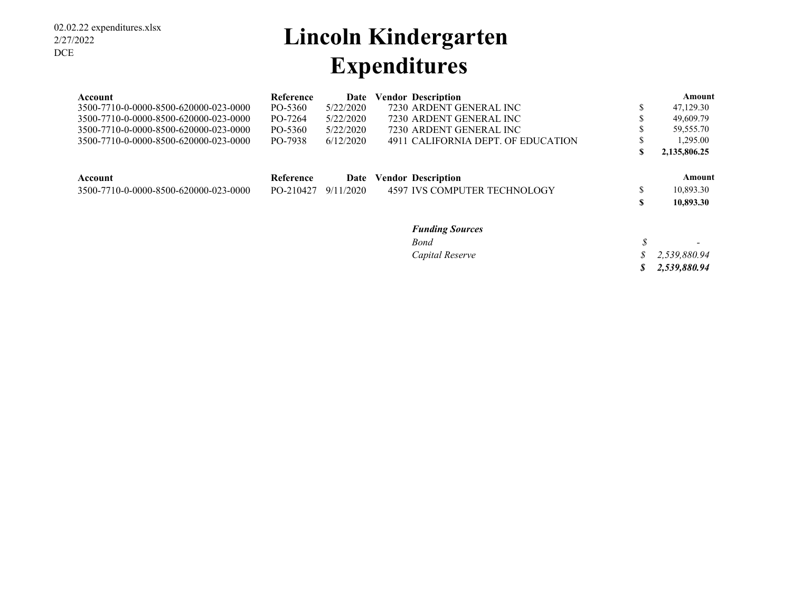# **Lincoln Kindergarten Expenditures**

| Account                               | <b>Reference</b> | Date      | <b>Vendor Description</b>           |    | Amount       |
|---------------------------------------|------------------|-----------|-------------------------------------|----|--------------|
| 3500-7710-0-0000-8500-620000-023-0000 | PO-5360          | 5/22/2020 | 7230 ARDENT GENERAL INC             |    | 47.129.30    |
| 3500-7710-0-0000-8500-620000-023-0000 | PO-7264          | 5/22/2020 | 7230 ARDENT GENERAL INC             |    | 49,609.79    |
| 3500-7710-0-0000-8500-620000-023-0000 | PO-5360          | 5/22/2020 | 7230 ARDENT GENERAL INC             |    | 59, 555, 70  |
| 3500-7710-0-0000-8500-620000-023-0000 | PO-7938          | 6/12/2020 | 4911 CALIFORNIA DEPT. OF EDUCATION  |    | 1,295.00     |
|                                       |                  |           |                                     | S  | 2,135,806.25 |
| Account                               | <b>Reference</b> | Date      | <b>Vendor Description</b>           |    | Amount       |
| 3500-7710-0-0000-8500-620000-023-0000 | PO-210427        | 9/11/2020 | <b>4597 IVS COMPUTER TECHNOLOGY</b> | D  | 10.893.30    |
|                                       |                  |           |                                     | \$ | 10,893.30    |
|                                       |                  |           | <b>Funding Sources</b>              |    |              |
|                                       |                  |           | <b>Bond</b>                         |    |              |

*Capital Reserve 2,539,880.94 \$* 

*\$ 2,539,880.94*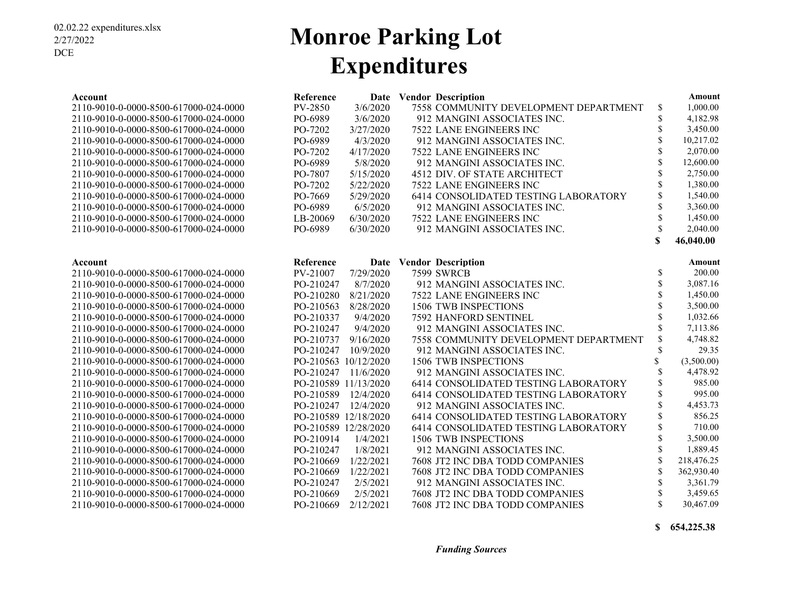# **Monroe Parking Lot Expenditures**

| Account                               | Reference            |           | Date Vendor Description               |     | Amount     |
|---------------------------------------|----------------------|-----------|---------------------------------------|-----|------------|
| 2110-9010-0-0000-8500-617000-024-0000 | <b>PV-2850</b>       | 3/6/2020  | 7558 COMMUNITY DEVELOPMENT DEPARTMENT | \$  | 1,000.00   |
| 2110-9010-0-0000-8500-617000-024-0000 | PO-6989              | 3/6/2020  | 912 MANGINI ASSOCIATES INC.           | \$  | 4,182.98   |
| 2110-9010-0-0000-8500-617000-024-0000 | PO-7202              | 3/27/2020 | <b>7522 LANE ENGINEERS INC</b>        | \$  | 3,450.00   |
| 2110-9010-0-0000-8500-617000-024-0000 | PO-6989              | 4/3/2020  | 912 MANGINI ASSOCIATES INC.           | \$  | 10,217.02  |
| 2110-9010-0-0000-8500-617000-024-0000 | PO-7202              | 4/17/2020 | <b>7522 LANE ENGINEERS INC</b>        | \$  | 2,070.00   |
| 2110-9010-0-0000-8500-617000-024-0000 | PO-6989              | 5/8/2020  | 912 MANGINI ASSOCIATES INC.           | \$  | 12,600.00  |
| 2110-9010-0-0000-8500-617000-024-0000 | PO-7807              | 5/15/2020 | 4512 DIV. OF STATE ARCHITECT          | \$  | 2,750.00   |
| 2110-9010-0-0000-8500-617000-024-0000 | PO-7202              | 5/22/2020 | 7522 LANE ENGINEERS INC               |     | 1,380.00   |
| 2110-9010-0-0000-8500-617000-024-0000 | PO-7669              | 5/29/2020 | 6414 CONSOLIDATED TESTING LABORATORY  |     | 1,540.00   |
| 2110-9010-0-0000-8500-617000-024-0000 | PO-6989              | 6/5/2020  | 912 MANGINI ASSOCIATES INC.           | \$  | 3,360.00   |
| 2110-9010-0-0000-8500-617000-024-0000 | LB-20069             | 6/30/2020 | 7522 LANE ENGINEERS INC               | \$  | 1,450.00   |
| 2110-9010-0-0000-8500-617000-024-0000 | PO-6989              | 6/30/2020 | 912 MANGINI ASSOCIATES INC.           | \$  | 2,040.00   |
|                                       |                      |           |                                       | \$  | 46,040.00  |
| Account                               | Reference            |           | Date Vendor Description               |     | Amount     |
| 2110-9010-0-0000-8500-617000-024-0000 | PV-21007             | 7/29/2020 | <b>7599 SWRCB</b>                     | \$  | 200.00     |
| 2110-9010-0-0000-8500-617000-024-0000 | PO-210247            | 8/7/2020  | 912 MANGINI ASSOCIATES INC.           | \$  | 3,087.16   |
| 2110-9010-0-0000-8500-617000-024-0000 | PO-210280            | 8/21/2020 | 7522 LANE ENGINEERS INC               | \$  | 1,450.00   |
| 2110-9010-0-0000-8500-617000-024-0000 | PO-210563            | 8/28/2020 | 1506 TWB INSPECTIONS                  | \$  | 3,500.00   |
| 2110-9010-0-0000-8500-617000-024-0000 | PO-210337            | 9/4/2020  | 7592 HANFORD SENTINEL                 |     | 1,032.66   |
| 2110-9010-0-0000-8500-617000-024-0000 | PO-210247            | 9/4/2020  | 912 MANGINI ASSOCIATES INC.           |     | 7,113.86   |
| 2110-9010-0-0000-8500-617000-024-0000 | PO-210737            | 9/16/2020 | 7558 COMMUNITY DEVELOPMENT DEPARTMENT | \$  | 4,748.82   |
| 2110-9010-0-0000-8500-617000-024-0000 | PO-210247            | 10/9/2020 | 912 MANGINI ASSOCIATES INC.           | \$  | 29.35      |
| 2110-9010-0-0000-8500-617000-024-0000 | PO-210563 10/12/2020 |           | 1506 TWB INSPECTIONS                  | \$  | (3,500.00) |
| 2110-9010-0-0000-8500-617000-024-0000 | PO-210247 11/6/2020  |           | 912 MANGINI ASSOCIATES INC.           | \$. | 4,478.92   |
| 2110-9010-0-0000-8500-617000-024-0000 | PO-210589 11/13/2020 |           | 6414 CONSOLIDATED TESTING LABORATORY  |     | 985.00     |
| 2110-9010-0-0000-8500-617000-024-0000 | PO-210589            | 12/4/2020 | 6414 CONSOLIDATED TESTING LABORATORY  | \$  | 995.00     |
| 2110-9010-0-0000-8500-617000-024-0000 | PO-210247            | 12/4/2020 | 912 MANGINI ASSOCIATES INC.           | \$  | 4,453.73   |
| 2110-9010-0-0000-8500-617000-024-0000 | PO-210589 12/18/2020 |           | 6414 CONSOLIDATED TESTING LABORATORY  |     | 856.25     |
| 2110-9010-0-0000-8500-617000-024-0000 | PO-210589 12/28/2020 |           | 6414 CONSOLIDATED TESTING LABORATORY  | \$  | 710.00     |
| 2110-9010-0-0000-8500-617000-024-0000 | PO-210914            | 1/4/2021  | 1506 TWB INSPECTIONS                  | \$  | 3,500.00   |
| 2110-9010-0-0000-8500-617000-024-0000 | PO-210247            | 1/8/2021  | 912 MANGINI ASSOCIATES INC.           | \$  | 1,889.45   |
| 2110-9010-0-0000-8500-617000-024-0000 | PO-210669            | 1/22/2021 | 7608 JT2 INC DBA TODD COMPANIES       | \$  | 218,476.25 |
| 2110-9010-0-0000-8500-617000-024-0000 | PO-210669            | 1/22/2021 | 7608 JT2 INC DBA TODD COMPANIES       | \$  | 362,930.40 |
| 2110-9010-0-0000-8500-617000-024-0000 | PO-210247            | 2/5/2021  | 912 MANGINI ASSOCIATES INC.           | \$  | 3,361.79   |
| 2110-9010-0-0000-8500-617000-024-0000 | PO-210669            | 2/5/2021  | 7608 JT2 INC DBA TODD COMPANIES       | \$  | 3,459.65   |
| 2110-9010-0-0000-8500-617000-024-0000 | PO-210669            | 2/12/2021 | 7608 JT2 INC DBA TODD COMPANIES       |     | 30.467.09  |

**\$ 654,225.38**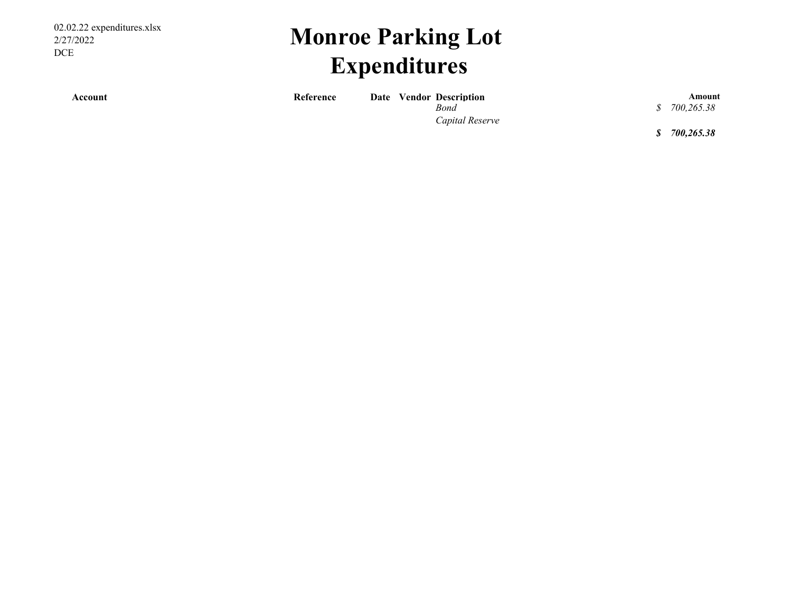02.02.22 expenditures.xlsx 2/27/2022 DCE

# **Monroe Parking Lot Expenditures**

**Account Account Reference Date Vendor Description** *Rond* **<b>Bond 8** 700,265.38

*Capital Reserve*

*Bond 700,265.38 \$* 

*\$ 700,265.38*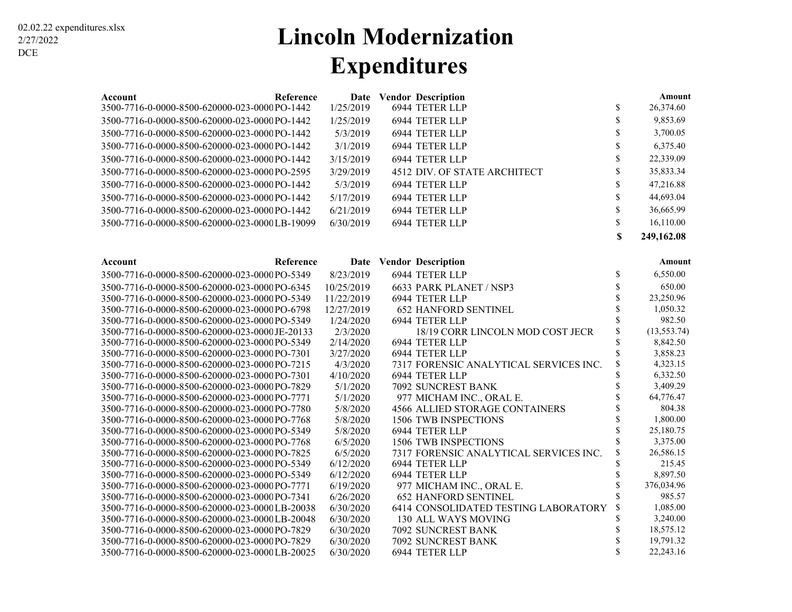# **Lincoln Modernization Expenditures**

| Account                                        | Reference |            | Date Vendor Description                |             | Amount       |
|------------------------------------------------|-----------|------------|----------------------------------------|-------------|--------------|
| 3500-7716-0-0000-8500-620000-023-0000 PO-1442  |           | 1/25/2019  | 6944 TETER LLP                         | \$          | 26,374.60    |
| 3500-7716-0-0000-8500-620000-023-0000 PO-1442  |           | 1/25/2019  | 6944 TETER LLP                         | $\mathbb S$ | 9,853.69     |
| 3500-7716-0-0000-8500-620000-023-0000 PO-1442  |           | 5/3/2019   | 6944 TETER LLP                         | \$          | 3,700.05     |
| 3500-7716-0-0000-8500-620000-023-0000 PO-1442  |           | 3/1/2019   | 6944 TETER LLP                         | \$          | 6,375.40     |
| 3500-7716-0-0000-8500-620000-023-0000 PO-1442  |           | 3/15/2019  | 6944 TETER LLP                         | \$          | 22,339.09    |
| 3500-7716-0-0000-8500-620000-023-0000 PO-2595  |           | 3/29/2019  | 4512 DIV. OF STATE ARCHITECT           | \$          | 35,833.34    |
| 3500-7716-0-0000-8500-620000-023-0000 PO-1442  |           | 5/3/2019   | 6944 TETER LLP                         | \$          | 47,216.88    |
| 3500-7716-0-0000-8500-620000-023-0000 PO-1442  |           | 5/17/2019  | 6944 TETER LLP                         | \$          | 44,693.04    |
| 3500-7716-0-0000-8500-620000-023-0000 PO-1442  |           | 6/21/2019  | 6944 TETER LLP                         | \$          | 36,665.99    |
| 3500-7716-0-0000-8500-620000-023-0000LB-19099  |           | 6/30/2019  | 6944 TETER LLP                         | \$          | 16,110.00    |
|                                                |           |            |                                        | \$          | 249,162.08   |
|                                                |           |            |                                        |             |              |
| Account                                        | Reference |            | Date Vendor Description                |             | Amount       |
| 3500-7716-0-0000-8500-620000-023-0000 PO-5349  |           | 8/23/2019  | 6944 TETER LLP                         | $\mathbb S$ | 6,550.00     |
| 3500-7716-0-0000-8500-620000-023-0000 PO-6345  |           | 10/25/2019 | 6633 PARK PLANET / NSP3                | \$          | 650.00       |
| 3500-7716-0-0000-8500-620000-023-0000 PO-5349  |           | 11/22/2019 | 6944 TETER LLP                         | \$          | 23,250.96    |
| 3500-7716-0-0000-8500-620000-023-0000 PO-6798  |           | 12/27/2019 | <b>652 HANFORD SENTINEL</b>            | \$          | 1,050.32     |
| 3500-7716-0-0000-8500-620000-023-0000 PO-5349  |           | 1/24/2020  | 6944 TETER LLP                         | \$          | 982.50       |
| 3500-7716-0-0000-8500-620000-023-0000 JE-20133 |           | 2/3/2020   | 18/19 CORR LINCOLN MOD COST JECR       | \$          | (13, 553.74) |
| 3500-7716-0-0000-8500-620000-023-0000 PO-5349  |           | 2/14/2020  | 6944 TETER LLP                         | \$          | 8,842.50     |
| 3500-7716-0-0000-8500-620000-023-0000 PO-7301  |           | 3/27/2020  | 6944 TETER LLP                         | \$          | 3,858.23     |
| 3500-7716-0-0000-8500-620000-023-0000 PO-7215  |           | 4/3/2020   | 7317 FORENSIC ANALYTICAL SERVICES INC. | \$          | 4,323.15     |
| 3500-7716-0-0000-8500-620000-023-0000 PO-7301  |           | 4/10/2020  | 6944 TETER LLP                         | \$          | 6,332.50     |
| 3500-7716-0-0000-8500-620000-023-0000 PO-7829  |           | 5/1/2020   | 7092 SUNCREST BANK                     | \$          | 3,409.29     |
| 3500-7716-0-0000-8500-620000-023-0000 PO-7771  |           | 5/1/2020   | 977 MICHAM INC., ORAL E.               | \$          | 64,776.47    |
| 3500-7716-0-0000-8500-620000-023-0000 PO-7780  |           | 5/8/2020   | <b>4566 ALLIED STORAGE CONTAINERS</b>  | \$          | 804.38       |
| 3500-7716-0-0000-8500-620000-023-0000 PO-7768  |           | 5/8/2020   | 1506 TWB INSPECTIONS                   | \$          | 1,800.00     |
| 3500-7716-0-0000-8500-620000-023-0000 PO-5349  |           | 5/8/2020   | 6944 TETER LLP                         | \$          | 25,180.75    |
| 3500-7716-0-0000-8500-620000-023-0000 PO-7768  |           | 6/5/2020   | 1506 TWB INSPECTIONS                   | \$          | 3,375.00     |
| 3500-7716-0-0000-8500-620000-023-0000 PO-7825  |           | 6/5/2020   | 7317 FORENSIC ANALYTICAL SERVICES INC. | \$          | 26,586.15    |
| 3500-7716-0-0000-8500-620000-023-0000 PO-5349  |           | 6/12/2020  | 6944 TETER LLP                         | \$          | 215.45       |
| 3500-7716-0-0000-8500-620000-023-0000 PO-5349  |           | 6/12/2020  | 6944 TETER LLP                         | \$          | 8,897.50     |
| 3500-7716-0-0000-8500-620000-023-0000 PO-7771  |           | 6/19/2020  | 977 MICHAM INC., ORAL E.               | \$          | 376,034.96   |
| 3500-7716-0-0000-8500-620000-023-0000 PO-7341  |           | 6/26/2020  | <b>652 HANFORD SENTINEL</b>            | \$          | 985.57       |
| 3500-7716-0-0000-8500-620000-023-0000LB-20038  |           | 6/30/2020  | 6414 CONSOLIDATED TESTING LABORATORY   | \$          | 1,085.00     |
| 3500-7716-0-0000-8500-620000-023-0000LB-20048  |           | 6/30/2020  | 130 ALL WAYS MOVING                    | \$          | 3,240.00     |
| 3500-7716-0-0000-8500-620000-023-0000 PO-7829  |           | 6/30/2020  | 7092 SUNCREST BANK                     | \$          | 18,575.12    |
| 3500-7716-0-0000-8500-620000-023-0000 PO-7829  |           | 6/30/2020  | 7092 SUNCREST BANK                     | \$          | 19,791.32    |
| 3500-7716-0-0000-8500-620000-023-0000 LB-20025 |           | 6/30/2020  | 6944 TETER LLP                         | \$          | 22,243.16    |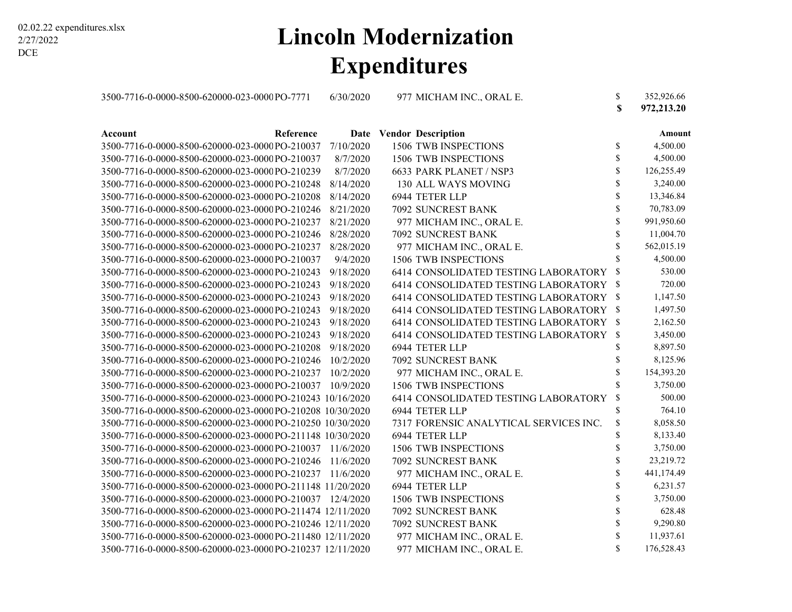# **Lincoln Modernization Expenditures**

| 3500-7716-0-0000-8500-620000-023-0000 PO-7771              | 6/30/2020 | 977 MICHAM INC., ORAL E.               | \$           | 352,926.66 |
|------------------------------------------------------------|-----------|----------------------------------------|--------------|------------|
|                                                            |           |                                        | \$           | 972,213.20 |
| Reference<br>Account                                       |           | Date Vendor Description                |              | Amount     |
| 3500-7716-0-0000-8500-620000-023-0000 PO-210037            | 7/10/2020 | 1506 TWB INSPECTIONS                   | \$           | 4,500.00   |
| 3500-7716-0-0000-8500-620000-023-0000 PO-210037            | 8/7/2020  | <b>1506 TWB INSPECTIONS</b>            | \$           | 4,500.00   |
| 3500-7716-0-0000-8500-620000-023-0000 PO-210239            | 8/7/2020  | 6633 PARK PLANET / NSP3                | \$           | 126,255.49 |
| 3500-7716-0-0000-8500-620000-023-0000 PO-210248            | 8/14/2020 | 130 ALL WAYS MOVING                    | \$           | 3,240.00   |
| 3500-7716-0-0000-8500-620000-023-0000 PO-210208            | 8/14/2020 | 6944 TETER LLP                         | \$           | 13,346.84  |
| 3500-7716-0-0000-8500-620000-023-0000 PO-210246            | 8/21/2020 | 7092 SUNCREST BANK                     | $\mathbb S$  | 70,783.09  |
| 3500-7716-0-0000-8500-620000-023-0000 PO-210237            | 8/21/2020 | 977 MICHAM INC., ORAL E.               | $\mathbb S$  | 991,950.60 |
| 3500-7716-0-0000-8500-620000-023-0000 PO-210246            | 8/28/2020 | 7092 SUNCREST BANK                     | \$           | 11,004.70  |
| 3500-7716-0-0000-8500-620000-023-0000 PO-210237            | 8/28/2020 | 977 MICHAM INC., ORAL E.               | \$           | 562,015.19 |
| 3500-7716-0-0000-8500-620000-023-0000 PO-210037            | 9/4/2020  | 1506 TWB INSPECTIONS                   | \$           | 4,500.00   |
| 3500-7716-0-0000-8500-620000-023-0000 PO-210243            | 9/18/2020 | 6414 CONSOLIDATED TESTING LABORATORY   | \$           | 530.00     |
| 3500-7716-0-0000-8500-620000-023-0000 PO-210243            | 9/18/2020 | 6414 CONSOLIDATED TESTING LABORATORY   | \$           | 720.00     |
| 3500-7716-0-0000-8500-620000-023-0000 PO-210243            | 9/18/2020 | 6414 CONSOLIDATED TESTING LABORATORY   | \$           | 1,147.50   |
| 3500-7716-0-0000-8500-620000-023-0000 PO-210243            | 9/18/2020 | 6414 CONSOLIDATED TESTING LABORATORY   | \$           | 1,497.50   |
| 3500-7716-0-0000-8500-620000-023-0000 PO-210243            | 9/18/2020 | 6414 CONSOLIDATED TESTING LABORATORY   | \$           | 2,162.50   |
| 3500-7716-0-0000-8500-620000-023-0000 PO-210243            | 9/18/2020 | 6414 CONSOLIDATED TESTING LABORATORY   | \$           | 3,450.00   |
| 3500-7716-0-0000-8500-620000-023-0000 PO-210208            | 9/18/2020 | 6944 TETER LLP                         | \$           | 8,897.50   |
| 3500-7716-0-0000-8500-620000-023-0000 PO-210246            | 10/2/2020 | 7092 SUNCREST BANK                     | \$           | 8,125.96   |
| 3500-7716-0-0000-8500-620000-023-0000 PO-210237            | 10/2/2020 | 977 MICHAM INC., ORAL E.               | \$           | 154,393.20 |
| 3500-7716-0-0000-8500-620000-023-0000 PO-210037            | 10/9/2020 | 1506 TWB INSPECTIONS                   | \$           | 3,750.00   |
| 3500-7716-0-0000-8500-620000-023-0000 PO-210243 10/16/2020 |           | 6414 CONSOLIDATED TESTING LABORATORY   | \$           | 500.00     |
| 3500-7716-0-0000-8500-620000-023-0000 PO-210208 10/30/2020 |           | 6944 TETER LLP                         | $\mathbb{S}$ | 764.10     |
| 3500-7716-0-0000-8500-620000-023-0000 PO-210250 10/30/2020 |           | 7317 FORENSIC ANALYTICAL SERVICES INC. | $\mathbb{S}$ | 8,058.50   |
| 3500-7716-0-0000-8500-620000-023-0000 PO-211148 10/30/2020 |           | 6944 TETER LLP                         | \$           | 8,133.40   |
| 3500-7716-0-0000-8500-620000-023-0000 PO-210037            | 11/6/2020 | 1506 TWB INSPECTIONS                   | \$           | 3,750.00   |
| 3500-7716-0-0000-8500-620000-023-0000 PO-210246            | 11/6/2020 | 7092 SUNCREST BANK                     | \$           | 23,219.72  |
| 3500-7716-0-0000-8500-620000-023-0000 PO-210237 11/6/2020  |           | 977 MICHAM INC., ORAL E.               | \$           | 441,174.49 |
| 3500-7716-0-0000-8500-620000-023-0000 PO-211148 11/20/2020 |           | 6944 TETER LLP                         | \$           | 6,231.57   |
| 3500-7716-0-0000-8500-620000-023-0000 PO-210037 12/4/2020  |           | 1506 TWB INSPECTIONS                   | \$           | 3,750.00   |
| 3500-7716-0-0000-8500-620000-023-0000 PO-211474 12/11/2020 |           | 7092 SUNCREST BANK                     | \$           | 628.48     |
| 3500-7716-0-0000-8500-620000-023-0000 PO-210246 12/11/2020 |           | 7092 SUNCREST BANK                     | \$           | 9,290.80   |
| 3500-7716-0-0000-8500-620000-023-0000 PO-211480 12/11/2020 |           | 977 MICHAM INC., ORAL E.               | \$           | 11,937.61  |
| 3500-7716-0-0000-8500-620000-023-0000 PO-210237 12/11/2020 |           | 977 MICHAM INC., ORAL E.               | \$           | 176,528.43 |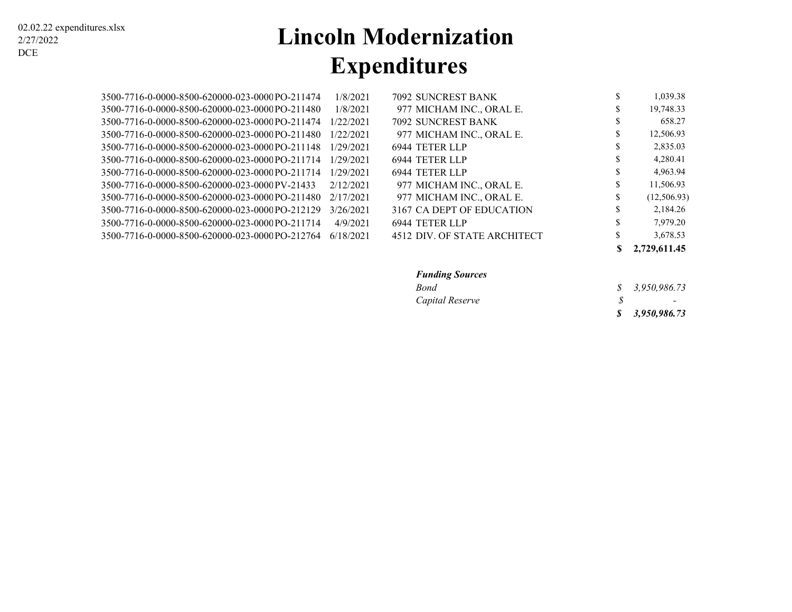# **Lincoln Modernization Expenditures**

| 1/8/2021  | 7092 SUNCREST BANK           |    | 1,039.38    |
|-----------|------------------------------|----|-------------|
| 1/8/2021  | 977 MICHAM INC., ORAL E.     |    | 19,748.33   |
| 1/22/2021 | 7092 SUNCREST BANK           |    | 658.27      |
| 1/22/2021 | 977 MICHAM INC., ORAL E.     |    | 12,506.93   |
| 1/29/2021 | 6944 TETER LLP               |    | 2,835.03    |
| 1/29/2021 | 6944 TETER LLP               |    | 4,280.41    |
| 1/29/2021 | 6944 TETER LLP               |    | 4,963.94    |
| 2/12/2021 | 977 MICHAM INC., ORAL E.     |    | 11,506.93   |
| 2/17/2021 | 977 MICHAM INC., ORAL E.     | S. | (12,506.93) |
| 3/26/2021 | 3167 CA DEPT OF EDUCATION    |    | 2,184.26    |
| 4/9/2021  | 6944 TETER LLP               | S  | 7.979.20    |
| 6/18/2021 | 4512 DIV. OF STATE ARCHITECT |    | 3,678.53    |
|           |                              |    |             |

**\$ 2,729,611.45**

#### *Funding Sources*

| Capital Reserve | $\sim 100$ km s $^{-1}$ |
|-----------------|-------------------------|
|                 | \$3,950,986.73          |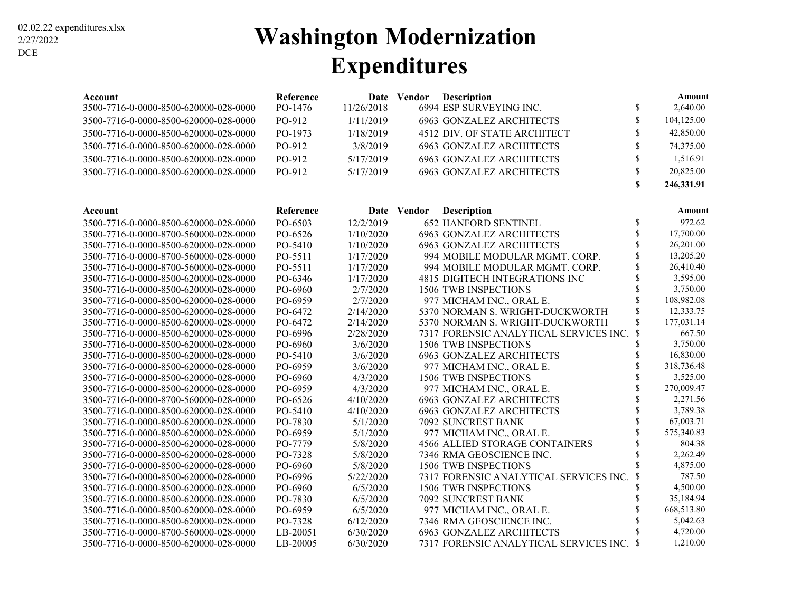# **Washington Modernization Expenditures**

| Account<br>3500-7716-0-0000-8500-620000-028-0000 | Reference<br>PO-1476 | 11/26/2018 | <b>Description</b><br>Date Vendor<br>6994 ESP SURVEYING INC. | \$                 | Amount<br>2,640.00 |
|--------------------------------------------------|----------------------|------------|--------------------------------------------------------------|--------------------|--------------------|
| 3500-7716-0-0000-8500-620000-028-0000            | PO-912               | 1/11/2019  | <b>6963 GONZALEZ ARCHITECTS</b>                              | \$                 | 104,125.00         |
|                                                  |                      |            |                                                              | \$                 |                    |
| 3500-7716-0-0000-8500-620000-028-0000            | PO-1973              | 1/18/2019  | 4512 DIV. OF STATE ARCHITECT                                 |                    | 42,850.00          |
| 3500-7716-0-0000-8500-620000-028-0000            | PO-912               | 3/8/2019   | <b>6963 GONZALEZ ARCHITECTS</b>                              | \$                 | 74,375.00          |
| 3500-7716-0-0000-8500-620000-028-0000            | PO-912               | 5/17/2019  | <b>6963 GONZALEZ ARCHITECTS</b>                              | \$                 | 1,516.91           |
| 3500-7716-0-0000-8500-620000-028-0000            | PO-912               | 5/17/2019  | <b>6963 GONZALEZ ARCHITECTS</b>                              | \$                 | 20,825.00          |
|                                                  |                      |            |                                                              | \$                 | 246,331.91         |
| Account                                          | Reference            |            | Date Vendor<br><b>Description</b>                            |                    | Amount             |
| 3500-7716-0-0000-8500-620000-028-0000            | PO-6503              | 12/2/2019  | <b>652 HANFORD SENTINEL</b>                                  | \$                 | 972.62             |
| 3500-7716-0-0000-8700-560000-028-0000            | PO-6526              | 1/10/2020  | <b>6963 GONZALEZ ARCHITECTS</b>                              | \$                 | 17,700.00          |
| 3500-7716-0-0000-8500-620000-028-0000            | PO-5410              | 1/10/2020  | <b>6963 GONZALEZ ARCHITECTS</b>                              | \$                 | 26,201.00          |
| 3500-7716-0-0000-8700-560000-028-0000            | PO-5511              | 1/17/2020  | 994 MOBILE MODULAR MGMT. CORP.                               | \$                 | 13,205.20          |
| 3500-7716-0-0000-8700-560000-028-0000            | PO-5511              | 1/17/2020  | 994 MOBILE MODULAR MGMT. CORP.                               | \$                 | 26,410.40          |
| 3500-7716-0-0000-8500-620000-028-0000            | PO-6346              | 1/17/2020  | <b>4815 DIGITECH INTEGRATIONS INC</b>                        | \$                 | 3,595.00           |
| 3500-7716-0-0000-8500-620000-028-0000            | PO-6960              | 2/7/2020   | 1506 TWB INSPECTIONS                                         | \$                 | 3,750.00           |
| 3500-7716-0-0000-8500-620000-028-0000            | PO-6959              | 2/7/2020   | 977 MICHAM INC., ORAL E.                                     | \$                 | 108,982.08         |
| 3500-7716-0-0000-8500-620000-028-0000            | PO-6472              | 2/14/2020  | 5370 NORMAN S. WRIGHT-DUCKWORTH                              | \$                 | 12,333.75          |
| 3500-7716-0-0000-8500-620000-028-0000            | PO-6472              | 2/14/2020  | 5370 NORMAN S. WRIGHT-DUCKWORTH                              | \$                 | 177,031.14         |
| 3500-7716-0-0000-8500-620000-028-0000            | PO-6996              | 2/28/2020  | 7317 FORENSIC ANALYTICAL SERVICES INC.                       | \$                 | 667.50             |
| 3500-7716-0-0000-8500-620000-028-0000            | PO-6960              | 3/6/2020   | 1506 TWB INSPECTIONS                                         | \$                 | 3,750.00           |
| 3500-7716-0-0000-8500-620000-028-0000            | PO-5410              | 3/6/2020   | <b>6963 GONZALEZ ARCHITECTS</b>                              | \$                 | 16,830.00          |
| 3500-7716-0-0000-8500-620000-028-0000            | PO-6959              | 3/6/2020   | 977 MICHAM INC., ORAL E.                                     | \$                 | 318,736.48         |
| 3500-7716-0-0000-8500-620000-028-0000            | PO-6960              | 4/3/2020   | 1506 TWB INSPECTIONS                                         | \$                 | 3,525.00           |
| 3500-7716-0-0000-8500-620000-028-0000            | PO-6959              | 4/3/2020   | 977 MICHAM INC., ORAL E.                                     | \$                 | 270,009.47         |
| 3500-7716-0-0000-8700-560000-028-0000            | PO-6526              | 4/10/2020  | <b>6963 GONZALEZ ARCHITECTS</b>                              | \$                 | 2,271.56           |
| 3500-7716-0-0000-8500-620000-028-0000            | PO-5410              | 4/10/2020  | <b>6963 GONZALEZ ARCHITECTS</b>                              | \$                 | 3,789.38           |
| 3500-7716-0-0000-8500-620000-028-0000            | PO-7830              | 5/1/2020   | 7092 SUNCREST BANK                                           | \$                 | 67,003.71          |
| 3500-7716-0-0000-8500-620000-028-0000            | PO-6959              | 5/1/2020   | 977 MICHAM INC., ORAL E.                                     | \$                 | 575,340.83         |
| 3500-7716-0-0000-8500-620000-028-0000            | PO-7779              | 5/8/2020   | <b>4566 ALLIED STORAGE CONTAINERS</b>                        | \$                 | 804.38             |
| 3500-7716-0-0000-8500-620000-028-0000            | PO-7328              | 5/8/2020   | 7346 RMA GEOSCIENCE INC.                                     | $\mathbf S$        | 2,262.49           |
| 3500-7716-0-0000-8500-620000-028-0000            | PO-6960              | 5/8/2020   | 1506 TWB INSPECTIONS                                         | \$                 | 4,875.00           |
| 3500-7716-0-0000-8500-620000-028-0000            | PO-6996              | 5/22/2020  | 7317 FORENSIC ANALYTICAL SERVICES INC.                       | \$                 | 787.50             |
| 3500-7716-0-0000-8500-620000-028-0000            | PO-6960              | 6/5/2020   | 1506 TWB INSPECTIONS                                         | \$                 | 4,500.00           |
| 3500-7716-0-0000-8500-620000-028-0000            | PO-7830              | 6/5/2020   | 7092 SUNCREST BANK                                           | \$                 | 35,184.94          |
| 3500-7716-0-0000-8500-620000-028-0000            | PO-6959              | 6/5/2020   | 977 MICHAM INC., ORAL E.                                     | $\mathbf{\hat{S}}$ | 668,513.80         |
| 3500-7716-0-0000-8500-620000-028-0000            | PO-7328              | 6/12/2020  | 7346 RMA GEOSCIENCE INC.                                     | $\mathbf S$        | 5,042.63           |
| 3500-7716-0-0000-8700-560000-028-0000            | LB-20051             | 6/30/2020  | <b>6963 GONZALEZ ARCHITECTS</b>                              | $\mathbf{\hat{S}}$ | 4,720.00           |
| 3500-7716-0-0000-8500-620000-028-0000            | LB-20005             | 6/30/2020  | 7317 FORENSIC ANALYTICAL SERVICES INC. \$                    |                    | 1.210.00           |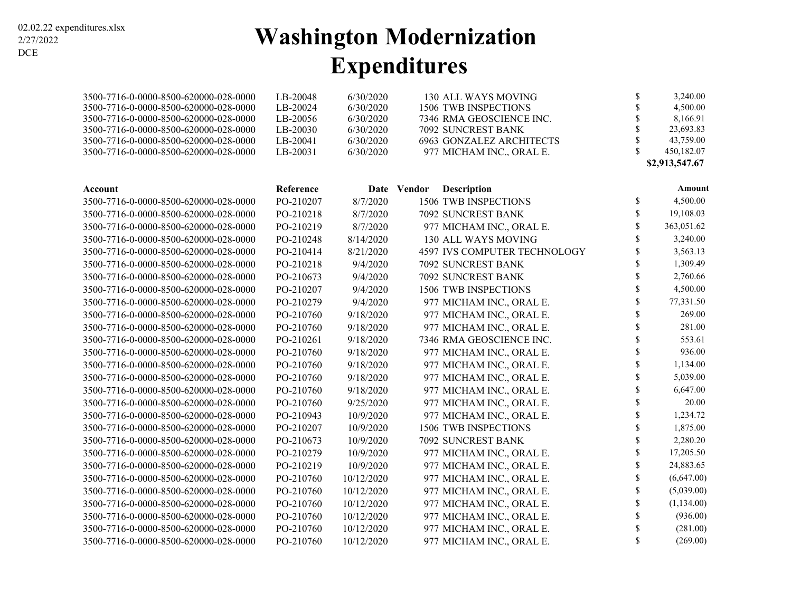#### 02.02.22 expenditures.xlsx 2/27/2022 DCE

# **Washington Modernization Expenditures**

| 3500-7716-0-0000-8500-620000-028-0000 | LB-20048  | 6/30/2020  |             | 130 ALL WAYS MOVING             | \$                 | 3,240.00       |
|---------------------------------------|-----------|------------|-------------|---------------------------------|--------------------|----------------|
| 3500-7716-0-0000-8500-620000-028-0000 | LB-20024  | 6/30/2020  |             | <b>1506 TWB INSPECTIONS</b>     | \$                 | 4,500.00       |
| 3500-7716-0-0000-8500-620000-028-0000 | LB-20056  | 6/30/2020  |             | 7346 RMA GEOSCIENCE INC.        | \$                 | 8,166.91       |
| 3500-7716-0-0000-8500-620000-028-0000 | LB-20030  | 6/30/2020  |             | 7092 SUNCREST BANK              | \$                 | 23,693.83      |
| 3500-7716-0-0000-8500-620000-028-0000 | LB-20041  | 6/30/2020  |             | <b>6963 GONZALEZ ARCHITECTS</b> | \$                 | 43,759.00      |
| 3500-7716-0-0000-8500-620000-028-0000 | LB-20031  | 6/30/2020  |             | 977 MICHAM INC., ORAL E.        | $\mathbf{\hat{S}}$ | 450,182.07     |
|                                       |           |            |             |                                 |                    | \$2,913,547.67 |
| Account                               | Reference |            | Date Vendor | Description                     |                    | Amount         |
| 3500-7716-0-0000-8500-620000-028-0000 | PO-210207 | 8/7/2020   |             | 1506 TWB INSPECTIONS            | \$                 | 4,500.00       |
| 3500-7716-0-0000-8500-620000-028-0000 | PO-210218 | 8/7/2020   |             | 7092 SUNCREST BANK              | \$                 | 19,108.03      |
| 3500-7716-0-0000-8500-620000-028-0000 | PO-210219 | 8/7/2020   |             | 977 MICHAM INC., ORAL E.        | \$                 | 363,051.62     |
| 3500-7716-0-0000-8500-620000-028-0000 | PO-210248 | 8/14/2020  |             | 130 ALL WAYS MOVING             | \$                 | 3,240.00       |
| 3500-7716-0-0000-8500-620000-028-0000 | PO-210414 | 8/21/2020  |             | 4597 IVS COMPUTER TECHNOLOGY    | \$                 | 3,563.13       |
| 3500-7716-0-0000-8500-620000-028-0000 | PO-210218 | 9/4/2020   |             | 7092 SUNCREST BANK              | \$                 | 1,309.49       |
| 3500-7716-0-0000-8500-620000-028-0000 | PO-210673 | 9/4/2020   |             | 7092 SUNCREST BANK              | \$                 | 2,760.66       |
| 3500-7716-0-0000-8500-620000-028-0000 | PO-210207 | 9/4/2020   |             | 1506 TWB INSPECTIONS            | \$                 | 4,500.00       |
| 3500-7716-0-0000-8500-620000-028-0000 | PO-210279 | 9/4/2020   |             | 977 MICHAM INC., ORAL E.        | \$                 | 77,331.50      |
| 3500-7716-0-0000-8500-620000-028-0000 | PO-210760 | 9/18/2020  |             | 977 MICHAM INC., ORAL E.        | \$                 | 269.00         |
| 3500-7716-0-0000-8500-620000-028-0000 | PO-210760 | 9/18/2020  |             | 977 MICHAM INC., ORAL E.        | \$                 | 281.00         |
| 3500-7716-0-0000-8500-620000-028-0000 | PO-210261 | 9/18/2020  |             | 7346 RMA GEOSCIENCE INC.        | \$                 | 553.61         |
| 3500-7716-0-0000-8500-620000-028-0000 | PO-210760 | 9/18/2020  |             | 977 MICHAM INC., ORAL E.        | \$                 | 936.00         |
| 3500-7716-0-0000-8500-620000-028-0000 | PO-210760 | 9/18/2020  |             | 977 MICHAM INC., ORAL E.        | \$                 | 1,134.00       |
| 3500-7716-0-0000-8500-620000-028-0000 | PO-210760 | 9/18/2020  |             | 977 MICHAM INC., ORAL E.        | \$                 | 5,039.00       |
| 3500-7716-0-0000-8500-620000-028-0000 | PO-210760 | 9/18/2020  |             | 977 MICHAM INC., ORAL E.        | \$                 | 6,647.00       |
| 3500-7716-0-0000-8500-620000-028-0000 | PO-210760 | 9/25/2020  |             | 977 MICHAM INC., ORAL E.        | \$                 | 20.00          |
| 3500-7716-0-0000-8500-620000-028-0000 | PO-210943 | 10/9/2020  |             | 977 MICHAM INC., ORAL E.        | \$                 | 1,234.72       |
| 3500-7716-0-0000-8500-620000-028-0000 | PO-210207 | 10/9/2020  |             | 1506 TWB INSPECTIONS            | \$                 | 1,875.00       |
| 3500-7716-0-0000-8500-620000-028-0000 | PO-210673 | 10/9/2020  |             | 7092 SUNCREST BANK              | \$                 | 2,280.20       |
| 3500-7716-0-0000-8500-620000-028-0000 | PO-210279 | 10/9/2020  |             | 977 MICHAM INC., ORAL E.        | \$                 | 17,205.50      |
| 3500-7716-0-0000-8500-620000-028-0000 | PO-210219 | 10/9/2020  |             | 977 MICHAM INC., ORAL E.        | \$                 | 24,883.65      |
| 3500-7716-0-0000-8500-620000-028-0000 | PO-210760 | 10/12/2020 |             | 977 MICHAM INC., ORAL E.        | \$                 | (6,647.00)     |
| 3500-7716-0-0000-8500-620000-028-0000 | PO-210760 | 10/12/2020 |             | 977 MICHAM INC., ORAL E.        | \$                 | (5,039.00)     |
| 3500-7716-0-0000-8500-620000-028-0000 | PO-210760 | 10/12/2020 |             | 977 MICHAM INC., ORAL E.        | \$                 | (1, 134.00)    |
| 3500-7716-0-0000-8500-620000-028-0000 | PO-210760 | 10/12/2020 |             | 977 MICHAM INC., ORAL E.        | \$                 | (936.00)       |
| 3500-7716-0-0000-8500-620000-028-0000 | PO-210760 | 10/12/2020 |             | 977 MICHAM INC., ORAL E.        | \$                 | (281.00)       |
| 3500-7716-0-0000-8500-620000-028-0000 | PO-210760 | 10/12/2020 |             | 977 MICHAM INC., ORAL E.        | \$                 | (269.00)       |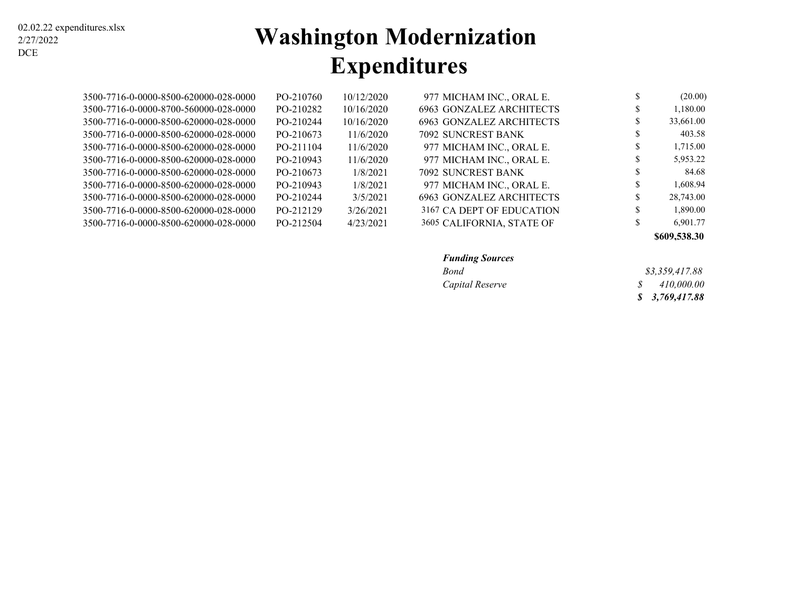# **Washington Modernization Expenditures**

| 3500-7716-0-0000-8500-620000-028-0000 | PO-210760 | 10/12/2020 | 977 MICHAM INC., ORAL E.        |   | (20.00)   |
|---------------------------------------|-----------|------------|---------------------------------|---|-----------|
| 3500-7716-0-0000-8700-560000-028-0000 | PO-210282 | 10/16/2020 | <b>6963 GONZALEZ ARCHITECTS</b> |   | 1,180.00  |
| 3500-7716-0-0000-8500-620000-028-0000 | PO-210244 | 10/16/2020 | <b>6963 GONZALEZ ARCHITECTS</b> |   | 33,661.00 |
| 3500-7716-0-0000-8500-620000-028-0000 | PO-210673 | 11/6/2020  | 7092 SUNCREST BANK              |   | 403.58    |
| 3500-7716-0-0000-8500-620000-028-0000 | PO-211104 | 11/6/2020  | 977 MICHAM INC., ORAL E.        | P | 1,715.00  |
| 3500-7716-0-0000-8500-620000-028-0000 | PO-210943 | 11/6/2020  | 977 MICHAM INC., ORAL E.        |   | 5,953.22  |
| 3500-7716-0-0000-8500-620000-028-0000 | PO-210673 | 1/8/2021   | 7092 SUNCREST BANK              |   | 84.68     |
| 3500-7716-0-0000-8500-620000-028-0000 | PO-210943 | 1/8/2021   | 977 MICHAM INC., ORAL E.        | ъ | 1,608.94  |
| 3500-7716-0-0000-8500-620000-028-0000 | PO-210244 | 3/5/2021   | <b>6963 GONZALEZ ARCHITECTS</b> |   | 28,743.00 |
| 3500-7716-0-0000-8500-620000-028-0000 | PO-212129 | 3/26/2021  | 3167 CA DEPT OF EDUCATION       |   | 1,890.00  |
| 3500-7716-0-0000-8500-620000-028-0000 | PO-212504 | 4/23/2021  | 3605 CALIFORNIA, STATE OF       |   | 6.901.77  |

**\$609,538.30**

### *Funding Sources*

| <b>Bond</b>     | \$3,359,417.88 |
|-----------------|----------------|
| Capital Reserve | 410.000.00     |
|                 | \$3,769,417.88 |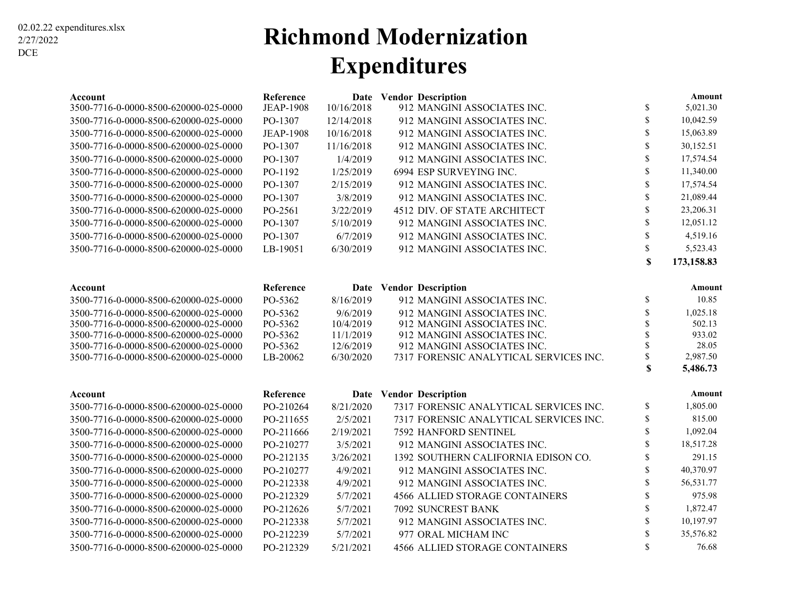| Account                               | Reference        |            | Date Vendor Description                |                    | Amount     |
|---------------------------------------|------------------|------------|----------------------------------------|--------------------|------------|
| 3500-7716-0-0000-8500-620000-025-0000 | <b>JEAP-1908</b> | 10/16/2018 | 912 MANGINI ASSOCIATES INC.            | \$                 | 5,021.30   |
| 3500-7716-0-0000-8500-620000-025-0000 | PO-1307          | 12/14/2018 | 912 MANGINI ASSOCIATES INC.            | \$                 | 10,042.59  |
| 3500-7716-0-0000-8500-620000-025-0000 | <b>JEAP-1908</b> | 10/16/2018 | 912 MANGINI ASSOCIATES INC.            | \$                 | 15,063.89  |
| 3500-7716-0-0000-8500-620000-025-0000 | PO-1307          | 11/16/2018 | 912 MANGINI ASSOCIATES INC.            | \$                 | 30,152.51  |
| 3500-7716-0-0000-8500-620000-025-0000 | PO-1307          | 1/4/2019   | 912 MANGINI ASSOCIATES INC.            | $\mathbf{\hat{S}}$ | 17,574.54  |
| 3500-7716-0-0000-8500-620000-025-0000 | PO-1192          | 1/25/2019  | 6994 ESP SURVEYING INC.                | \$                 | 11,340.00  |
| 3500-7716-0-0000-8500-620000-025-0000 | PO-1307          | 2/15/2019  | 912 MANGINI ASSOCIATES INC.            | \$                 | 17,574.54  |
| 3500-7716-0-0000-8500-620000-025-0000 | PO-1307          | 3/8/2019   | 912 MANGINI ASSOCIATES INC.            | \$                 | 21,089.44  |
| 3500-7716-0-0000-8500-620000-025-0000 | PO-2561          | 3/22/2019  | 4512 DIV. OF STATE ARCHITECT           | \$                 | 23,206.31  |
| 3500-7716-0-0000-8500-620000-025-0000 | PO-1307          | 5/10/2019  | 912 MANGINI ASSOCIATES INC.            | \$                 | 12,051.12  |
| 3500-7716-0-0000-8500-620000-025-0000 | PO-1307          | 6/7/2019   | 912 MANGINI ASSOCIATES INC.            | \$                 | 4,519.16   |
| 3500-7716-0-0000-8500-620000-025-0000 | LB-19051         | 6/30/2019  | 912 MANGINI ASSOCIATES INC.            | \$                 | 5,523.43   |
|                                       |                  |            |                                        | \$                 | 173,158.83 |
| Account                               | Reference        | Date       | <b>Vendor Description</b>              |                    | Amount     |
| 3500-7716-0-0000-8500-620000-025-0000 | PO-5362          | 8/16/2019  | 912 MANGINI ASSOCIATES INC.            | \$                 | 10.85      |
| 3500-7716-0-0000-8500-620000-025-0000 | PO-5362          | 9/6/2019   | 912 MANGINI ASSOCIATES INC.            | \$                 | 1,025.18   |
| 3500-7716-0-0000-8500-620000-025-0000 | PO-5362          | 10/4/2019  | 912 MANGINI ASSOCIATES INC.            | \$                 | 502.13     |
| 3500-7716-0-0000-8500-620000-025-0000 | PO-5362          | 11/1/2019  | 912 MANGINI ASSOCIATES INC.            | \$                 | 933.02     |
| 3500-7716-0-0000-8500-620000-025-0000 | PO-5362          | 12/6/2019  | 912 MANGINI ASSOCIATES INC.            | \$                 | 28.05      |
| 3500-7716-0-0000-8500-620000-025-0000 | LB-20062         | 6/30/2020  | 7317 FORENSIC ANALYTICAL SERVICES INC. | \$                 | 2,987.50   |
|                                       |                  |            |                                        | \$                 | 5,486.73   |
| Account                               | Reference        |            | Date Vendor Description                |                    | Amount     |
| 3500-7716-0-0000-8500-620000-025-0000 | PO-210264        | 8/21/2020  | 7317 FORENSIC ANALYTICAL SERVICES INC. | \$                 | 1,805.00   |
| 3500-7716-0-0000-8500-620000-025-0000 | PO-211655        | 2/5/2021   | 7317 FORENSIC ANALYTICAL SERVICES INC. | \$                 | 815.00     |
| 3500-7716-0-0000-8500-620000-025-0000 | PO-211666        | 2/19/2021  | <b>7592 HANFORD SENTINEL</b>           | \$                 | 1,092.04   |
| 3500-7716-0-0000-8500-620000-025-0000 | PO-210277        | 3/5/2021   | 912 MANGINI ASSOCIATES INC.            | \$                 | 18,517.28  |
| 3500-7716-0-0000-8500-620000-025-0000 | PO-212135        | 3/26/2021  | 1392 SOUTHERN CALIFORNIA EDISON CO.    | \$                 | 291.15     |
| 3500-7716-0-0000-8500-620000-025-0000 | PO-210277        | 4/9/2021   | 912 MANGINI ASSOCIATES INC.            | \$                 | 40,370.97  |
| 3500-7716-0-0000-8500-620000-025-0000 | PO-212338        | 4/9/2021   | 912 MANGINI ASSOCIATES INC.            | \$                 | 56,531.77  |
| 3500-7716-0-0000-8500-620000-025-0000 | PO-212329        | 5/7/2021   | <b>4566 ALLIED STORAGE CONTAINERS</b>  | \$                 | 975.98     |
| 3500-7716-0-0000-8500-620000-025-0000 | PO-212626        | 5/7/2021   | 7092 SUNCREST BANK                     | \$                 | 1,872.47   |
| 3500-7716-0-0000-8500-620000-025-0000 | PO-212338        | 5/7/2021   | 912 MANGINI ASSOCIATES INC.            | \$                 | 10,197.97  |
| 3500-7716-0-0000-8500-620000-025-0000 | PO-212239        | 5/7/2021   | 977 ORAL MICHAM INC                    | \$                 | 35,576.82  |
| 3500-7716-0-0000-8500-620000-025-0000 | PO-212329        | 5/21/2021  | <b>4566 ALLIED STORAGE CONTAINERS</b>  | \$                 | 76.68      |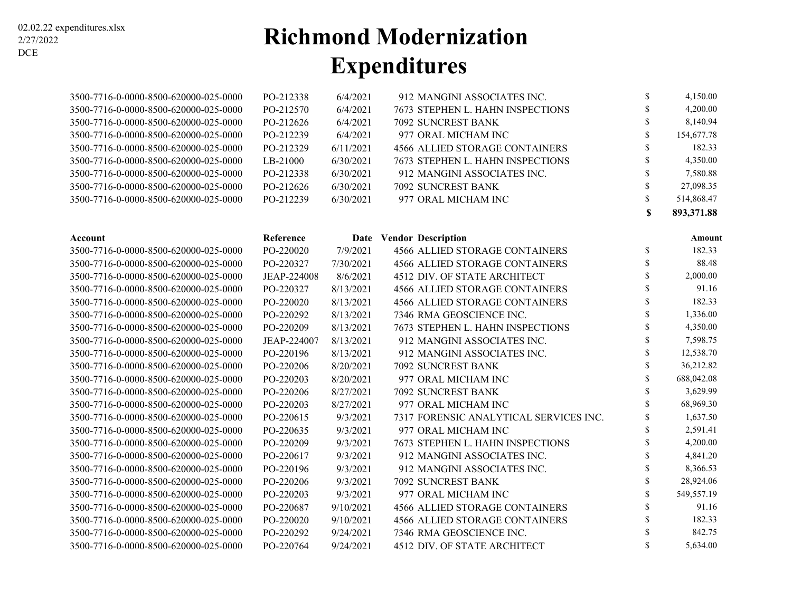| 3500-7716-0-0000-8500-620000-025-0000 | PO-212338   | 6/4/2021  | 912 MANGINI ASSOCIATES INC.            | \$          | 4,150.00   |
|---------------------------------------|-------------|-----------|----------------------------------------|-------------|------------|
| 3500-7716-0-0000-8500-620000-025-0000 | PO-212570   | 6/4/2021  | 7673 STEPHEN L. HAHN INSPECTIONS       | \$          | 4,200.00   |
| 3500-7716-0-0000-8500-620000-025-0000 | PO-212626   | 6/4/2021  | 7092 SUNCREST BANK                     | \$          | 8,140.94   |
| 3500-7716-0-0000-8500-620000-025-0000 | PO-212239   | 6/4/2021  | 977 ORAL MICHAM INC                    | \$          | 154,677.78 |
| 3500-7716-0-0000-8500-620000-025-0000 | PO-212329   | 6/11/2021 | 4566 ALLIED STORAGE CONTAINERS         | \$          | 182.33     |
| 3500-7716-0-0000-8500-620000-025-0000 | LB-21000    | 6/30/2021 | 7673 STEPHEN L. HAHN INSPECTIONS       | \$          | 4,350.00   |
| 3500-7716-0-0000-8500-620000-025-0000 | PO-212338   | 6/30/2021 | 912 MANGINI ASSOCIATES INC.            | \$          | 7,580.88   |
| 3500-7716-0-0000-8500-620000-025-0000 | PO-212626   | 6/30/2021 | 7092 SUNCREST BANK                     | \$          | 27,098.35  |
| 3500-7716-0-0000-8500-620000-025-0000 | PO-212239   | 6/30/2021 | 977 ORAL MICHAM INC                    | \$          | 514,868.47 |
|                                       |             |           |                                        | $\mathbf S$ | 893,371.88 |
| Account                               | Reference   |           | Date Vendor Description                |             | Amount     |
| 3500-7716-0-0000-8500-620000-025-0000 | PO-220020   | 7/9/2021  | <b>4566 ALLIED STORAGE CONTAINERS</b>  | \$          | 182.33     |
| 3500-7716-0-0000-8500-620000-025-0000 | PO-220327   | 7/30/2021 | 4566 ALLIED STORAGE CONTAINERS         | \$          | 88.48      |
| 3500-7716-0-0000-8500-620000-025-0000 | JEAP-224008 | 8/6/2021  | 4512 DIV. OF STATE ARCHITECT           | \$          | 2,000.00   |
| 3500-7716-0-0000-8500-620000-025-0000 | PO-220327   | 8/13/2021 | <b>4566 ALLIED STORAGE CONTAINERS</b>  | \$          | 91.16      |
| 3500-7716-0-0000-8500-620000-025-0000 | PO-220020   | 8/13/2021 | 4566 ALLIED STORAGE CONTAINERS         | \$          | 182.33     |
| 3500-7716-0-0000-8500-620000-025-0000 | PO-220292   | 8/13/2021 | 7346 RMA GEOSCIENCE INC.               | \$          | 1,336.00   |
| 3500-7716-0-0000-8500-620000-025-0000 | PO-220209   | 8/13/2021 | 7673 STEPHEN L. HAHN INSPECTIONS       | \$          | 4,350.00   |
| 3500-7716-0-0000-8500-620000-025-0000 | JEAP-224007 | 8/13/2021 | 912 MANGINI ASSOCIATES INC.            | \$          | 7,598.75   |
| 3500-7716-0-0000-8500-620000-025-0000 | PO-220196   | 8/13/2021 | 912 MANGINI ASSOCIATES INC.            | \$          | 12,538.70  |
| 3500-7716-0-0000-8500-620000-025-0000 | PO-220206   | 8/20/2021 | 7092 SUNCREST BANK                     | \$          | 36,212.82  |
| 3500-7716-0-0000-8500-620000-025-0000 | PO-220203   | 8/20/2021 | 977 ORAL MICHAM INC                    | \$          | 688,042.08 |
| 3500-7716-0-0000-8500-620000-025-0000 | PO-220206   | 8/27/2021 | 7092 SUNCREST BANK                     | \$          | 3,629.99   |
| 3500-7716-0-0000-8500-620000-025-0000 | PO-220203   | 8/27/2021 | 977 ORAL MICHAM INC                    | \$          | 68,969.30  |
| 3500-7716-0-0000-8500-620000-025-0000 | PO-220615   | 9/3/2021  | 7317 FORENSIC ANALYTICAL SERVICES INC. | \$          | 1,637.50   |
| 3500-7716-0-0000-8500-620000-025-0000 | PO-220635   | 9/3/2021  | 977 ORAL MICHAM INC                    | \$          | 2,591.41   |
| 3500-7716-0-0000-8500-620000-025-0000 | PO-220209   | 9/3/2021  | 7673 STEPHEN L. HAHN INSPECTIONS       | \$          | 4,200.00   |
| 3500-7716-0-0000-8500-620000-025-0000 | PO-220617   | 9/3/2021  | 912 MANGINI ASSOCIATES INC.            | \$          | 4,841.20   |
| 3500-7716-0-0000-8500-620000-025-0000 | PO-220196   | 9/3/2021  | 912 MANGINI ASSOCIATES INC.            | \$          | 8,366.53   |
| 3500-7716-0-0000-8500-620000-025-0000 | PO-220206   | 9/3/2021  | 7092 SUNCREST BANK                     | \$          | 28,924.06  |
| 3500-7716-0-0000-8500-620000-025-0000 | PO-220203   | 9/3/2021  | 977 ORAL MICHAM INC                    | \$          | 549,557.19 |
| 3500-7716-0-0000-8500-620000-025-0000 | PO-220687   | 9/10/2021 | 4566 ALLIED STORAGE CONTAINERS         | \$          | 91.16      |
| 3500-7716-0-0000-8500-620000-025-0000 | PO-220020   | 9/10/2021 | 4566 ALLIED STORAGE CONTAINERS         | \$          | 182.33     |
| 3500-7716-0-0000-8500-620000-025-0000 | PO-220292   | 9/24/2021 | 7346 RMA GEOSCIENCE INC.               | \$          | 842.75     |
| 3500-7716-0-0000-8500-620000-025-0000 | PO-220764   | 9/24/2021 | 4512 DIV. OF STATE ARCHITECT           | \$          | 5,634.00   |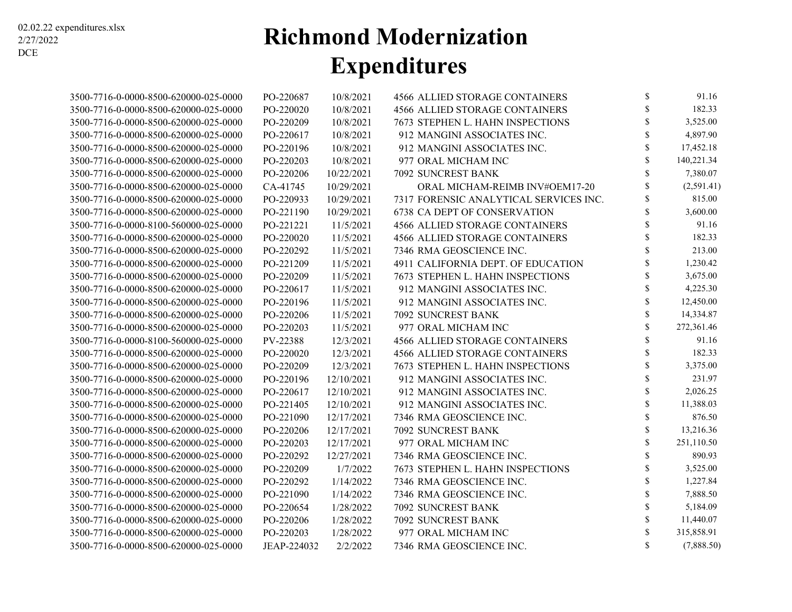| 3500-7716-0-0000-8500-620000-025-0000 | PO-220687   | 10/8/2021  | 4566 ALLIED STORAGE CONTAINERS         | \$ | 91.16      |
|---------------------------------------|-------------|------------|----------------------------------------|----|------------|
| 3500-7716-0-0000-8500-620000-025-0000 | PO-220020   | 10/8/2021  | 4566 ALLIED STORAGE CONTAINERS         | \$ | 182.33     |
| 3500-7716-0-0000-8500-620000-025-0000 | PO-220209   | 10/8/2021  | 7673 STEPHEN L. HAHN INSPECTIONS       | \$ | 3,525.00   |
| 3500-7716-0-0000-8500-620000-025-0000 | PO-220617   | 10/8/2021  | 912 MANGINI ASSOCIATES INC.            |    | 4,897.90   |
| 3500-7716-0-0000-8500-620000-025-0000 | PO-220196   | 10/8/2021  | 912 MANGINI ASSOCIATES INC.            |    | 17,452.18  |
| 3500-7716-0-0000-8500-620000-025-0000 | PO-220203   | 10/8/2021  | 977 ORAL MICHAM INC                    |    | 140,221.34 |
| 3500-7716-0-0000-8500-620000-025-0000 | PO-220206   | 10/22/2021 | 7092 SUNCREST BANK                     |    | 7,380.07   |
| 3500-7716-0-0000-8500-620000-025-0000 | CA-41745    | 10/29/2021 | ORAL MICHAM-REIMB INV#OEM17-20         |    | (2,591.41) |
| 3500-7716-0-0000-8500-620000-025-0000 | PO-220933   | 10/29/2021 | 7317 FORENSIC ANALYTICAL SERVICES INC. |    | 815.00     |
| 3500-7716-0-0000-8500-620000-025-0000 | PO-221190   | 10/29/2021 | 6738 CA DEPT OF CONSERVATION           |    | 3,600.00   |
| 3500-7716-0-0000-8100-560000-025-0000 | PO-221221   | 11/5/2021  | 4566 ALLIED STORAGE CONTAINERS         |    | 91.16      |
| 3500-7716-0-0000-8500-620000-025-0000 | PO-220020   | 11/5/2021  | 4566 ALLIED STORAGE CONTAINERS         | S  | 182.33     |
| 3500-7716-0-0000-8500-620000-025-0000 | PO-220292   | 11/5/2021  | 7346 RMA GEOSCIENCE INC.               |    | 213.00     |
| 3500-7716-0-0000-8500-620000-025-0000 | PO-221209   | 11/5/2021  | 4911 CALIFORNIA DEPT. OF EDUCATION     |    | 1,230.42   |
| 3500-7716-0-0000-8500-620000-025-0000 | PO-220209   | 11/5/2021  | 7673 STEPHEN L. HAHN INSPECTIONS       | S  | 3,675.00   |
| 3500-7716-0-0000-8500-620000-025-0000 | PO-220617   | 11/5/2021  | 912 MANGINI ASSOCIATES INC.            | \$ | 4,225.30   |
| 3500-7716-0-0000-8500-620000-025-0000 | PO-220196   | 11/5/2021  | 912 MANGINI ASSOCIATES INC.            | \$ | 12,450.00  |
| 3500-7716-0-0000-8500-620000-025-0000 | PO-220206   | 11/5/2021  | 7092 SUNCREST BANK                     |    | 14,334.87  |
| 3500-7716-0-0000-8500-620000-025-0000 | PO-220203   | 11/5/2021  | 977 ORAL MICHAM INC                    |    | 272,361.46 |
| 3500-7716-0-0000-8100-560000-025-0000 | PV-22388    | 12/3/2021  | <b>4566 ALLIED STORAGE CONTAINERS</b>  |    | 91.16      |
| 3500-7716-0-0000-8500-620000-025-0000 | PO-220020   | 12/3/2021  | 4566 ALLIED STORAGE CONTAINERS         |    | 182.33     |
| 3500-7716-0-0000-8500-620000-025-0000 | PO-220209   | 12/3/2021  | 7673 STEPHEN L. HAHN INSPECTIONS       |    | 3,375.00   |
| 3500-7716-0-0000-8500-620000-025-0000 | PO-220196   | 12/10/2021 | 912 MANGINI ASSOCIATES INC.            |    | 231.97     |
| 3500-7716-0-0000-8500-620000-025-0000 | PO-220617   | 12/10/2021 | 912 MANGINI ASSOCIATES INC.            |    | 2,026.25   |
| 3500-7716-0-0000-8500-620000-025-0000 | PO-221405   | 12/10/2021 | 912 MANGINI ASSOCIATES INC.            | \$ | 11,388.03  |
| 3500-7716-0-0000-8500-620000-025-0000 | PO-221090   | 12/17/2021 | 7346 RMA GEOSCIENCE INC.               | S  | 876.50     |
| 3500-7716-0-0000-8500-620000-025-0000 | PO-220206   | 12/17/2021 | 7092 SUNCREST BANK                     | \$ | 13,216.36  |
| 3500-7716-0-0000-8500-620000-025-0000 | PO-220203   | 12/17/2021 | 977 ORAL MICHAM INC                    | S  | 251,110.50 |
| 3500-7716-0-0000-8500-620000-025-0000 | PO-220292   | 12/27/2021 | 7346 RMA GEOSCIENCE INC.               | \$ | 890.93     |
| 3500-7716-0-0000-8500-620000-025-0000 | PO-220209   | 1/7/2022   | 7673 STEPHEN L. HAHN INSPECTIONS       | \$ | 3,525.00   |
| 3500-7716-0-0000-8500-620000-025-0000 | PO-220292   | 1/14/2022  | 7346 RMA GEOSCIENCE INC.               |    | 1,227.84   |
| 3500-7716-0-0000-8500-620000-025-0000 | PO-221090   | 1/14/2022  | 7346 RMA GEOSCIENCE INC.               |    | 7,888.50   |
| 3500-7716-0-0000-8500-620000-025-0000 | PO-220654   | 1/28/2022  | 7092 SUNCREST BANK                     |    | 5,184.09   |
| 3500-7716-0-0000-8500-620000-025-0000 | PO-220206   | 1/28/2022  | 7092 SUNCREST BANK                     |    | 11,440.07  |
| 3500-7716-0-0000-8500-620000-025-0000 | PO-220203   | 1/28/2022  | 977 ORAL MICHAM INC                    |    | 315,858.91 |
| 3500-7716-0-0000-8500-620000-025-0000 | JEAP-224032 | 2/2/2022   | 7346 RMA GEOSCIENCE INC.               | \$ | (7,888.50) |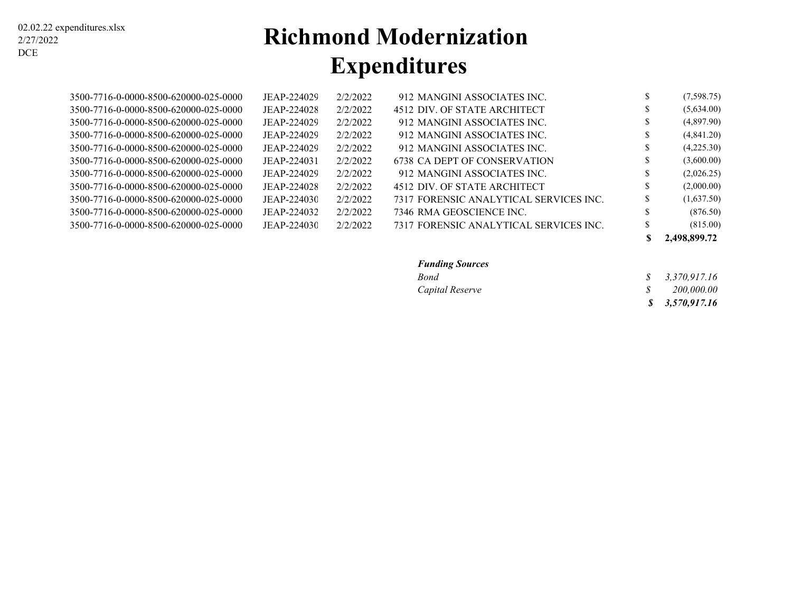|                                       |                    |          |                                        |     | 2,498,899.72 |
|---------------------------------------|--------------------|----------|----------------------------------------|-----|--------------|
| 3500-7716-0-0000-8500-620000-025-0000 | JEAP-224030        | 2/2/2022 | 7317 FORENSIC ANALYTICAL SERVICES INC. |     | (815.00)     |
| 3500-7716-0-0000-8500-620000-025-0000 | JEAP-224032        | 2/2/2022 | 7346 RMA GEOSCIENCE INC.               |     | (876.50)     |
| 3500-7716-0-0000-8500-620000-025-0000 | JEAP-224030        | 2/2/2022 | 7317 FORENSIC ANALYTICAL SERVICES INC. | ъĐ. | (1,637.50)   |
| 3500-7716-0-0000-8500-620000-025-0000 | JEAP-224028        | 2/2/2022 | 4512 DIV. OF STATE ARCHITECT           |     | (2,000.00)   |
| 3500-7716-0-0000-8500-620000-025-0000 | JEAP-224029        | 2/2/2022 | 912 MANGINI ASSOCIATES INC.            |     | (2,026.25)   |
| 3500-7716-0-0000-8500-620000-025-0000 | JEAP-224031        | 2/2/2022 | 6738 CA DEPT OF CONSERVATION           | D   | (3,600.00)   |
| 3500-7716-0-0000-8500-620000-025-0000 | JEAP-224029        | 2/2/2022 | 912 MANGINI ASSOCIATES INC.            |     | (4,225.30)   |
| 3500-7716-0-0000-8500-620000-025-0000 | JEAP-224029        | 2/2/2022 | 912 MANGINI ASSOCIATES INC.            |     | (4,841.20)   |
| 3500-7716-0-0000-8500-620000-025-0000 | JEAP-224029        | 2/2/2022 | 912 MANGINI ASSOCIATES INC.            |     | (4,897.90)   |
| 3500-7716-0-0000-8500-620000-025-0000 | <b>JEAP-224028</b> | 2/2/2022 | 4512 DIV. OF STATE ARCHITECT           |     | (5,634.00)   |
| 3500-7716-0-0000-8500-620000-025-0000 | JEAP-224029        | 2/2/2022 | 912 MANGINI ASSOCIATES INC.            |     | (7,598.75)   |
|                                       |                    |          |                                        |     |              |

#### *Funding Sources*

|                 | \$3,570,917.16 |
|-----------------|----------------|
| Capital Reserve | 200,000.00     |
| Bond            | \$3,370,917.16 |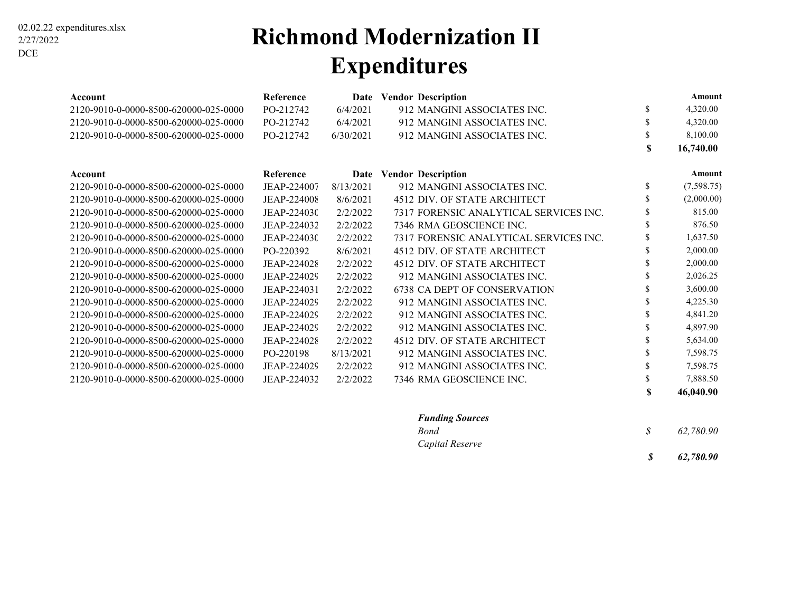#### 02.02.22 expenditures.xlsx 2/27/2022DCE

### **Richmond Modernization II Expenditures**

| Account                               | Reference   | Date      | <b>Vendor Description</b>              |     | Amount     |
|---------------------------------------|-------------|-----------|----------------------------------------|-----|------------|
| 2120-9010-0-0000-8500-620000-025-0000 | PO-212742   | 6/4/2021  | 912 MANGINI ASSOCIATES INC.            | \$  | 4,320.00   |
| 2120-9010-0-0000-8500-620000-025-0000 | PO-212742   | 6/4/2021  | 912 MANGINI ASSOCIATES INC.            | \$  | 4,320.00   |
| 2120-9010-0-0000-8500-620000-025-0000 | PO-212742   | 6/30/2021 | 912 MANGINI ASSOCIATES INC.            | \$  | 8,100.00   |
|                                       |             |           |                                        | \$  | 16,740.00  |
| Account                               | Reference   | Date      | <b>Vendor Description</b>              |     | Amount     |
| 2120-9010-0-0000-8500-620000-025-0000 | JEAP-224007 | 8/13/2021 | 912 MANGINI ASSOCIATES INC.            | \$  | (7,598.75) |
| 2120-9010-0-0000-8500-620000-025-0000 | JEAP-224008 | 8/6/2021  | 4512 DIV. OF STATE ARCHITECT           | \$  | (2,000.00) |
| 2120-9010-0-0000-8500-620000-025-0000 | JEAP-224030 | 2/2/2022  | 7317 FORENSIC ANALYTICAL SERVICES INC. | \$. | 815.00     |
| 2120-9010-0-0000-8500-620000-025-0000 | JEAP-224032 | 2/2/2022  | 7346 RMA GEOSCIENCE INC.               | \$  | 876.50     |
| 2120-9010-0-0000-8500-620000-025-0000 | JEAP-224030 | 2/2/2022  | 7317 FORENSIC ANALYTICAL SERVICES INC. | \$  | 1,637.50   |
| 2120-9010-0-0000-8500-620000-025-0000 | PO-220392   | 8/6/2021  | 4512 DIV. OF STATE ARCHITECT           | \$  | 2,000.00   |
| 2120-9010-0-0000-8500-620000-025-0000 | JEAP-224028 | 2/2/2022  | 4512 DIV. OF STATE ARCHITECT           | \$  | 2,000.00   |
| 2120-9010-0-0000-8500-620000-025-0000 | JEAP-224029 | 2/2/2022  | 912 MANGINI ASSOCIATES INC.            | \$  | 2,026.25   |
| 2120-9010-0-0000-8500-620000-025-0000 | JEAP-224031 | 2/2/2022  | <b>6738 CA DEPT OF CONSERVATION</b>    | S   | 3,600.00   |
| 2120-9010-0-0000-8500-620000-025-0000 | JEAP-224029 | 2/2/2022  | 912 MANGINI ASSOCIATES INC.            | \$  | 4,225.30   |
| 2120-9010-0-0000-8500-620000-025-0000 | JEAP-224029 | 2/2/2022  | 912 MANGINI ASSOCIATES INC.            | \$. | 4,841.20   |
| 2120-9010-0-0000-8500-620000-025-0000 | JEAP-224029 | 2/2/2022  | 912 MANGINI ASSOCIATES INC.            | \$  | 4,897.90   |
| 2120-9010-0-0000-8500-620000-025-0000 | JEAP-224028 | 2/2/2022  | 4512 DIV. OF STATE ARCHITECT           |     | 5,634.00   |
| 2120-9010-0-0000-8500-620000-025-0000 | PO-220198   | 8/13/2021 | 912 MANGINI ASSOCIATES INC.            | \$  | 7,598.75   |
| 2120-9010-0-0000-8500-620000-025-0000 | JEAP-224029 | 2/2/2022  | 912 MANGINI ASSOCIATES INC.            | S   | 7,598.75   |
| 2120-9010-0-0000-8500-620000-025-0000 | JEAP-224032 | 2/2/2022  | 7346 RMA GEOSCIENCE INC.               |     | 7,888.50   |
|                                       |             |           |                                        | S   | 46,040.90  |

#### *Funding Sources*

| Capital Reserve |           |
|-----------------|-----------|
|                 | 62,780.90 |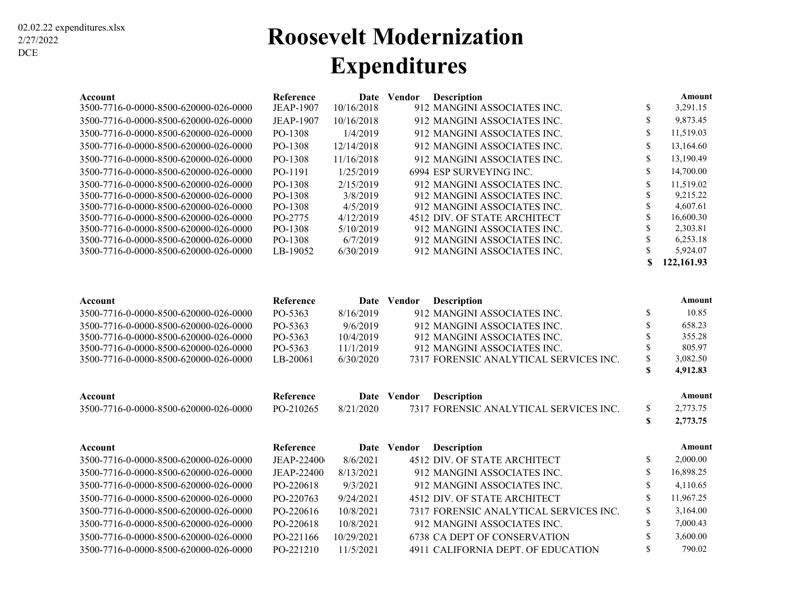# **Roosevelt Modernization Expenditures**

| Account                               | Reference        | Date       | <b>Vendor</b><br><b>Description</b> |    | Amount     |
|---------------------------------------|------------------|------------|-------------------------------------|----|------------|
| 3500-7716-0-0000-8500-620000-026-0000 | <b>JEAP-1907</b> | 10/16/2018 | 912 MANGINI ASSOCIATES INC.         | S  | 3,291.15   |
| 3500-7716-0-0000-8500-620000-026-0000 | <b>JEAP-1907</b> | 10/16/2018 | 912 MANGINI ASSOCIATES INC.         | \$ | 9,873.45   |
| 3500-7716-0-0000-8500-620000-026-0000 | PO-1308          | 1/4/2019   | 912 MANGINI ASSOCIATES INC.         | \$ | 11,519.03  |
| 3500-7716-0-0000-8500-620000-026-0000 | PO-1308          | 12/14/2018 | 912 MANGINI ASSOCIATES INC.         | \$ | 13,164.60  |
| 3500-7716-0-0000-8500-620000-026-0000 | PO-1308          | 11/16/2018 | 912 MANGINI ASSOCIATES INC.         | \$ | 13,190.49  |
| 3500-7716-0-0000-8500-620000-026-0000 | PO-1191          | 1/25/2019  | 6994 ESP SURVEYING INC.             | \$ | 14,700.00  |
| 3500-7716-0-0000-8500-620000-026-0000 | PO-1308          | 2/15/2019  | 912 MANGINI ASSOCIATES INC.         | \$ | 11,519.02  |
| 3500-7716-0-0000-8500-620000-026-0000 | PO-1308          | 3/8/2019   | 912 MANGINI ASSOCIATES INC.         |    | 9,215.22   |
| 3500-7716-0-0000-8500-620000-026-0000 | PO-1308          | 4/5/2019   | 912 MANGINI ASSOCIATES INC.         | ъ  | 4.607.61   |
| 3500-7716-0-0000-8500-620000-026-0000 | PO-2775          | 4/12/2019  | 4512 DIV. OF STATE ARCHITECT        | ъ  | 16,600.30  |
| 3500-7716-0-0000-8500-620000-026-0000 | PO-1308          | 5/10/2019  | 912 MANGINI ASSOCIATES INC.         |    | 2.303.81   |
| 3500-7716-0-0000-8500-620000-026-0000 | PO-1308          | 6/7/2019   | 912 MANGINI ASSOCIATES INC.         |    | 6,253.18   |
| 3500-7716-0-0000-8500-620000-026-0000 | LB-19052         | 6/30/2019  | 912 MANGINI ASSOCIATES INC.         | S  | 5,924.07   |
|                                       |                  |            |                                     |    | 122,161.93 |

| Account                               | <b>Reference</b>  | Date       | Vendor        | <b>Description</b>                     |    | Amount    |
|---------------------------------------|-------------------|------------|---------------|----------------------------------------|----|-----------|
| 3500-7716-0-0000-8500-620000-026-0000 | PO-5363           | 8/16/2019  |               | 912 MANGINI ASSOCIATES INC.            | \$ | 10.85     |
| 3500-7716-0-0000-8500-620000-026-0000 | PO-5363           | 9/6/2019   |               | 912 MANGINI ASSOCIATES INC.            |    | 658.23    |
| 3500-7716-0-0000-8500-620000-026-0000 | PO-5363           | 10/4/2019  |               | 912 MANGINI ASSOCIATES INC.            |    | 355.28    |
| 3500-7716-0-0000-8500-620000-026-0000 | PO-5363           | 11/1/2019  |               | 912 MANGINI ASSOCIATES INC.            |    | 805.97    |
| 3500-7716-0-0000-8500-620000-026-0000 | LB-20061          | 6/30/2020  |               | 7317 FORENSIC ANALYTICAL SERVICES INC. |    | 3,082.50  |
|                                       |                   |            |               |                                        | S  | 4,912.83  |
| Account                               | Reference         | Date       | <b>Vendor</b> | <b>Description</b>                     |    | Amount    |
| 3500-7716-0-0000-8500-620000-026-0000 | PO-210265         | 8/21/2020  |               | 7317 FORENSIC ANALYTICAL SERVICES INC. | \$ | 2,773.75  |
|                                       |                   |            |               |                                        | \$ | 2,773.75  |
| Account                               | <b>Reference</b>  | Date       | <b>Vendor</b> | <b>Description</b>                     |    | Amount    |
| 3500-7716-0-0000-8500-620000-026-0000 | <b>JEAP-22400</b> | 8/6/2021   |               | 4512 DIV. OF STATE ARCHITECT           | \$ | 2,000.00  |
| 3500-7716-0-0000-8500-620000-026-0000 | <b>JEAP-22400</b> | 8/13/2021  |               | 912 MANGINI ASSOCIATES INC.            |    | 16,898.25 |
| 3500-7716-0-0000-8500-620000-026-0000 | PO-220618         | 9/3/2021   |               | 912 MANGINI ASSOCIATES INC.            |    | 4,110.65  |
| 3500-7716-0-0000-8500-620000-026-0000 | PO-220763         | 9/24/2021  |               | 4512 DIV. OF STATE ARCHITECT           |    | 11,967.25 |
| 3500-7716-0-0000-8500-620000-026-0000 | PO-220616         | 10/8/2021  |               | 7317 FORENSIC ANALYTICAL SERVICES INC. | \$ | 3,164.00  |
| 3500-7716-0-0000-8500-620000-026-0000 | PO-220618         | 10/8/2021  |               | 912 MANGINI ASSOCIATES INC.            | \$ | 7,000.43  |
| 3500-7716-0-0000-8500-620000-026-0000 | PO-221166         | 10/29/2021 |               | 6738 CA DEPT OF CONSERVATION           |    | 3,600.00  |
| 3500-7716-0-0000-8500-620000-026-0000 | PO-221210         | 11/5/2021  |               | 4911 CALIFORNIA DEPT. OF EDUCATION     |    | 790.02    |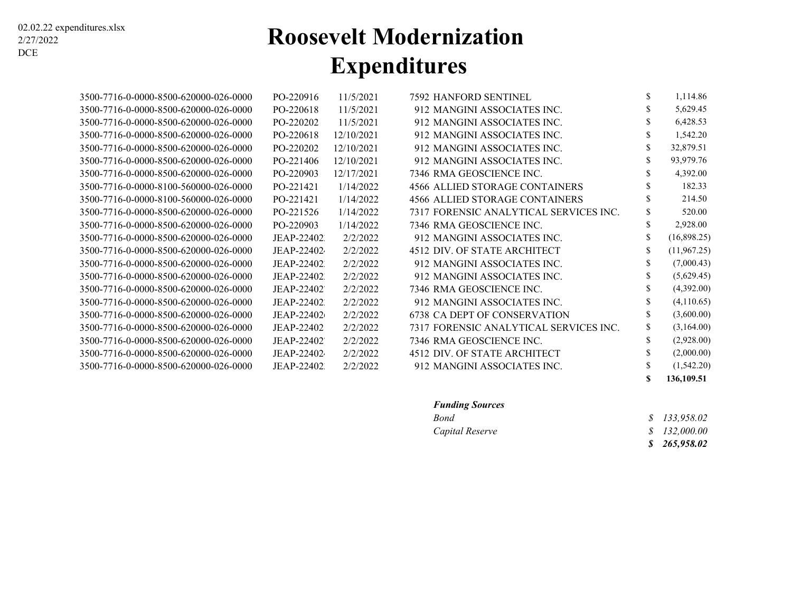# **Roosevelt Modernization Expenditures**

| 3500-7716-0-0000-8500-620000-026-0000 | PO-220916         | 11/5/2021  | <b>7592 HANFORD SENTINEL</b>           | \$ | 1,114.86    |
|---------------------------------------|-------------------|------------|----------------------------------------|----|-------------|
| 3500-7716-0-0000-8500-620000-026-0000 | PO-220618         | 11/5/2021  | 912 MANGINI ASSOCIATES INC.            | \$ | 5,629.45    |
| 3500-7716-0-0000-8500-620000-026-0000 | PO-220202         | 11/5/2021  | 912 MANGINI ASSOCIATES INC.            | \$ | 6,428.53    |
| 3500-7716-0-0000-8500-620000-026-0000 | PO-220618         | 12/10/2021 | 912 MANGINI ASSOCIATES INC.            | \$ | 1,542.20    |
| 3500-7716-0-0000-8500-620000-026-0000 | PO-220202         | 12/10/2021 | 912 MANGINI ASSOCIATES INC.            | \$ | 32,879.51   |
| 3500-7716-0-0000-8500-620000-026-0000 | PO-221406         | 12/10/2021 | 912 MANGINI ASSOCIATES INC.            | \$ | 93,979.76   |
| 3500-7716-0-0000-8500-620000-026-0000 | PO-220903         | 12/17/2021 | 7346 RMA GEOSCIENCE INC.               | S  | 4,392.00    |
| 3500-7716-0-0000-8100-560000-026-0000 | PO-221421         | 1/14/2022  | 4566 ALLIED STORAGE CONTAINERS         | \$ | 182.33      |
| 3500-7716-0-0000-8100-560000-026-0000 | PO-221421         | 1/14/2022  | 4566 ALLIED STORAGE CONTAINERS         | \$ | 214.50      |
| 3500-7716-0-0000-8500-620000-026-0000 | PO-221526         | 1/14/2022  | 7317 FORENSIC ANALYTICAL SERVICES INC. | \$ | 520.00      |
| 3500-7716-0-0000-8500-620000-026-0000 | PO-220903         | 1/14/2022  | 7346 RMA GEOSCIENCE INC.               | \$ | 2,928.00    |
| 3500-7716-0-0000-8500-620000-026-0000 | <b>JEAP-22402</b> | 2/2/2022   | 912 MANGINI ASSOCIATES INC.            | \$ | (16,898.25) |
| 3500-7716-0-0000-8500-620000-026-0000 | <b>JEAP-22402</b> | 2/2/2022   | 4512 DIV. OF STATE ARCHITECT           | \$ | (11,967.25) |
| 3500-7716-0-0000-8500-620000-026-0000 | <b>JEAP-22402</b> | 2/2/2022   | 912 MANGINI ASSOCIATES INC.            | \$ | (7,000.43)  |
| 3500-7716-0-0000-8500-620000-026-0000 | <b>JEAP-22402</b> | 2/2/2022   | 912 MANGINI ASSOCIATES INC.            | \$ | (5,629.45)  |
| 3500-7716-0-0000-8500-620000-026-0000 | <b>JEAP-22402</b> | 2/2/2022   | 7346 RMA GEOSCIENCE INC.               | \$ | (4,392.00)  |
| 3500-7716-0-0000-8500-620000-026-0000 | <b>JEAP-22402</b> | 2/2/2022   | 912 MANGINI ASSOCIATES INC.            | \$ | (4,110.65)  |
| 3500-7716-0-0000-8500-620000-026-0000 | <b>JEAP-22402</b> | 2/2/2022   | 6738 CA DEPT OF CONSERVATION           | \$ | (3,600.00)  |
| 3500-7716-0-0000-8500-620000-026-0000 | <b>JEAP-22402</b> | 2/2/2022   | 7317 FORENSIC ANALYTICAL SERVICES INC. | \$ | (3,164.00)  |
| 3500-7716-0-0000-8500-620000-026-0000 | <b>JEAP-22402</b> | 2/2/2022   | 7346 RMA GEOSCIENCE INC.               | \$ | (2,928.00)  |
| 3500-7716-0-0000-8500-620000-026-0000 | JEAP-22402        | 2/2/2022   | 4512 DIV. OF STATE ARCHITECT           | \$ | (2,000.00)  |
| 3500-7716-0-0000-8500-620000-026-0000 | JEAP-22402        | 2/2/2022   | 912 MANGINI ASSOCIATES INC.            | S  | (1,542.20)  |
|                                       |                   |            |                                        | \$ | 136,109.51  |

| <b>Funding Sources</b> |               |
|------------------------|---------------|
| Bond                   | \$ 133,958.02 |
| Capital Reserve        | \$ 132,000.00 |
|                        | \$265,958.02  |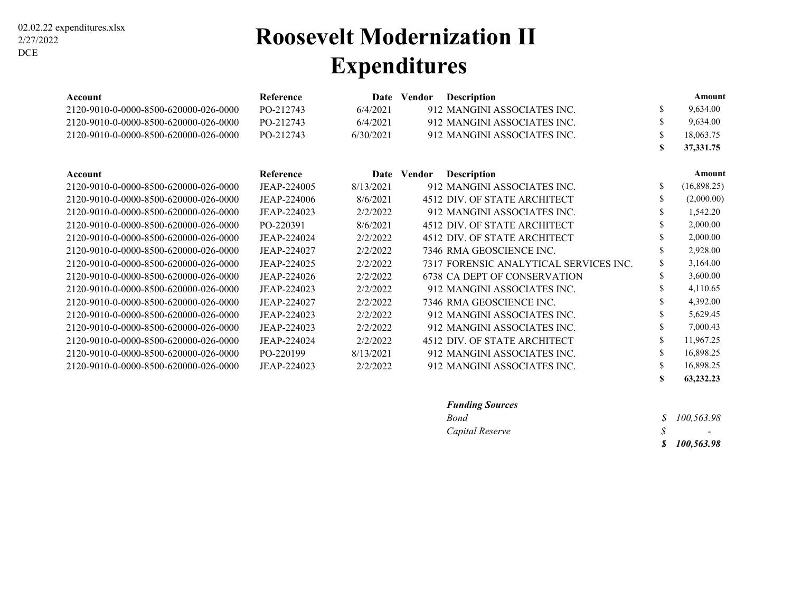#### 02.02.22 expenditures.xlsx 2/27/2022 DCE

# **Roosevelt Modernization II Expenditures**

| Account                               | <b>Reference</b> | Date      | <b>Description</b><br>Vendor           |    | Amount      |
|---------------------------------------|------------------|-----------|----------------------------------------|----|-------------|
| 2120-9010-0-0000-8500-620000-026-0000 | PO-212743        | 6/4/2021  | 912 MANGINI ASSOCIATES INC.            | \$ | 9,634.00    |
| 2120-9010-0-0000-8500-620000-026-0000 | PO-212743        | 6/4/2021  | 912 MANGINI ASSOCIATES INC.            | \$ | 9,634.00    |
| 2120-9010-0-0000-8500-620000-026-0000 | PO-212743        | 6/30/2021 | 912 MANGINI ASSOCIATES INC.            | \$ | 18,063.75   |
|                                       |                  |           |                                        | S  | 37,331.75   |
| Account                               | Reference        | Date      | Vendor<br><b>Description</b>           |    | Amount      |
| 2120-9010-0-0000-8500-620000-026-0000 | JEAP-224005      | 8/13/2021 | 912 MANGINI ASSOCIATES INC.            | \$ | (16,898.25) |
| 2120-9010-0-0000-8500-620000-026-0000 | JEAP-224006      | 8/6/2021  | 4512 DIV. OF STATE ARCHITECT           | \$ | (2,000.00)  |
| 2120-9010-0-0000-8500-620000-026-0000 | JEAP-224023      | 2/2/2022  | 912 MANGINI ASSOCIATES INC.            | \$ | 1,542.20    |
| 2120-9010-0-0000-8500-620000-026-0000 | PO-220391        | 8/6/2021  | 4512 DIV. OF STATE ARCHITECT           | \$ | 2,000.00    |
| 2120-9010-0-0000-8500-620000-026-0000 | JEAP-224024      | 2/2/2022  | 4512 DIV. OF STATE ARCHITECT           | \$ | 2,000.00    |
| 2120-9010-0-0000-8500-620000-026-0000 | JEAP-224027      | 2/2/2022  | 7346 RMA GEOSCIENCE INC.               | \$ | 2,928.00    |
| 2120-9010-0-0000-8500-620000-026-0000 | JEAP-224025      | 2/2/2022  | 7317 FORENSIC ANALYTICAL SERVICES INC. | \$ | 3,164.00    |
| 2120-9010-0-0000-8500-620000-026-0000 | JEAP-224026      | 2/2/2022  | <b>6738 CA DEPT OF CONSERVATION</b>    | \$ | 3,600.00    |
| 2120-9010-0-0000-8500-620000-026-0000 | JEAP-224023      | 2/2/2022  | 912 MANGINI ASSOCIATES INC.            | \$ | 4,110.65    |
| 2120-9010-0-0000-8500-620000-026-0000 | JEAP-224027      | 2/2/2022  | 7346 RMA GEOSCIENCE INC.               | \$ | 4,392.00    |
| 2120-9010-0-0000-8500-620000-026-0000 | JEAP-224023      | 2/2/2022  | 912 MANGINI ASSOCIATES INC.            | \$ | 5,629.45    |
| 2120-9010-0-0000-8500-620000-026-0000 | JEAP-224023      | 2/2/2022  | 912 MANGINI ASSOCIATES INC.            | \$ | 7,000.43    |
| 2120-9010-0-0000-8500-620000-026-0000 | JEAP-224024      | 2/2/2022  | 4512 DIV. OF STATE ARCHITECT           | \$ | 11,967.25   |
| 2120-9010-0-0000-8500-620000-026-0000 | PO-220199        | 8/13/2021 | 912 MANGINI ASSOCIATES INC.            | \$ | 16,898.25   |
| 2120-9010-0-0000-8500-620000-026-0000 | JEAP-224023      | 2/2/2022  | 912 MANGINI ASSOCIATES INC.            | \$ | 16,898.25   |
|                                       |                  |           |                                        | S  | 63,232.23   |

| <b>Funding Sources</b> |              |
|------------------------|--------------|
| Bond                   | \$100,563.98 |
| Capital Reserve        |              |
|                        | 100,563.98   |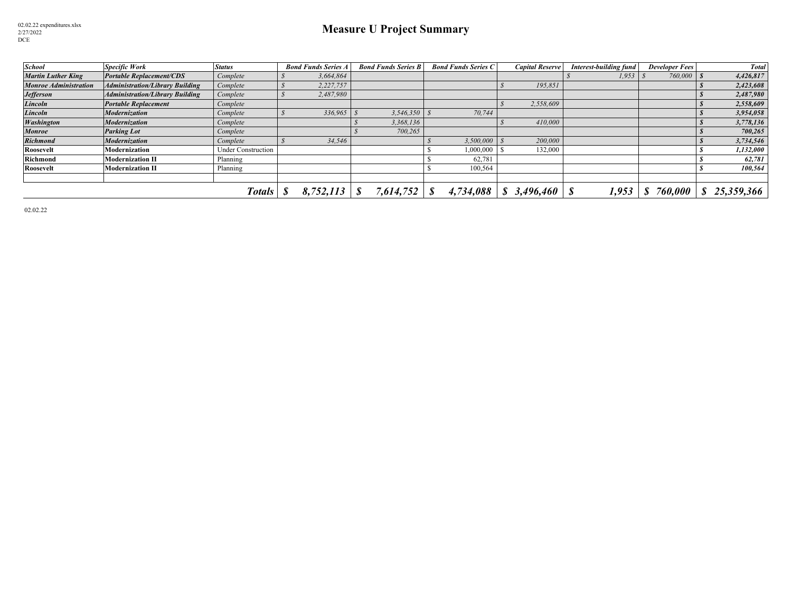### **Measure U Project Summary**

| <b>School</b>                | <b>Specific Work</b>                   | Status                    | <b>Bond Funds Series</b> | <b>Bond Funds Series B</b> | <b>Bond Funds Series C</b> | <b>Capital Reserve</b> | <b>Interest-building fund</b> | <b>Developer Fees</b> | <b>Total</b> |
|------------------------------|----------------------------------------|---------------------------|--------------------------|----------------------------|----------------------------|------------------------|-------------------------------|-----------------------|--------------|
| <b>Martin Luther King</b>    | <b>Portable Replacement/CDS</b>        | Complete                  | 3,664,864                |                            |                            |                        | 1,953                         | $760,000$ \$          | 4,426,817    |
| <b>Monroe Administration</b> | <b>Administration/Library Building</b> | Complete                  | 2,227,757                |                            |                            | 195,851                |                               |                       | 2,423,608    |
| <b>Jefferson</b>             | <b>Administration/Library Building</b> | Complete                  | 2,487,980                |                            |                            |                        |                               |                       | 2,487,980    |
| <b>Lincoln</b>               | <b>Portable Replacement</b>            | Complete                  |                          |                            |                            | 2,558,609              |                               |                       | 2,558,609    |
| <b>Lincoln</b>               | <b>Modernization</b>                   | Complete                  | 336,965                  | 3,546,350                  | 70,744                     |                        |                               |                       | 3,954,058    |
| <b>Washington</b>            | <b>Modernization</b>                   | Complete                  |                          | 3,368,136                  |                            | 410,000                |                               |                       | 3,778,136    |
| <b>Monroe</b>                | <b>Parking Lot</b>                     | Complete                  |                          | 700,265                    |                            |                        |                               |                       | 700,265      |
| <b>Richmond</b>              | Modernization                          | Complete                  | 34,546                   |                            | 3,500,000                  | 200,000                |                               |                       | 3,734,546    |
| Roosevelt                    | <b>Modernization</b>                   | <b>Under Construction</b> |                          |                            | 000,000,1                  | 132,000                |                               |                       | 1,132,000    |
| <b>Richmond</b>              | <b>Modernization II</b>                | Planning                  |                          |                            | 62,781                     |                        |                               |                       | 62,781       |
| Roosevelt                    | <b>Modernization II</b>                | Planning                  |                          |                            | 100,564                    |                        |                               |                       | 100,564      |
|                              |                                        |                           |                          |                            |                            |                        |                               |                       |              |
|                              |                                        | <b>Totals</b>             | $8,752,113$   \$         | 7,614,752                  | 4,734,088                  | \$3,496,460            | 1,953                         | 760,000               | 25,359,366   |

02.02.22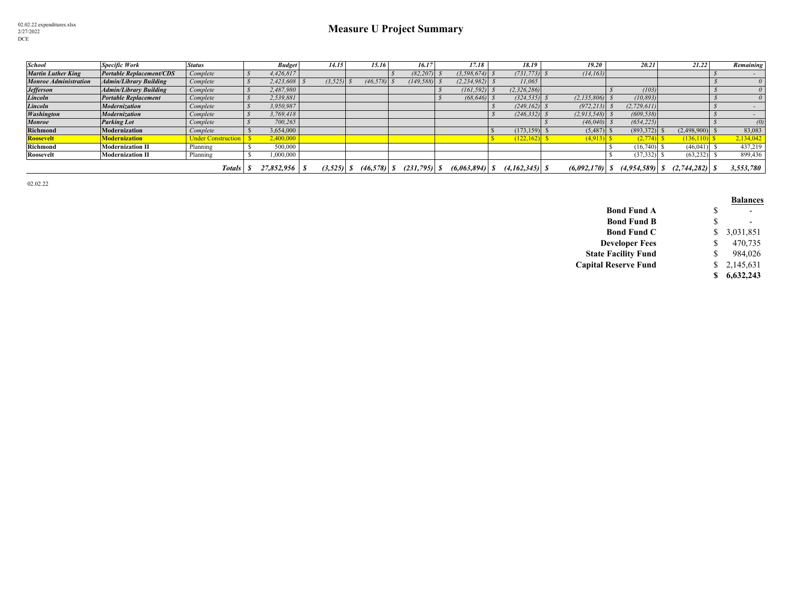### **Measure U Project Summary**

| <b>School</b>                | <b>Specific Work</b>            | <b>Status</b>             | <b>Budget</b> | 14.15                | 15.16     |   | 16.17          | 17.18            | 18.19                    | 19.20            | 20.21            | 21.22            | Remaining |
|------------------------------|---------------------------------|---------------------------|---------------|----------------------|-----------|---|----------------|------------------|--------------------------|------------------|------------------|------------------|-----------|
| <b>Martin Luther King</b>    | <b>Portable Replacement/CDS</b> | Complete                  | 4,426,817     |                      |           |   | (82, 207)      | (3,598,674)      | $(731, 773)$ \$          | (14, 163)        |                  |                  |           |
| <b>Monroe Administration</b> | <b>Admin/Library Building</b>   | Complete                  | 2,423,608     | (3, 525)             | (46, 578) |   | (149, 588)     | (2, 234, 982)    | 11,065                   |                  |                  |                  |           |
| <b>Jefferson</b>             | <b>Admin/Library Building</b>   | Complete                  | 2,487,980     |                      |           |   |                | (161, 592)       | (2,326,286)              |                  | (103)            |                  |           |
| Lincoln                      | <b>Portable Replacement</b>     | Complete                  | 2,539,881     |                      |           |   |                | (68, 646)        | $(324, 535)$ \$          | (2, 135, 806)    | (10, 893)        |                  |           |
| Lincoln                      | <b>Modernization</b>            | Complete                  | 3,950,987     |                      |           |   |                |                  | (249, 162)               | (972, 213)       | (2, 729, 611)    |                  |           |
| <b>Washington</b>            | <b>Modernization</b>            | Complete                  | 3,769,418     |                      |           |   |                |                  | $(246, 332)$ \$          | (2, 913, 548)    | (609, 538)       |                  |           |
| <b>Monroe</b>                | <b>Parking Lot</b>              | Complete                  | 700,265       |                      |           |   |                |                  |                          | (46, 040)        | (654, 225)       |                  | (0)       |
| Richmond                     | Modernization                   | Complete                  | 3,654,000     |                      |           |   |                |                  | (173, 159)               | $(5,487)$ :      | (893,372)        | (2,498,900)      | 83,083    |
| <b>Roosevelt</b>             | <b>Modernization</b>            | <b>Under Construction</b> | 2,400,000     |                      |           |   |                |                  | (122, 162)               | (4,913)          | (2,77)           | $(136, 110)$ \$  | 2,134,042 |
| Richmond                     | <b>Modernization II</b>         | Planning                  | 500,000       |                      |           |   |                |                  |                          |                  | $(16,740)$ \$    | (46, 041)        | 437,219   |
| Roosevelt                    | <b>Modernization II</b>         | Planning                  | 1,000,000     |                      |           |   |                |                  |                          |                  | (37, 332)        | (63, 232)        | 899,436   |
|                              |                                 | <b>Totals</b>             | 27,852,956    | $(3,525)$ $\sqrt{8}$ | (46,578)  | S | $(231,795)$ \$ | $(6,063,894)$ \$ | $(4,162,345)$ $\sqrt{s}$ | $(6.092, 170)$ S | $(4,954,589)$ \$ | $(2,744,282)$ \$ | 3,553,780 |

02.02.22

|                             |    | <b>Balances</b> |
|-----------------------------|----|-----------------|
| <b>Bond Fund A</b>          | \$ |                 |
| <b>Bond Fund B</b>          | \$ |                 |
| <b>Bond Fund C</b>          | S  | 3,031,851       |
| <b>Developer Fees</b>       | S  | 470,735         |
| <b>State Facility Fund</b>  | S  | 984.026         |
| <b>Capital Reserve Fund</b> | S  | 2,145,631       |
|                             |    | 6,632,243       |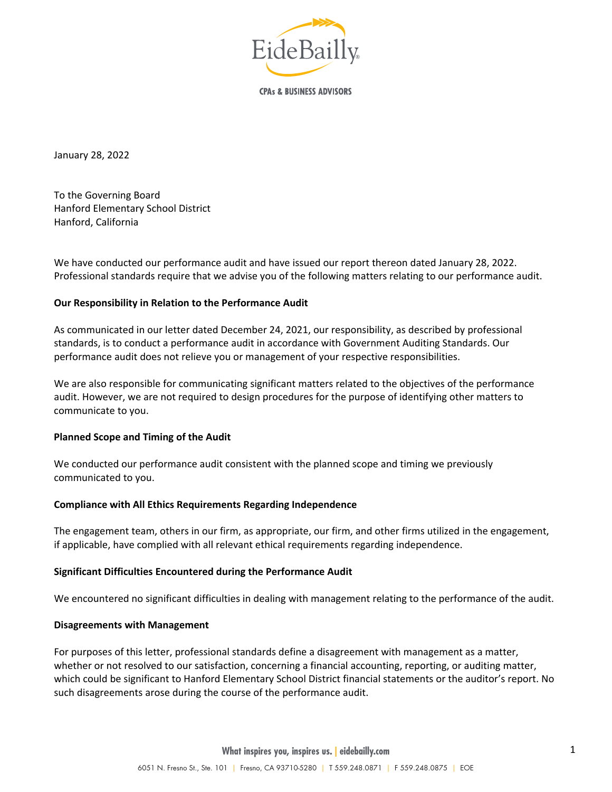

**CPAs & BUSINESS ADVISORS** 

January 28, 2022

To the Governing Board Hanford Elementary School District Hanford, California

We have conducted our performance audit and have issued our report thereon dated January 28, 2022. Professional standards require that we advise you of the following matters relating to our performance audit.

#### **Our Responsibility in Relation to the Performance Audit**

As communicated in our letter dated December 24, 2021, our responsibility, as described by professional standards, is to conduct a performance audit in accordance with Government Auditing Standards. Our performance audit does not relieve you or management of your respective responsibilities.

We are also responsible for communicating significant matters related to the objectives of the performance audit. However, we are not required to design procedures for the purpose of identifying other matters to communicate to you.

#### **Planned Scope and Timing of the Audit**

We conducted our performance audit consistent with the planned scope and timing we previously communicated to you.

#### **Compliance with All Ethics Requirements Regarding Independence**

The engagement team, others in our firm, as appropriate, our firm, and other firms utilized in the engagement, if applicable, have complied with all relevant ethical requirements regarding independence.

#### **Significant Difficulties Encountered during the Performance Audit**

We encountered no significant difficulties in dealing with management relating to the performance of the audit.

#### **Disagreements with Management**

For purposes of this letter, professional standards define a disagreement with management as a matter, whether or not resolved to our satisfaction, concerning a financial accounting, reporting, or auditing matter, which could be significant to Hanford Elementary School District financial statements or the auditor's report. No such disagreements arose during the course of the performance audit.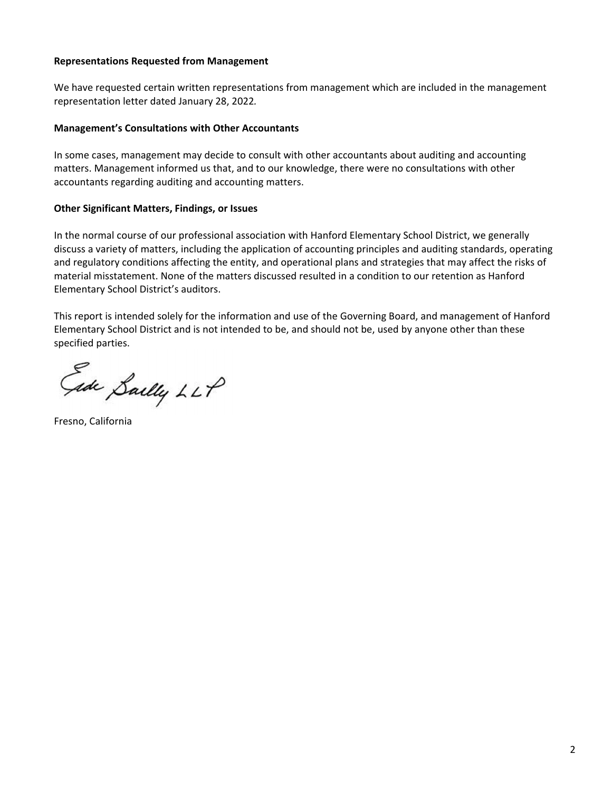### **Representations Requested from Management**

We have requested certain written representations from management which are included in the management representation letter dated January 28, 2022*.*

#### **Management's Consultations with Other Accountants**

In some cases, management may decide to consult with other accountants about auditing and accounting matters. Management informed us that, and to our knowledge, there were no consultations with other accountants regarding auditing and accounting matters.

#### **Other Significant Matters, Findings, or Issues**

In the normal course of our professional association with Hanford Elementary School District, we generally discuss a variety of matters, including the application of accounting principles and auditing standards, operating and regulatory conditions affecting the entity, and operational plans and strategies that may affect the risks of material misstatement. None of the matters discussed resulted in a condition to our retention as Hanford Elementary School District's auditors.

This report is intended solely for the information and use of the Governing Board, and management of Hanford Elementary School District and is not intended to be, and should not be, used by anyone other than these specified parties.

Each Sailly LLP

Fresno, California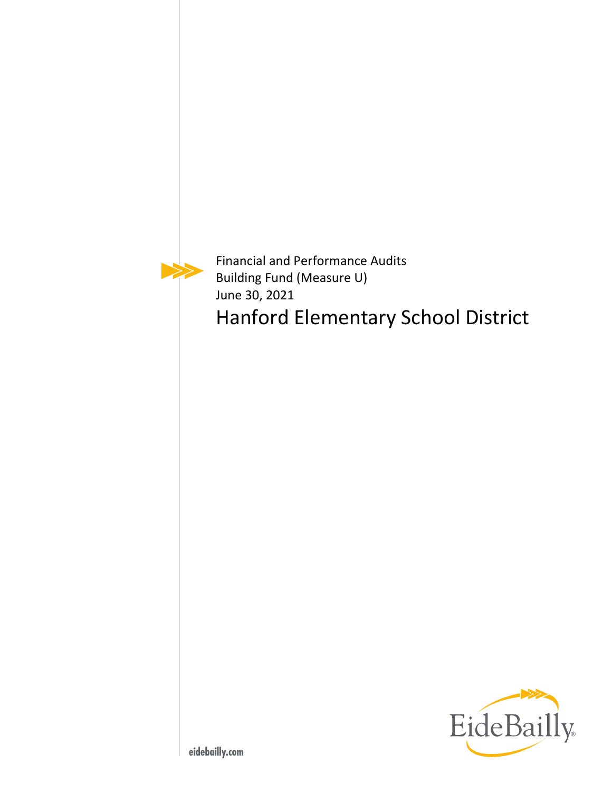

Financial and Performance Audits Building Fund (Measure U) June 30, 2021

Hanford Elementary School District

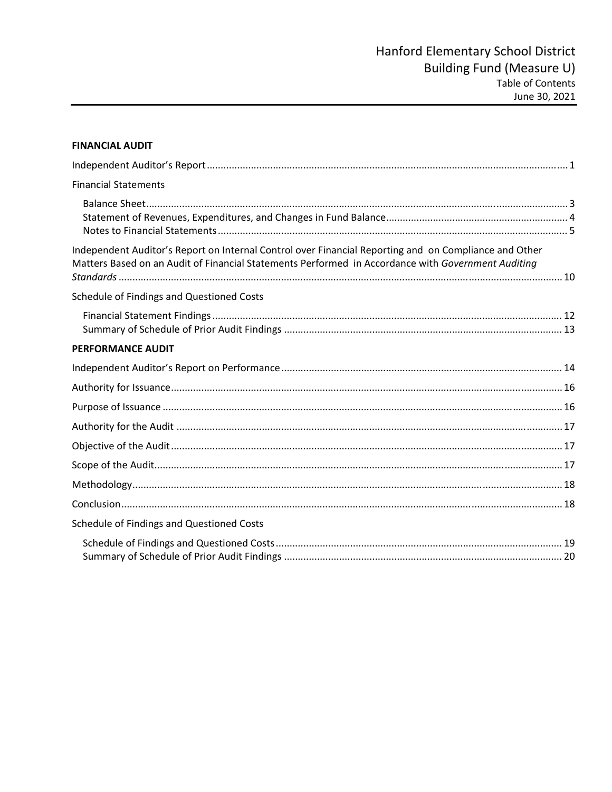#### **FINANCIAL AUDIT**

| <b>Financial Statements</b>                                                                                                                                                                                 |  |
|-------------------------------------------------------------------------------------------------------------------------------------------------------------------------------------------------------------|--|
|                                                                                                                                                                                                             |  |
| Independent Auditor's Report on Internal Control over Financial Reporting and on Compliance and Other<br>Matters Based on an Audit of Financial Statements Performed in Accordance with Government Auditing |  |
| Schedule of Findings and Questioned Costs                                                                                                                                                                   |  |
|                                                                                                                                                                                                             |  |
| <b>PERFORMANCE AUDIT</b>                                                                                                                                                                                    |  |
|                                                                                                                                                                                                             |  |
|                                                                                                                                                                                                             |  |
|                                                                                                                                                                                                             |  |
|                                                                                                                                                                                                             |  |
|                                                                                                                                                                                                             |  |
|                                                                                                                                                                                                             |  |
|                                                                                                                                                                                                             |  |
|                                                                                                                                                                                                             |  |
| Schedule of Findings and Questioned Costs                                                                                                                                                                   |  |
|                                                                                                                                                                                                             |  |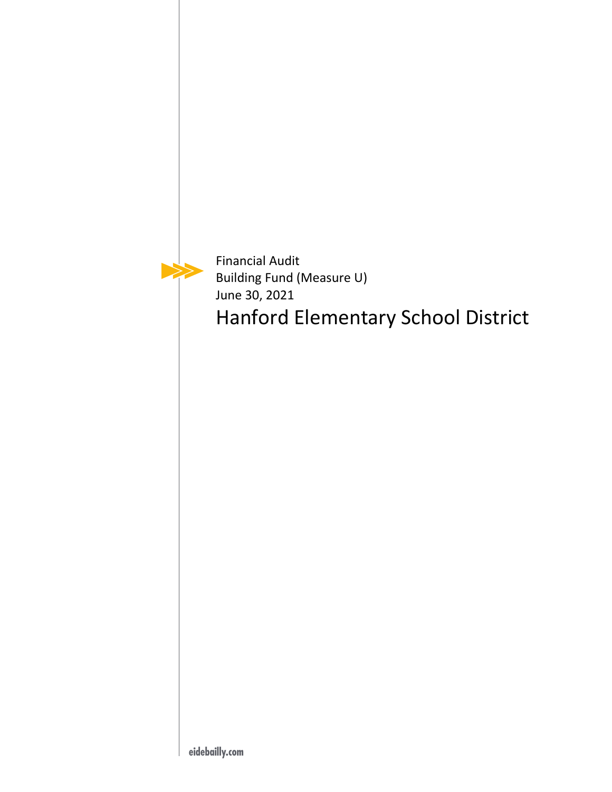Financial Audit Building Fund (Measure U) June 30, 2021

Hanford Elementary School District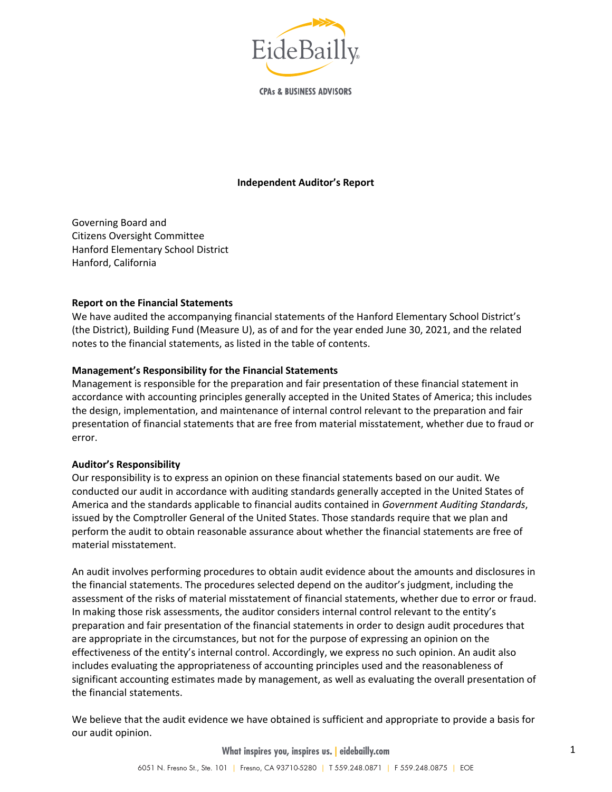

**CPAs & BUSINESS ADVISORS** 

#### **Independent Auditor's Report**

Governing Board and Citizens Oversight Committee Hanford Elementary School District Hanford, California

#### **Report on the Financial Statements**

We have audited the accompanying financial statements of the Hanford Elementary School District's (the District), Building Fund (Measure U), as of and for the year ended June 30, 2021, and the related notes to the financial statements, as listed in the table of contents.

#### **Management's Responsibility for the Financial Statements**

Management is responsible for the preparation and fair presentation of these financial statement in accordance with accounting principles generally accepted in the United States of America; this includes the design, implementation, and maintenance of internal control relevant to the preparation and fair presentation of financial statements that are free from material misstatement, whether due to fraud or error.

#### **Auditor's Responsibility**

Our responsibility is to express an opinion on these financial statements based on our audit. We conducted our audit in accordance with auditing standards generally accepted in the United States of America and the standards applicable to financial audits contained in *Government Auditing Standards*, issued by the Comptroller General of the United States. Those standards require that we plan and perform the audit to obtain reasonable assurance about whether the financial statements are free of material misstatement.

An audit involves performing procedures to obtain audit evidence about the amounts and disclosures in the financial statements. The procedures selected depend on the auditor's judgment, including the assessment of the risks of material misstatement of financial statements, whether due to error or fraud. In making those risk assessments, the auditor considers internal control relevant to the entity's preparation and fair presentation of the financial statements in order to design audit procedures that are appropriate in the circumstances, but not for the purpose of expressing an opinion on the effectiveness of the entity's internal control. Accordingly, we express no such opinion. An audit also includes evaluating the appropriateness of accounting principles used and the reasonableness of significant accounting estimates made by management, as well as evaluating the overall presentation of the financial statements.

We believe that the audit evidence we have obtained is sufficient and appropriate to provide a basis for our audit opinion.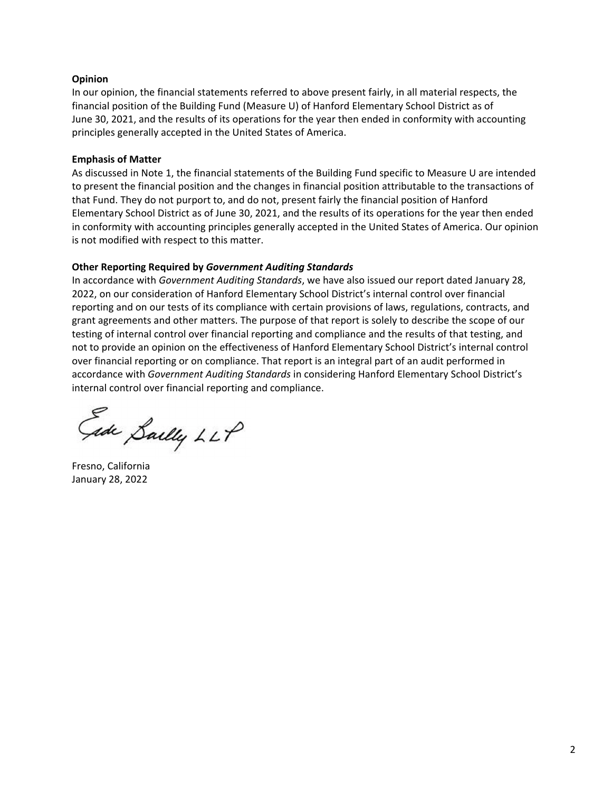#### **Opinion**

In our opinion, the financial statements referred to above present fairly, in all material respects, the financial position of the Building Fund (Measure U) of Hanford Elementary School District as of June 30, 2021, and the results of its operations for the year then ended in conformity with accounting principles generally accepted in the United States of America.

#### **Emphasis of Matter**

As discussed in Note 1, the financial statements of the Building Fund specific to Measure U are intended to present the financial position and the changes in financial position attributable to the transactions of that Fund. They do not purport to, and do not, present fairly the financial position of Hanford Elementary School District as of June 30, 2021, and the results of its operations for the year then ended in conformity with accounting principles generally accepted in the United States of America. Our opinion is not modified with respect to this matter.

#### **Other Reporting Required by** *Government Auditing Standards*

In accordance with *Government Auditing Standards*, we have also issued our report dated January 28, 2022, on our consideration of Hanford Elementary School District's internal control over financial reporting and on our tests of its compliance with certain provisions of laws, regulations, contracts, and grant agreements and other matters. The purpose of that report is solely to describe the scope of our testing of internal control over financial reporting and compliance and the results of that testing, and not to provide an opinion on the effectiveness of Hanford Elementary School District's internal control over financial reporting or on compliance. That report is an integral part of an audit performed in accordance with *Government Auditing Standards* in considering Hanford Elementary School District's internal control over financial reporting and compliance.

Ide Sailly LLP

Fresno, California January 28, 2022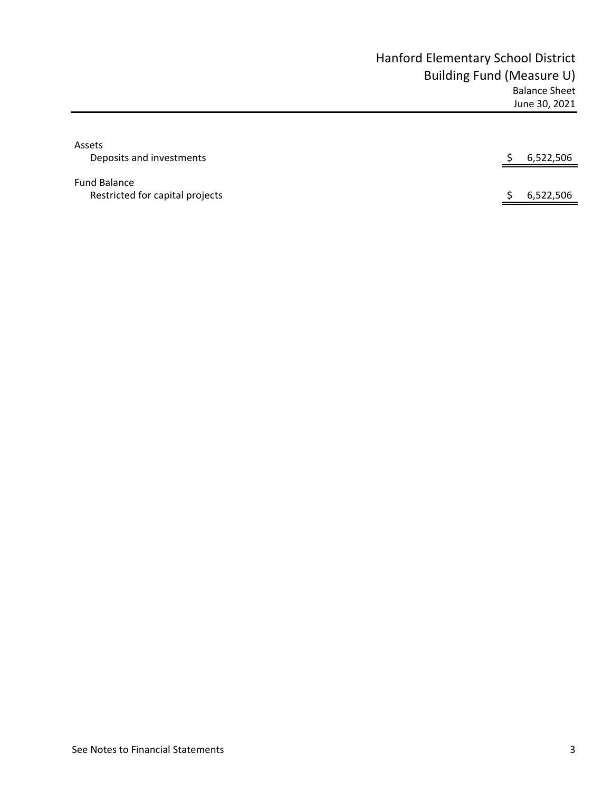| Assets<br>Deposits and investments                     |  | 6,522,506 |
|--------------------------------------------------------|--|-----------|
| <b>Fund Balance</b><br>Restricted for capital projects |  | 6,522,506 |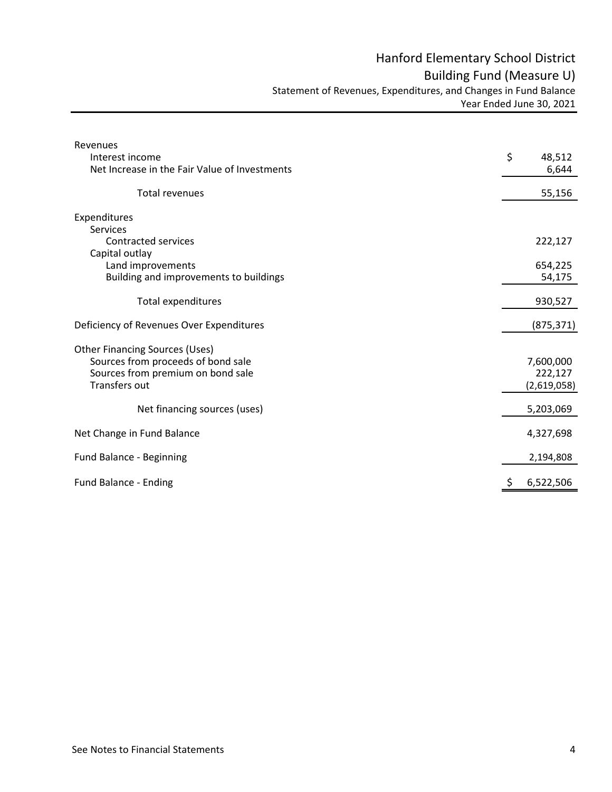### Hanford Elementary School District Building Fund (Measure U) Statement of Revenues, Expenditures, and Changes in Fund Balance Year Ended June 30, 2021

| Revenues                                      |    |             |
|-----------------------------------------------|----|-------------|
| Interest income                               | \$ | 48,512      |
| Net Increase in the Fair Value of Investments |    | 6,644       |
| <b>Total revenues</b>                         |    | 55,156      |
| Expenditures                                  |    |             |
| Services                                      |    |             |
| Contracted services                           |    | 222,127     |
| Capital outlay                                |    |             |
| Land improvements                             |    | 654,225     |
| Building and improvements to buildings        |    | 54,175      |
| Total expenditures                            |    | 930,527     |
| Deficiency of Revenues Over Expenditures      |    | (875, 371)  |
| <b>Other Financing Sources (Uses)</b>         |    |             |
| Sources from proceeds of bond sale            |    | 7,600,000   |
| Sources from premium on bond sale             |    | 222,127     |
| Transfers out                                 |    | (2,619,058) |
|                                               |    |             |
| Net financing sources (uses)                  |    | 5,203,069   |
| Net Change in Fund Balance                    |    | 4,327,698   |
| Fund Balance - Beginning                      |    | 2,194,808   |
| Fund Balance - Ending                         | Ş  | 6,522,506   |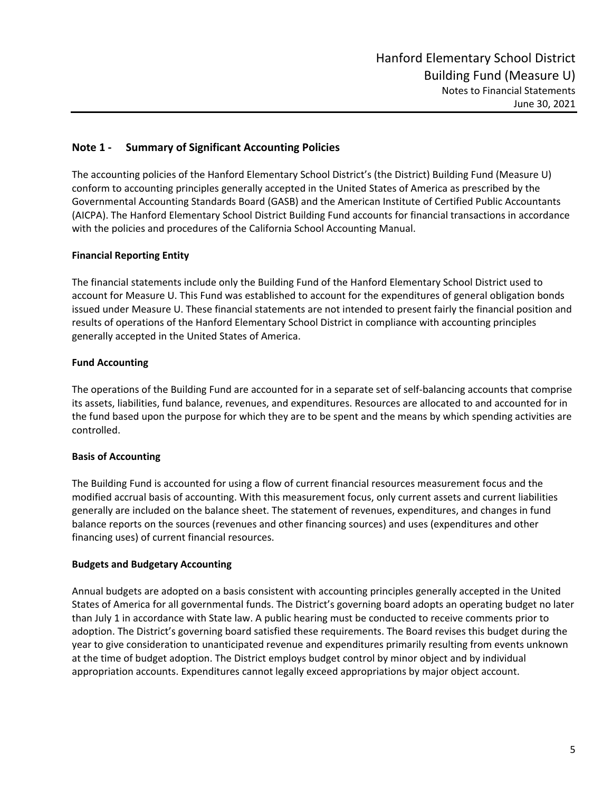### **Note 1 ‐ Summary of Significant Accounting Policies**

The accounting policies of the Hanford Elementary School District's (the District) Building Fund (Measure U) conform to accounting principles generally accepted in the United States of America as prescribed by the Governmental Accounting Standards Board (GASB) and the American Institute of Certified Public Accountants (AICPA). The Hanford Elementary School District Building Fund accounts for financial transactions in accordance with the policies and procedures of the California School Accounting Manual.

### **Financial Reporting Entity**

The financial statements include only the Building Fund of the Hanford Elementary School District used to account for Measure U. This Fund was established to account for the expenditures of general obligation bonds issued under Measure U. These financial statements are not intended to present fairly the financial position and results of operations of the Hanford Elementary School District in compliance with accounting principles generally accepted in the United States of America.

### **Fund Accounting**

The operations of the Building Fund are accounted for in a separate set of self‐balancing accounts that comprise its assets, liabilities, fund balance, revenues, and expenditures. Resources are allocated to and accounted for in the fund based upon the purpose for which they are to be spent and the means by which spending activities are controlled.

### **Basis of Accounting**

The Building Fund is accounted for using a flow of current financial resources measurement focus and the modified accrual basis of accounting. With this measurement focus, only current assets and current liabilities generally are included on the balance sheet. The statement of revenues, expenditures, and changes in fund balance reports on the sources (revenues and other financing sources) and uses (expenditures and other financing uses) of current financial resources.

#### **Budgets and Budgetary Accounting**

Annual budgets are adopted on a basis consistent with accounting principles generally accepted in the United States of America for all governmental funds. The District's governing board adopts an operating budget no later than July 1 in accordance with State law. A public hearing must be conducted to receive comments prior to adoption. The District's governing board satisfied these requirements. The Board revises this budget during the year to give consideration to unanticipated revenue and expenditures primarily resulting from events unknown at the time of budget adoption. The District employs budget control by minor object and by individual appropriation accounts. Expenditures cannot legally exceed appropriations by major object account.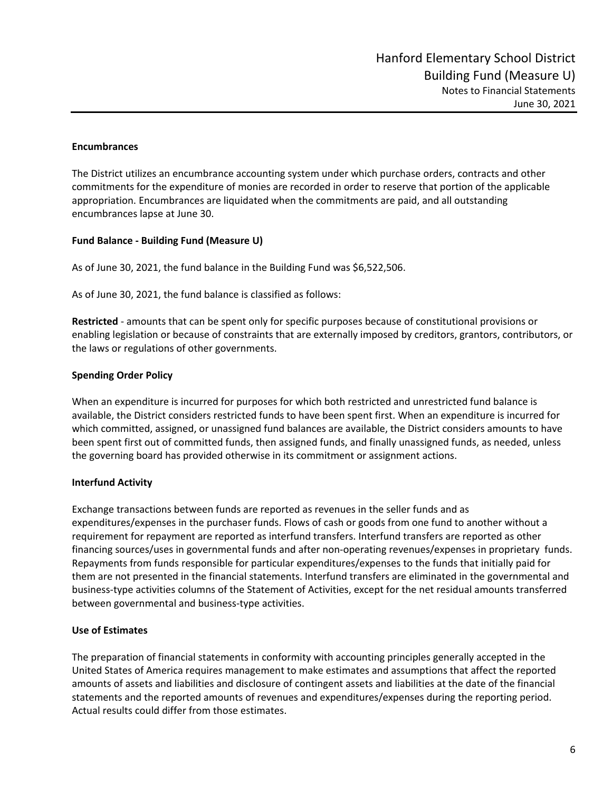#### **Encumbrances**

The District utilizes an encumbrance accounting system under which purchase orders, contracts and other commitments for the expenditure of monies are recorded in order to reserve that portion of the applicable appropriation. Encumbrances are liquidated when the commitments are paid, and all outstanding encumbrances lapse at June 30.

#### **Fund Balance ‐ Building Fund (Measure U)**

As of June 30, 2021, the fund balance in the Building Fund was \$6,522,506.

As of June 30, 2021, the fund balance is classified as follows:

**Restricted** ‐ amounts that can be spent only for specific purposes because of constitutional provisions or enabling legislation or because of constraints that are externally imposed by creditors, grantors, contributors, or the laws or regulations of other governments.

#### **Spending Order Policy**

When an expenditure is incurred for purposes for which both restricted and unrestricted fund balance is available, the District considers restricted funds to have been spent first. When an expenditure is incurred for which committed, assigned, or unassigned fund balances are available, the District considers amounts to have been spent first out of committed funds, then assigned funds, and finally unassigned funds, as needed, unless the governing board has provided otherwise in its commitment or assignment actions.

#### **Interfund Activity**

Exchange transactions between funds are reported as revenues in the seller funds and as expenditures/expenses in the purchaser funds. Flows of cash or goods from one fund to another without a requirement for repayment are reported as interfund transfers. Interfund transfers are reported as other financing sources/uses in governmental funds and after non-operating revenues/expenses in proprietary funds. Repayments from funds responsible for particular expenditures/expenses to the funds that initially paid for them are not presented in the financial statements. Interfund transfers are eliminated in the governmental and business‐type activities columns of the Statement of Activities, except for the net residual amounts transferred between governmental and business‐type activities.

#### **Use of Estimates**

The preparation of financial statements in conformity with accounting principles generally accepted in the United States of America requires management to make estimates and assumptions that affect the reported amounts of assets and liabilities and disclosure of contingent assets and liabilities at the date of the financial statements and the reported amounts of revenues and expenditures/expenses during the reporting period. Actual results could differ from those estimates.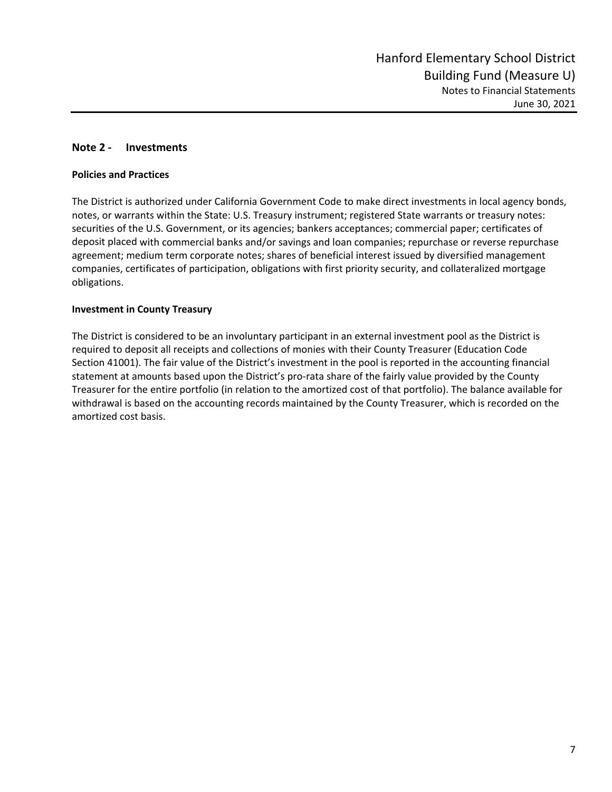### **Note 2 ‐ Investments**

#### **Policies and Practices**

The District is authorized under California Government Code to make direct investments in local agency bonds, notes, or warrants within the State: U.S. Treasury instrument; registered State warrants or treasury notes: securities of the U.S. Government, or its agencies; bankers acceptances; commercial paper; certificates of deposit placed with commercial banks and/or savings and loan companies; repurchase or reverse repurchase agreement; medium term corporate notes; shares of beneficial interest issued by diversified management companies, certificates of participation, obligations with first priority security, and collateralized mortgage obligations.

#### **Investment in County Treasury**

The District is considered to be an involuntary participant in an external investment pool as the District is required to deposit all receipts and collections of monies with their County Treasurer (Education Code Section 41001). The fair value of the District's investment in the pool is reported in the accounting financial statement at amounts based upon the District's pro-rata share of the fairly value provided by the County Treasurer for the entire portfolio (in relation to the amortized cost of that portfolio). The balance available for withdrawal is based on the accounting records maintained by the County Treasurer, which is recorded on the amortized cost basis.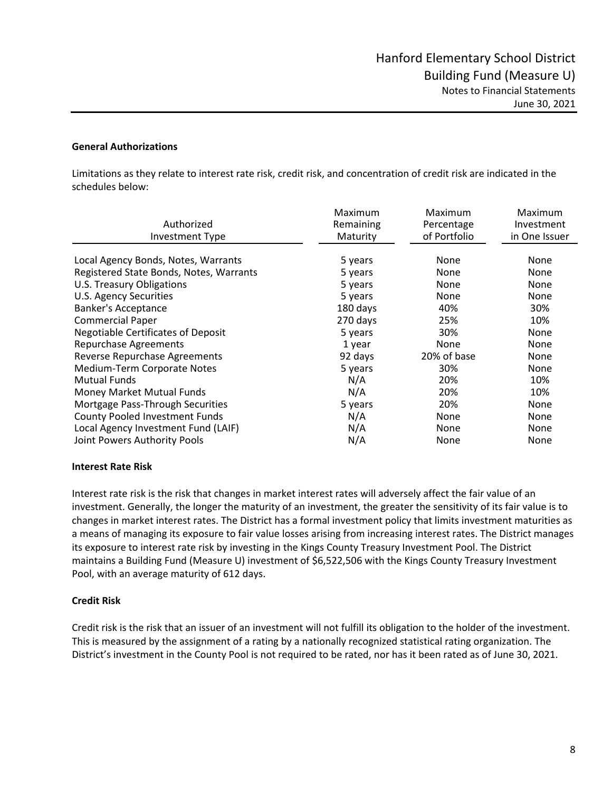#### **General Authorizations**

Limitations as they relate to interest rate risk, credit risk, and concentration of credit risk are indicated in the schedules below:

| Authorized<br><b>Investment Type</b>    | Maximum<br>Remaining<br>Maturity | Maximum<br>Percentage<br>of Portfolio | Maximum<br>Investment<br>in One Issuer |
|-----------------------------------------|----------------------------------|---------------------------------------|----------------------------------------|
| Local Agency Bonds, Notes, Warrants     | 5 years                          | None                                  | None                                   |
| Registered State Bonds, Notes, Warrants | 5 years                          | None                                  | None                                   |
| U.S. Treasury Obligations               | 5 years                          | None                                  | None                                   |
| <b>U.S. Agency Securities</b>           | 5 years                          | None                                  | None                                   |
| <b>Banker's Acceptance</b>              | 180 days                         | 40%                                   | 30%                                    |
| <b>Commercial Paper</b>                 | 270 days                         | 25%                                   | 10%                                    |
| Negotiable Certificates of Deposit      | 5 years                          | 30%                                   | None                                   |
| <b>Repurchase Agreements</b>            | 1 year                           | None                                  | None                                   |
| Reverse Repurchase Agreements           | 92 days                          | 20% of base                           | None                                   |
| Medium-Term Corporate Notes             | 5 years                          | 30%                                   | None                                   |
| <b>Mutual Funds</b>                     | N/A                              | 20%                                   | 10%                                    |
| Money Market Mutual Funds               | N/A                              | 20%                                   | 10%                                    |
| Mortgage Pass-Through Securities        | 5 years                          | 20%                                   | None                                   |
| <b>County Pooled Investment Funds</b>   | N/A                              | None                                  | None                                   |
| Local Agency Investment Fund (LAIF)     | N/A                              | None                                  | None                                   |
| Joint Powers Authority Pools            | N/A                              | None                                  | None                                   |

#### **Interest Rate Risk**

Interest rate risk is the risk that changes in market interest rates will adversely affect the fair value of an investment. Generally, the longer the maturity of an investment, the greater the sensitivity of its fair value is to changes in market interest rates. The District has a formal investment policy that limits investment maturities as a means of managing its exposure to fair value losses arising from increasing interest rates. The District manages its exposure to interest rate risk by investing in the Kings County Treasury Investment Pool. The District maintains a Building Fund (Measure U) investment of \$6,522,506 with the Kings County Treasury Investment Pool, with an average maturity of 612 days.

#### **Credit Risk**

Credit risk is the risk that an issuer of an investment will not fulfill its obligation to the holder of the investment. This is measured by the assignment of a rating by a nationally recognized statistical rating organization. The District's investment in the County Pool is not required to be rated, nor has it been rated as of June 30, 2021.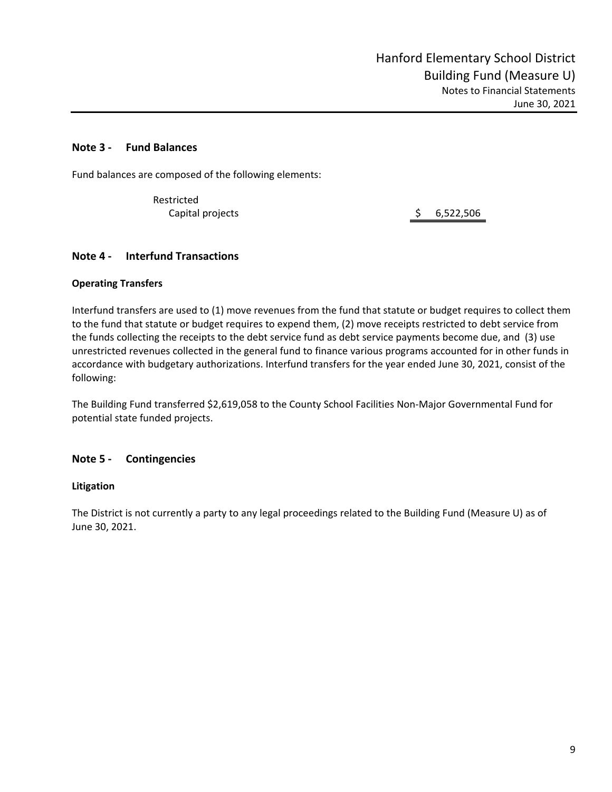### **Note 3 ‐ Fund Balances**

Fund balances are composed of the following elements:

Restricted

Capital projects  $\qquad \qquad$  6,522,506

### **Note 4 ‐ Interfund Transactions**

#### **Operating Transfers**

Interfund transfers are used to (1) move revenues from the fund that statute or budget requires to collect them to the fund that statute or budget requires to expend them, (2) move receipts restricted to debt service from the funds collecting the receipts to the debt service fund as debt service payments become due, and (3) use unrestricted revenues collected in the general fund to finance various programs accounted for in other funds in accordance with budgetary authorizations. Interfund transfers for the year ended June 30, 2021, consist of the following:

The Building Fund transferred \$2,619,058 to the County School Facilities Non‐Major Governmental Fund for potential state funded projects.

#### **Note 5 ‐ Contingencies**

#### **Litigation**

The District is not currently a party to any legal proceedings related to the Building Fund (Measure U) as of June 30, 2021.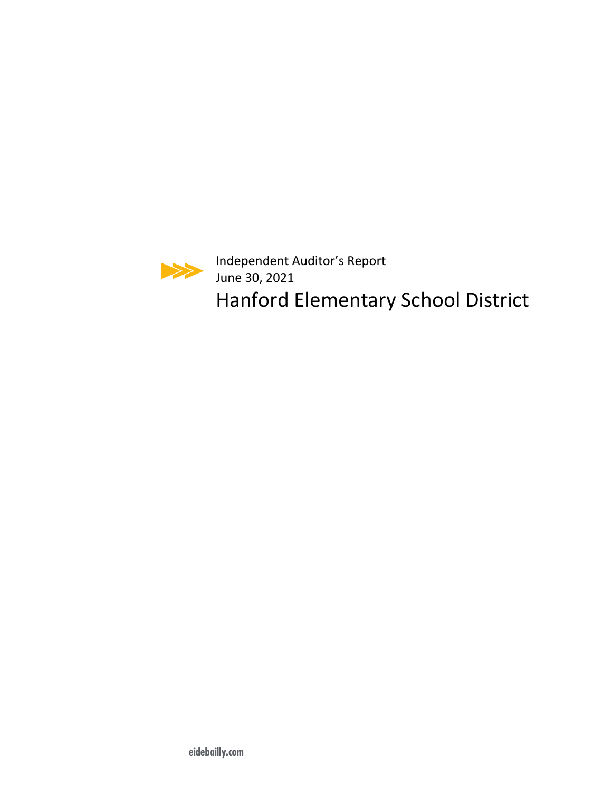

Independent Auditor's Report June 30, 2021 Hanford Elementary School District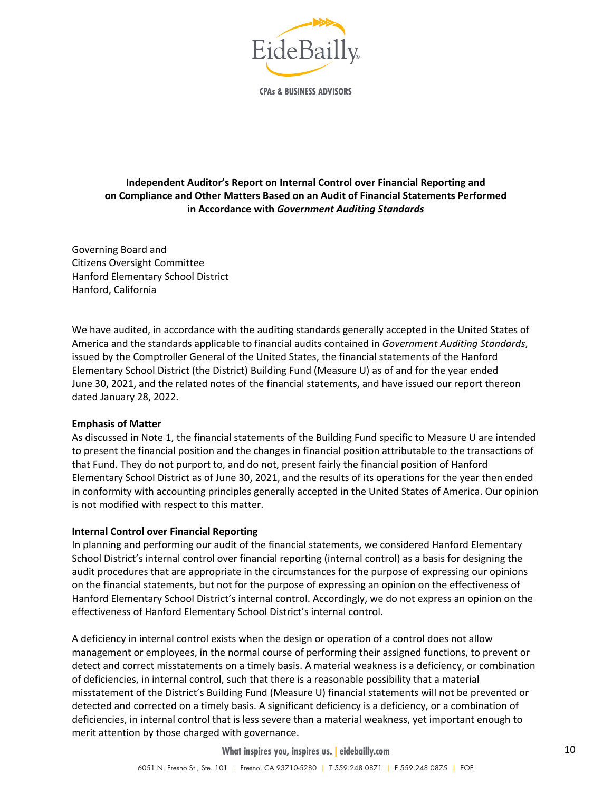

**CPAs & BUSINESS ADVISORS** 

### **Independent Auditor's Report on Internal Control over Financial Reporting and on Compliance and Other Matters Based on an Audit of Financial Statements Performed in Accordance with** *Government Auditing Standards*

Governing Board and Citizens Oversight Committee Hanford Elementary School District Hanford, California

We have audited, in accordance with the auditing standards generally accepted in the United States of America and the standards applicable to financial audits contained in *Government Auditing Standards*, issued by the Comptroller General of the United States, the financial statements of the Hanford Elementary School District (the District) Building Fund (Measure U) as of and for the year ended June 30, 2021, and the related notes of the financial statements, and have issued our report thereon dated January 28, 2022.

#### **Emphasis of Matter**

As discussed in Note 1, the financial statements of the Building Fund specific to Measure U are intended to present the financial position and the changes in financial position attributable to the transactions of that Fund. They do not purport to, and do not, present fairly the financial position of Hanford Elementary School District as of June 30, 2021, and the results of its operations for the year then ended in conformity with accounting principles generally accepted in the United States of America. Our opinion is not modified with respect to this matter.

#### **Internal Control over Financial Reporting**

In planning and performing our audit of the financial statements, we considered Hanford Elementary School District's internal control over financial reporting (internal control) as a basis for designing the audit procedures that are appropriate in the circumstances for the purpose of expressing our opinions on the financial statements, but not for the purpose of expressing an opinion on the effectiveness of Hanford Elementary School District's internal control. Accordingly, we do not express an opinion on the effectiveness of Hanford Elementary School District's internal control.

A deficiency in internal control exists when the design or operation of a control does not allow management or employees, in the normal course of performing their assigned functions, to prevent or detect and correct misstatements on a timely basis. A material weakness is a deficiency, or combination of deficiencies, in internal control, such that there is a reasonable possibility that a material misstatement of the District's Building Fund (Measure U) financial statements will not be prevented or detected and corrected on a timely basis. A significant deficiency is a deficiency, or a combination of deficiencies, in internal control that is less severe than a material weakness, yet important enough to merit attention by those charged with governance.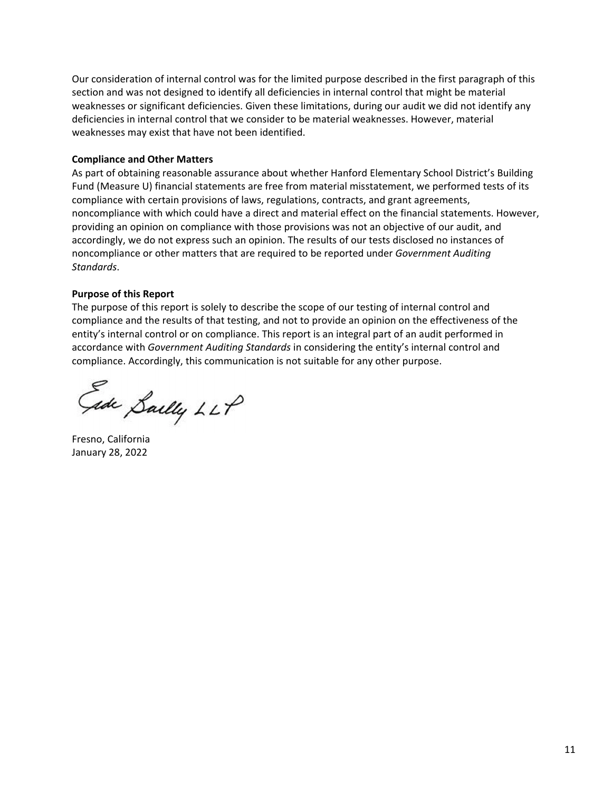Our consideration of internal control was for the limited purpose described in the first paragraph of this section and was not designed to identify all deficiencies in internal control that might be material weaknesses or significant deficiencies. Given these limitations, during our audit we did not identify any deficiencies in internal control that we consider to be material weaknesses. However, material weaknesses may exist that have not been identified.

### **Compliance and Other Matters**

As part of obtaining reasonable assurance about whether Hanford Elementary School District's Building Fund (Measure U) financial statements are free from material misstatement, we performed tests of its compliance with certain provisions of laws, regulations, contracts, and grant agreements, noncompliance with which could have a direct and material effect on the financial statements. However, providing an opinion on compliance with those provisions was not an objective of our audit, and accordingly, we do not express such an opinion. The results of our tests disclosed no instances of noncompliance or other matters that are required to be reported under *Government Auditing Standards*.

### **Purpose of this Report**

The purpose of this report is solely to describe the scope of our testing of internal control and compliance and the results of that testing, and not to provide an opinion on the effectiveness of the entity's internal control or on compliance. This report is an integral part of an audit performed in accordance with *Government Auditing Standards* in considering the entity's internal control and compliance. Accordingly, this communication is not suitable for any other purpose.

Gide Sailly LLP

Fresno, California January 28, 2022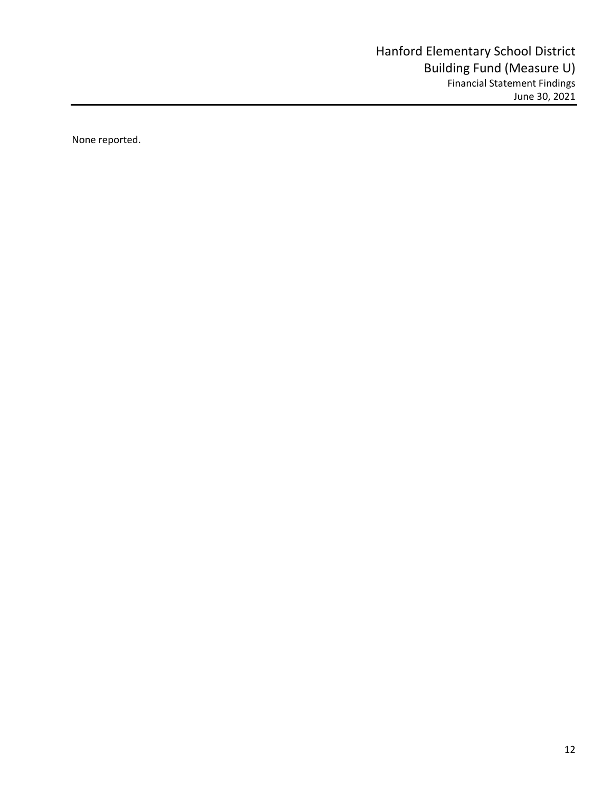None reported.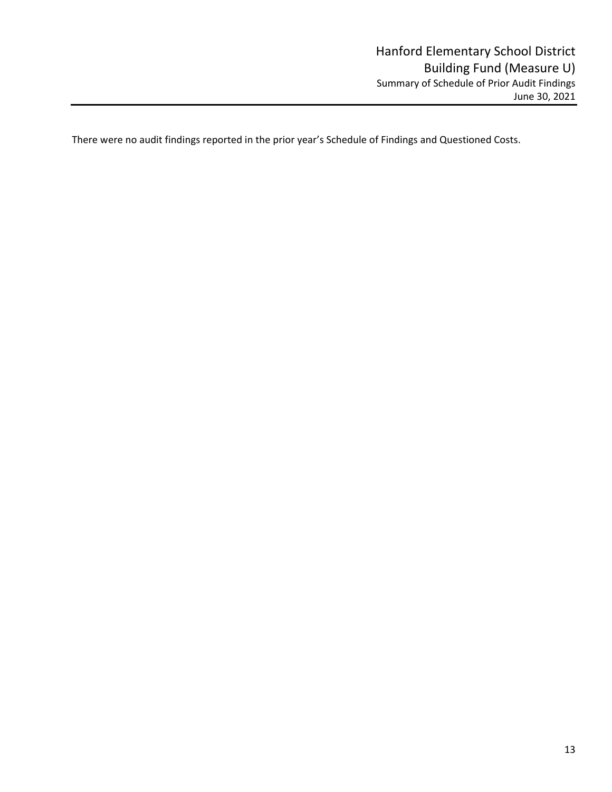There were no audit findings reported in the prior year's Schedule of Findings and Questioned Costs.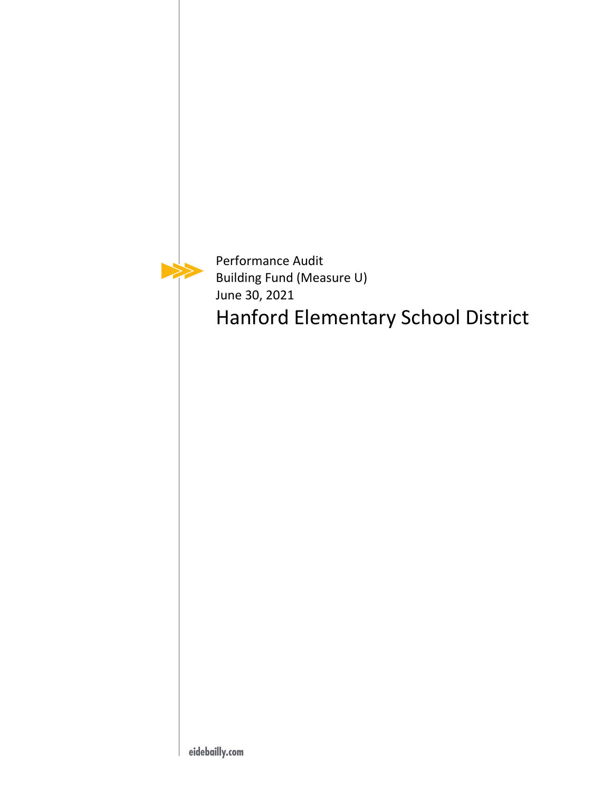Performance Audit Building Fund (Measure U) June 30, 2021

Hanford Elementary School District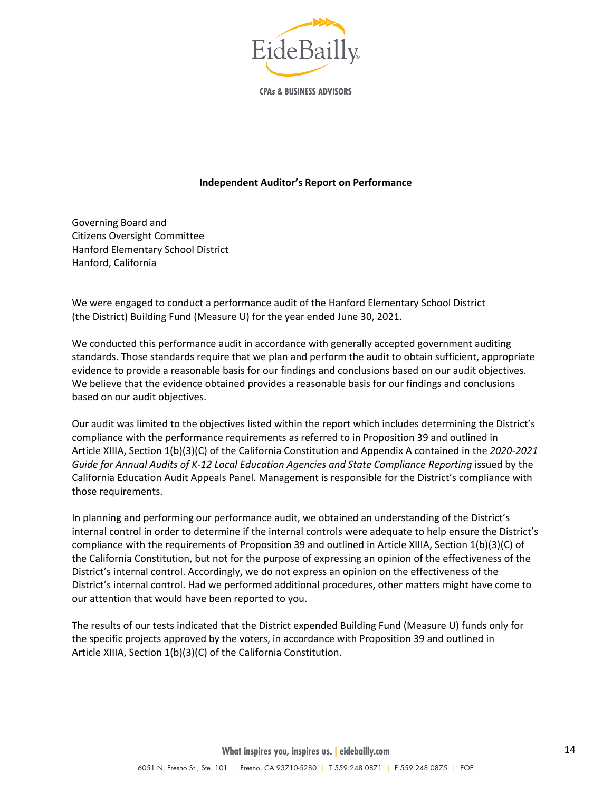

**CPAs & BUSINESS ADVISORS** 

#### **Independent Auditor's Report on Performance**

Governing Board and Citizens Oversight Committee Hanford Elementary School District Hanford, California

We were engaged to conduct a performance audit of the Hanford Elementary School District (the District) Building Fund (Measure U) for the year ended June 30, 2021.

We conducted this performance audit in accordance with generally accepted government auditing standards. Those standards require that we plan and perform the audit to obtain sufficient, appropriate evidence to provide a reasonable basis for our findings and conclusions based on our audit objectives. We believe that the evidence obtained provides a reasonable basis for our findings and conclusions based on our audit objectives.

Our audit was limited to the objectives listed within the report which includes determining the District's compliance with the performance requirements as referred to in Proposition 39 and outlined in Article XIIIA, Section 1(b)(3)(C) of the California Constitution and Appendix A contained in the *2020‐2021 Guide for Annual Audits of K‐12 Local Education Agencies and State Compliance Reporting* issued by the California Education Audit Appeals Panel. Management is responsible for the District's compliance with those requirements.

In planning and performing our performance audit, we obtained an understanding of the District's internal control in order to determine if the internal controls were adequate to help ensure the District's compliance with the requirements of Proposition 39 and outlined in Article XIIIA, Section 1(b)(3)(C) of the California Constitution, but not for the purpose of expressing an opinion of the effectiveness of the District's internal control. Accordingly, we do not express an opinion on the effectiveness of the District's internal control. Had we performed additional procedures, other matters might have come to our attention that would have been reported to you.

The results of our tests indicated that the District expended Building Fund (Measure U) funds only for the specific projects approved by the voters, in accordance with Proposition 39 and outlined in Article XIIIA, Section 1(b)(3)(C) of the California Constitution.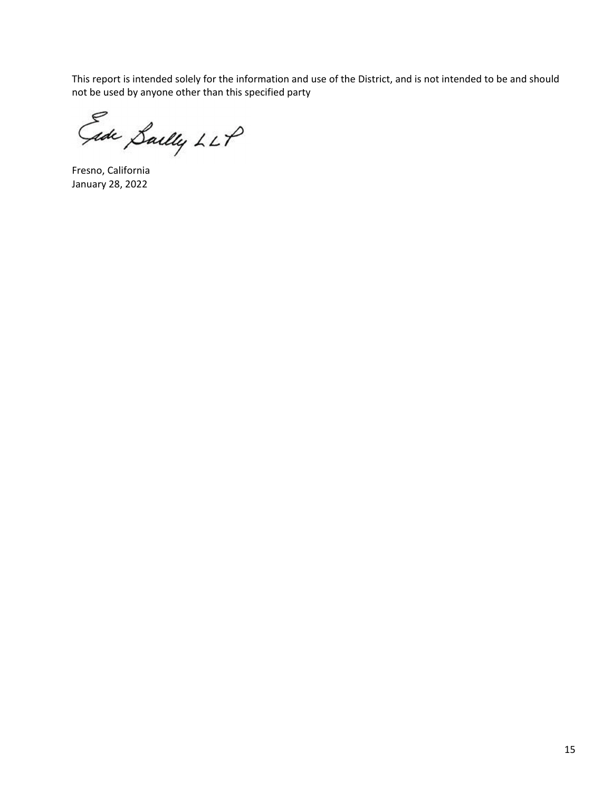This report is intended solely for the information and use of the District, and is not intended to be and should not be used by anyone other than this specified party

Eade Sailly LLP

Fresno, California January 28, 2022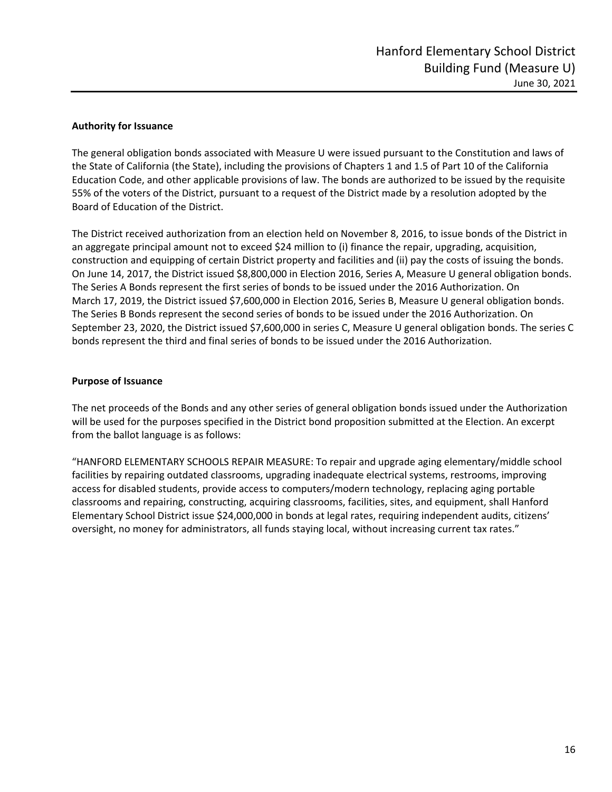### **Authority for Issuance**

The general obligation bonds associated with Measure U were issued pursuant to the Constitution and laws of the State of California (the State), including the provisions of Chapters 1 and 1.5 of Part 10 of the California Education Code, and other applicable provisions of law. The bonds are authorized to be issued by the requisite 55% of the voters of the District, pursuant to a request of the District made by a resolution adopted by the Board of Education of the District.

The District received authorization from an election held on November 8, 2016, to issue bonds of the District in an aggregate principal amount not to exceed \$24 million to (i) finance the repair, upgrading, acquisition, construction and equipping of certain District property and facilities and (ii) pay the costs of issuing the bonds. On June 14, 2017, the District issued \$8,800,000 in Election 2016, Series A, Measure U general obligation bonds. The Series A Bonds represent the first series of bonds to be issued under the 2016 Authorization. On March 17, 2019, the District issued \$7,600,000 in Election 2016, Series B, Measure U general obligation bonds. The Series B Bonds represent the second series of bonds to be issued under the 2016 Authorization. On September 23, 2020, the District issued \$7,600,000 in series C, Measure U general obligation bonds. The series C bonds represent the third and final series of bonds to be issued under the 2016 Authorization.

### **Purpose of Issuance**

The net proceeds of the Bonds and any other series of general obligation bonds issued under the Authorization will be used for the purposes specified in the District bond proposition submitted at the Election. An excerpt from the ballot language is as follows:

"HANFORD ELEMENTARY SCHOOLS REPAIR MEASURE: To repair and upgrade aging elementary/middle school facilities by repairing outdated classrooms, upgrading inadequate electrical systems, restrooms, improving access for disabled students, provide access to computers/modern technology, replacing aging portable classrooms and repairing, constructing, acquiring classrooms, facilities, sites, and equipment, shall Hanford Elementary School District issue \$24,000,000 in bonds at legal rates, requiring independent audits, citizens' oversight, no money for administrators, all funds staying local, without increasing current tax rates."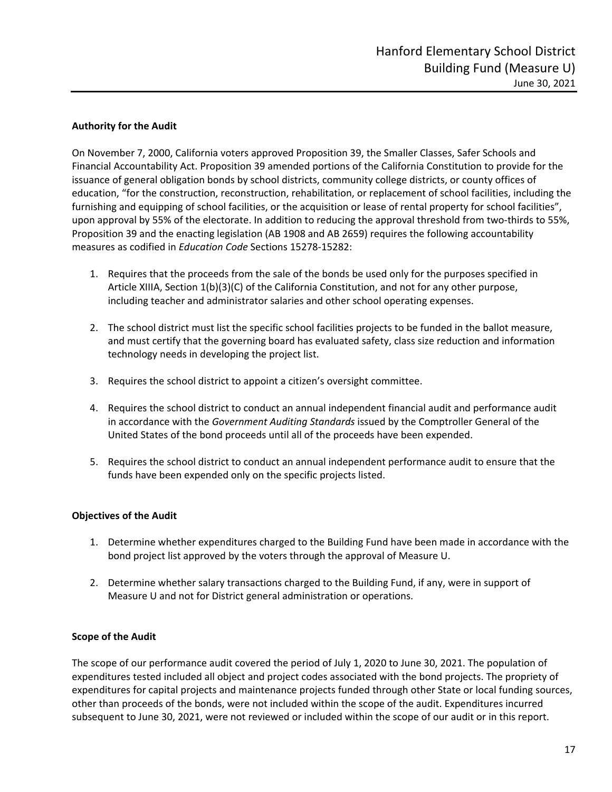### **Authority for the Audit**

On November 7, 2000, California voters approved Proposition 39, the Smaller Classes, Safer Schools and Financial Accountability Act. Proposition 39 amended portions of the California Constitution to provide for the issuance of general obligation bonds by school districts, community college districts, or county offices of education, "for the construction, reconstruction, rehabilitation, or replacement of school facilities, including the furnishing and equipping of school facilities, or the acquisition or lease of rental property for school facilities", upon approval by 55% of the electorate. In addition to reducing the approval threshold from two-thirds to 55%, Proposition 39 and the enacting legislation (AB 1908 and AB 2659) requires the following accountability measures as codified in *Education Code* Sections 15278‐15282:

- 1. Requires that the proceeds from the sale of the bonds be used only for the purposes specified in Article XIIIA, Section 1(b)(3)(C) of the California Constitution, and not for any other purpose, including teacher and administrator salaries and other school operating expenses.
- 2. The school district must list the specific school facilities projects to be funded in the ballot measure, and must certify that the governing board has evaluated safety, class size reduction and information technology needs in developing the project list.
- 3. Requires the school district to appoint a citizen's oversight committee.
- 4. Requires the school district to conduct an annual independent financial audit and performance audit in accordance with the *Government Auditing Standards* issued by the Comptroller General of the United States of the bond proceeds until all of the proceeds have been expended.
- 5. Requires the school district to conduct an annual independent performance audit to ensure that the funds have been expended only on the specific projects listed.

### **Objectives of the Audit**

- 1. Determine whether expenditures charged to the Building Fund have been made in accordance with the bond project list approved by the voters through the approval of Measure U.
- 2. Determine whether salary transactions charged to the Building Fund, if any, were in support of Measure U and not for District general administration or operations.

#### **Scope of the Audit**

The scope of our performance audit covered the period of July 1, 2020 to June 30, 2021. The population of expenditures tested included all object and project codes associated with the bond projects. The propriety of expenditures for capital projects and maintenance projects funded through other State or local funding sources, other than proceeds of the bonds, were not included within the scope of the audit. Expenditures incurred subsequent to June 30, 2021, were not reviewed or included within the scope of our audit or in this report.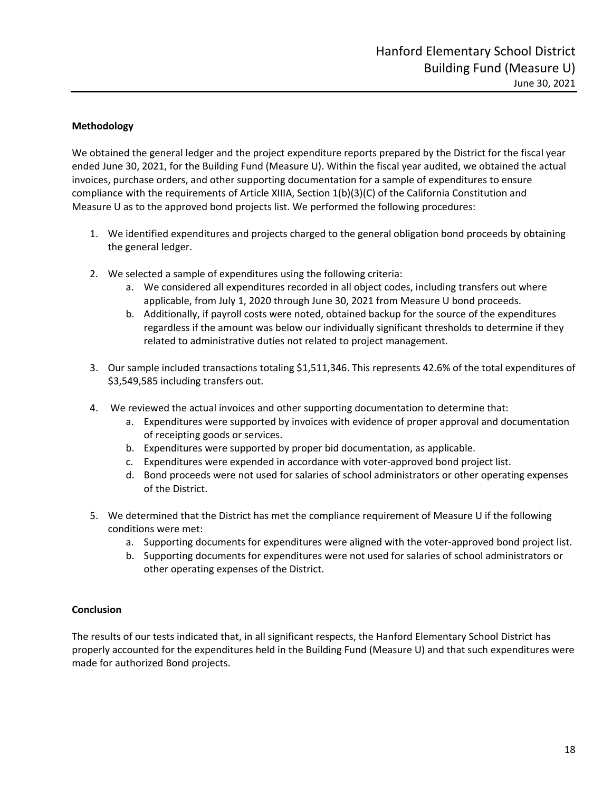### **Methodology**

We obtained the general ledger and the project expenditure reports prepared by the District for the fiscal year ended June 30, 2021, for the Building Fund (Measure U). Within the fiscal year audited, we obtained the actual invoices, purchase orders, and other supporting documentation for a sample of expenditures to ensure compliance with the requirements of Article XIIIA, Section 1(b)(3)(C) of the California Constitution and Measure U as to the approved bond projects list. We performed the following procedures:

- 1. We identified expenditures and projects charged to the general obligation bond proceeds by obtaining the general ledger.
- 2. We selected a sample of expenditures using the following criteria:
	- a. We considered all expenditures recorded in all object codes, including transfers out where applicable, from July 1, 2020 through June 30, 2021 from Measure U bond proceeds.
	- b. Additionally, if payroll costs were noted, obtained backup for the source of the expenditures regardless if the amount was below our individually significant thresholds to determine if they related to administrative duties not related to project management.
- 3. Our sample included transactions totaling \$1,511,346. This represents 42.6% of the total expenditures of \$3,549,585 including transfers out.
- 4. We reviewed the actual invoices and other supporting documentation to determine that:
	- a. Expenditures were supported by invoices with evidence of proper approval and documentation of receipting goods or services.
	- b. Expenditures were supported by proper bid documentation, as applicable.
	- c. Expenditures were expended in accordance with voter‐approved bond project list.
	- d. Bond proceeds were not used for salaries of school administrators or other operating expenses of the District.
- 5. We determined that the District has met the compliance requirement of Measure U if the following conditions were met:
	- a. Supporting documents for expenditures were aligned with the voter-approved bond project list.
	- b. Supporting documents for expenditures were not used for salaries of school administrators or other operating expenses of the District.

#### **Conclusion**

The results of our tests indicated that, in all significant respects, the Hanford Elementary School District has properly accounted for the expenditures held in the Building Fund (Measure U) and that such expenditures were made for authorized Bond projects.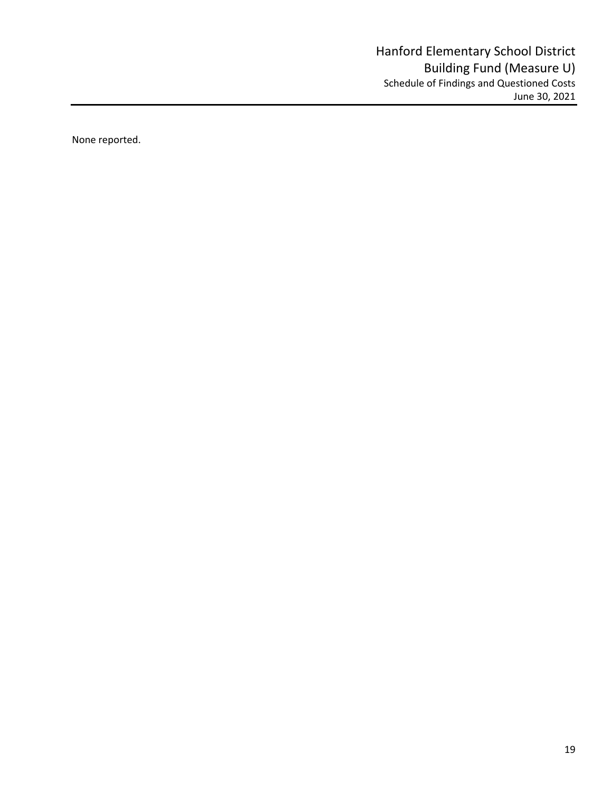None reported.